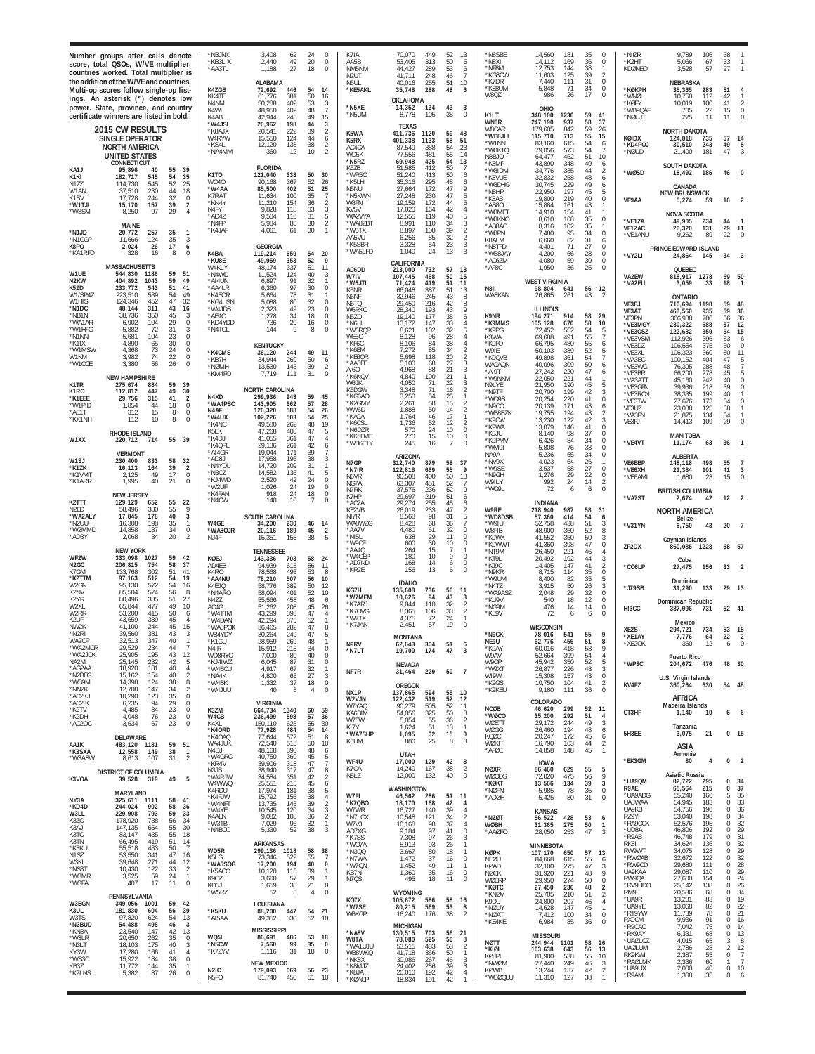|                                                                      | Number groups after calls denote<br>score, total QSOs, W/VE multiplier,<br>countries worked. Total multiplier is<br>the addition of the W/VE and countries.<br>Multi-op scores follow single-op list-<br>ings. An asterisk (*) denotes low<br>power. State, province, and country<br>certificate winners are listed in bold.<br><b>2015 CW RESULTS</b><br><b>SINGLE OPERATOR</b><br><b>NORTH AMERICA</b><br><b>UNITED STATES</b><br>CONNECTICUT |                                                                                                                                | N3JNX*<br>*KB3LIX<br>*AA3TL<br>K4ZGB<br>KK4TE<br>N4NM<br>K4WI<br>K4AB<br>*W4JSI<br>*K8AJX<br>W4RYW<br>*KS4I<br>*NA4MM | 3,408<br>62<br>49<br>2,440<br>1,188<br>27<br>ALABAMA<br>72,692<br>446<br>381<br>61.776<br>402<br>50.288<br>48,950<br>402<br>42.944<br>245<br>20,962<br>198<br>20.541<br>222<br>15,550<br>124<br>12,120<br>135<br>360<br>12 | 24<br>$\Omega$<br>20<br>$\Omega$<br>18<br>$\Omega$<br>54<br>14<br>50<br>16<br>53<br>3<br>48<br>7<br>49<br>15<br>44<br>3<br>39<br>$\overline{2}$<br>44<br>6<br>38<br>$\frac{2}{2}$<br>10 | K7IA<br>AA5B<br>NM5NM<br>N <sub>2</sub> UT<br>N5UL<br>*KE5AKL<br>*N5XE<br>*N5UM<br>K5WA<br>K5RX<br>AC4CA<br>WD5K<br>*N5RZ | 70,070<br>449<br>53,405<br>313<br>44,427<br>289<br>248<br>41,711<br>255<br>40,016<br>288<br>35,748<br>OKLAHOMA<br>14,352<br>134<br>8,778<br>105<br><b>TEXAS</b><br>411,736<br>1120<br>401,338<br>1133<br>87,549<br>388<br>77,556<br>481<br>69.948<br>425 | 52<br>13<br>50<br>-5<br>53<br>6<br>46<br>7<br>51<br>10<br>48<br>6<br>43<br>$\mathbf{3}$<br>38<br>$\Omega$<br>59<br>48<br>58<br>51<br>54<br>23<br>55<br>14<br>54<br>13 | *N8SBE<br>*N8XI<br>*NF8M<br>*KG8CW<br>*K7DR<br>*KE8UM<br>W8QZ<br>K1LT<br>WN8R<br><b>W8CAR</b><br>*WB8JUI<br>*W1NN<br>*W8KTQ<br>N8BJO | 14,560<br>181<br>169<br>14.112<br>12,753<br>144<br>11,603<br>125<br>111<br>7.440<br>5,848<br>71<br>986<br>26<br>OHIO<br>348,100<br>1230<br>247,190<br>937<br>179,605<br>842<br>115,710<br>713<br>615<br>83.160<br>79,056<br>573<br>452<br>64.477 | 35<br>$\theta$<br>0<br>36<br>38<br>39<br>$\overline{2}$<br>31<br>0<br>$\theta$<br>34<br>$\Omega$<br>17<br>59<br>41<br>58<br>37<br>59<br>26<br>55<br>15<br>6<br>54<br>54<br>$\overline{7}$<br>51<br>10 | 'NIØR<br>'K2HT<br>KDØNEO<br>*KØKPH<br>*WNØL<br>*KØFY<br>*WB9QAF<br>*NØUJT<br>KØIDX<br>KD4POJ<br>*NØUD | 9.789<br>106<br>67<br>5,066<br>3,528<br>57<br>NEBRASKA<br>283<br>35,365<br>10.750<br>112<br>10,019<br>100<br>705<br>22<br>275<br>11<br>NORTH DAKOTA<br>124,818<br>735<br>30.510<br>243<br>21,400<br>181 | 38<br>33<br>27<br>51<br>42<br>41<br>15<br>11<br>57<br>49<br>47  | -2<br>0                                                 |
|----------------------------------------------------------------------|-------------------------------------------------------------------------------------------------------------------------------------------------------------------------------------------------------------------------------------------------------------------------------------------------------------------------------------------------------------------------------------------------------------------------------------------------|--------------------------------------------------------------------------------------------------------------------------------|-----------------------------------------------------------------------------------------------------------------------|----------------------------------------------------------------------------------------------------------------------------------------------------------------------------------------------------------------------------|-----------------------------------------------------------------------------------------------------------------------------------------------------------------------------------------|---------------------------------------------------------------------------------------------------------------------------|----------------------------------------------------------------------------------------------------------------------------------------------------------------------------------------------------------------------------------------------------------|-----------------------------------------------------------------------------------------------------------------------------------------------------------------------|--------------------------------------------------------------------------------------------------------------------------------------|--------------------------------------------------------------------------------------------------------------------------------------------------------------------------------------------------------------------------------------------------|-------------------------------------------------------------------------------------------------------------------------------------------------------------------------------------------------------|-------------------------------------------------------------------------------------------------------|---------------------------------------------------------------------------------------------------------------------------------------------------------------------------------------------------------|-----------------------------------------------------------------|---------------------------------------------------------|
| KA1J<br>K <sub>1</sub> KI<br>N1ZZ<br>W1AN<br>K1BV<br>*W1TJL<br>*W3SM | 95,896<br>40<br>182,717<br>545<br>545<br>114.730<br>230<br>37,510<br>244<br>17.728<br>15,170<br>157<br>8,250<br>97                                                                                                                                                                                                                                                                                                                              | 55<br>39<br>54<br>35<br>52<br>25<br>18<br>44<br>32<br>$\mathbf 0$<br>39<br>$\overline{2}$<br>29<br>$\overline{4}$              | K <sub>1</sub> TO<br>W040<br>*W4AA<br>K7RAT<br>*KN4Y<br>N4FY<br>*AD4Z<br>*N4FP                                        | <b>FLORIDA</b><br>121,040<br>338<br>90,168<br>367<br>85,500<br>402<br>11,634<br>100<br>11,210<br>154<br>9,828<br>118<br>9,504<br>116<br>5,984<br>85                                                                        | 50<br>30<br>52<br>26<br>51<br>25<br>35<br>7<br>36<br>$\overline{2}$<br>33<br>3<br>31<br>5<br>30<br>$\overline{2}$                                                                       | K6ZB<br>*WR5C<br>*K5LH<br>N5NU<br>*N5KWN<br>W8FN<br>KV5V<br>WA2VYA                                                        | 51,585<br>412<br>51,240<br>413<br>35,316<br>295<br>27,664<br>172<br>27,248<br>230<br>19,159<br>172<br>17,020<br>164<br>12,555<br>119<br>8,991<br>110                                                                                                     | 50<br>7<br>50<br>6<br>48<br>6<br>47<br>$\circ$<br>47<br>5<br>44<br>5<br>42<br>Δ<br>40<br>5<br>3<br>34                                                                 | *K8MP<br>*W8IDM<br>*K8VUS<br>*W8DHG<br>*N8HP<br>*K8AB<br>*AB8OL<br>*W8MET<br>*W8KNC                                                  | 348<br>43,890<br>335<br>34,776<br>258<br>32,832<br>30,745<br>229<br>22,950<br>197<br>219<br>19,800<br>15,884<br>161<br>14,910<br>154<br>108<br>8.610                                                                                             | 49<br>6<br>$\overline{2}$<br>44<br>48<br>6<br>49<br>6<br>45<br>5<br>$\bf 0$<br>40<br>43<br>41<br>35<br>$\bf 0$                                                                                        | *WØSD<br>VE9AA<br>*VE1ZA                                                                              | <b>SOUTH DAKOTA</b><br>18,492<br>186<br>CANADA<br><b>NEW BRUNSWICK</b><br>5.274<br>59<br>NOVA SCOTIA<br>49,905<br>234                                                                                   | 46<br>16<br>44                                                  |                                                         |
| *N1JD<br>*N1CGP<br>K8PO<br>*KA1RFD                                   | MAINE<br>20,772<br>257<br>124<br>11,666<br>2,024<br>26<br>328<br>16                                                                                                                                                                                                                                                                                                                                                                             | 35<br>$\overline{1}$<br>35<br>3<br>17<br>6<br>$\overline{0}$<br>8                                                              | *K4JAF<br>K4BAI                                                                                                       | 4,061<br>61<br>GEORGIA<br>119,214<br>659                                                                                                                                                                                   | 30<br>54<br>20                                                                                                                                                                          | *WA8ZBT<br>*W5TX<br>AA5VU<br>*K5SBR<br>*WA5LFD                                                                            | 8,897<br>100<br>6,256<br>85<br>3,328<br>54<br>24<br>1,040                                                                                                                                                                                                | 39<br>2<br>32<br>$\overline{c}$<br>23<br>3<br>13<br>3                                                                                                                 | *AB8AC<br>*W8PN<br>K8ALM<br>*N8TFD<br>*WB8JAY                                                                                        | 8,316<br>102<br>7,480<br>95<br>6,660<br>62<br>71<br>4.401<br>4,200<br>66                                                                                                                                                                         | 35<br>$\mathbf{1}$<br>$\bf 0$<br>34<br>31<br>6<br>27<br>$\bf 0$<br>28<br>$\bf{0}$                                                                                                                     | VE1ZAC<br>*VE1ANU<br>*VY2LI                                                                           | 26,320<br>131<br>89<br>9.262<br>PRINCE EDWARD ISLAND<br>24,864<br>145                                                                                                                                   | 29<br>22<br>34                                                  | 11                                                      |
| W1UE<br>N <sub>2</sub> KW<br>K5ZD<br>W1/SP4Z                         | <b>MASSACHUSETTS</b><br>544,830<br>1186<br>404.892<br>1043<br>233.772<br>543<br>539<br>223.510                                                                                                                                                                                                                                                                                                                                                  | 59<br>51<br>59<br>49<br>51<br>41<br>49<br>54                                                                                   | *KU8E<br>W4KLY<br>*N4WD<br>*AI4UN<br>*AA4LR<br>*K4EOR                                                                 | 49,959<br>353<br>48.174<br>337<br>11,524<br>124<br>6,897<br>91<br>6,360<br>97<br>78<br>5.664                                                                                                                               | 52<br>9<br>51<br>11<br>40<br>3<br>-32<br>30<br>0<br>31<br>-1                                                                                                                            | AC6DD<br>W7IV<br>*W6JTI<br>K6NR<br>N6NF                                                                                   | CALIFORNIA<br>213,000<br>732<br>107,445<br>468<br>71,424<br>419<br>387<br>66,048<br>32.946<br>245                                                                                                                                                        | 57<br>18<br>50<br>15<br>51<br>11<br>51<br>13<br>43<br>8                                                                                                               | *AC6ZM<br>*AF8C<br>N8II<br>WA8KAN                                                                                                    | 59<br>4.080<br>36<br>1.950<br><b>WEST VIRGINIA</b><br>98,804<br>641<br>26,865<br>261                                                                                                                                                             | 30<br>$\,0\,$<br>$\Omega$<br>25<br>12<br>56<br>43<br>$\mathcal{P}$                                                                                                                                    | VA2EW<br>*VA2EU                                                                                       | QUEBEC<br>818,917<br>1278<br>3,059<br>33<br><b>ONTARIO</b>                                                                                                                                              | 59<br>18                                                        | 50                                                      |
| W1HIS<br>*N1DC<br>*NB1N<br>*WA1AR<br>*W1HFG<br>*N1NN                 | 124,346<br>452<br>48,144<br>311<br>38,736<br>350<br>104<br>6,902<br>72<br>5.882<br>104<br>5,681                                                                                                                                                                                                                                                                                                                                                 | 47<br>32<br>43<br>16<br>45<br>3<br>29<br>$\mathbb O$<br>31<br>3<br>$\Omega$<br>23                                              | *KG4USN<br>*W4JDS<br>*AE4O<br>KD4YDD<br>*N4TOL                                                                        | 5,088<br>80<br>2.323<br>49<br>1,278<br>34<br>20<br>736<br>144<br>9                                                                                                                                                         | 32<br>0<br>23<br>$\mathbf 0$<br>18<br>0<br>$\mathbf 0$<br>16<br>8<br>$\Omega$                                                                                                           | N6TQ<br>W6RKC<br><b>N570</b><br>*N6LL<br>*W6RQR<br>WF6C                                                                   | 29,450<br>216<br>28,340<br>193<br>19.140<br>177<br>13,172<br>147<br>102<br>8,621<br>8.128<br>96                                                                                                                                                          | 42<br>8<br>43<br>9<br>38<br>6<br>33<br>4<br>32<br>5<br>28                                                                                                             | K9NR<br>*K9MMS<br>*K9PG<br>K3WA                                                                                                      | <b>ILLINOIS</b><br>194,271<br>914<br>105,128<br>670<br>552<br>72.452<br>491<br>69,688                                                                                                                                                            | 58<br>29<br>10<br>58<br>54<br>5<br>55<br>$\overline{7}$                                                                                                                                               | VE3EJ<br>VE3AT<br>VE3PN<br>*VE3MGY<br>*VE3OSZ<br>*VE3VSM                                              | 710,694<br>1198<br>460,560<br>935<br>366,988<br>706<br>230,322<br>688<br>122,682<br>359<br>396<br>112.926                                                                                               | 59<br>59<br>56<br>57<br>54<br>53                                | 48<br>36<br>36<br>12<br>15<br>6                         |
| *K1IX<br>*W1MSW<br>W1KM<br>*W1CCE<br>K1TR                            | 65<br>4.890<br>73<br>4,368<br>74<br>3.982<br>3,380<br>56<br><b>NEW HAMPSHIRE</b><br>275,674<br>884                                                                                                                                                                                                                                                                                                                                              | 30<br>$\mathbf 0$<br>24<br>$\mathbb O$<br>22<br>$\mathbf 0$<br>26<br>$\Omega$<br>59<br>39                                      | *K4CMS<br>*KB7H<br>*NØMH<br>*KM4FO                                                                                    | <b>KENTUCKY</b><br>36,120<br>244<br>269<br>34.944<br>13,530<br>143<br>111<br>7.719                                                                                                                                         | 49<br>11<br>50<br>6<br>39<br>$\sqrt{2}$<br>31<br>$\Omega$                                                                                                                               | *KF6C<br>*K6EM<br>*KE6OR<br>*AA6EE<br>A160<br>*K6KQV<br>W6JK                                                              | 8,106<br>84<br>7,272<br>85<br>118<br>5,698<br>5.100<br>68<br>4,968<br>88<br>4,840<br>100<br>4,050<br>71                                                                                                                                                  | 38<br>4<br>34<br>2<br>20<br>$\mathcal{P}$<br>3<br>27<br>21<br>3<br>21<br>22<br>3                                                                                      | *K9FO<br>W9IF<br>*K9QVB<br>WA9AQN<br>*AI9T<br>*W9NXM                                                                                 | 66,795<br>480<br>389<br>50,103<br>49,898<br>361<br>40,096<br>309<br>27,242<br>220<br>22,050<br>221<br>190                                                                                                                                        | 55<br>6<br>52<br>$\,$ 5<br>54<br>$\overline{7}$<br>50<br>$6\phantom{.}6$<br>47<br>6<br>44<br>$\mathbf{1}$                                                                                             | *VE3DZ<br>*VF3XI<br>*VA3EC<br>*VE3WG<br>*VE3BR<br>*VA3AT1                                             | 106,554<br>375<br>106,323<br>360<br>100,152<br>404<br>288<br>76,395<br>278<br>66,200<br>45,160<br>242                                                                                                   | 50<br>50<br>47<br>48<br>45<br>40                                | 11<br>-5                                                |
| K1RO<br>*K1EEE<br>*W1PID<br>*AE1T<br>*KX1NH                          | 447<br>112.812<br>315<br>29.756<br>1,854<br>44<br>312<br>15<br>10<br>112                                                                                                                                                                                                                                                                                                                                                                        | 49<br>30<br>$\overline{2}$<br>41<br>18<br>$^{\circ}$<br>8<br>$\mathbf 0$<br>$\mathbf 0$<br>8                                   | N4XD<br>*WA4PSC<br>N4AF<br>*W4UX<br>*K4NC                                                                             | <b>NORTH CAROLINA</b><br>299,936<br>943<br>143,905<br>662<br>126,320<br>588<br>102,226<br>503<br>49.580<br>262                                                                                                             | 59<br>45<br>57<br>28<br>54<br>26<br>54<br>25<br>48<br>19                                                                                                                                | K6DGW<br>*KG6AO<br>*K2GM\<br>WW6D<br>*KA9A<br>*K6CSL                                                                      | 3,348<br>71<br>3,250<br>54<br>58<br>2,261<br>1,888<br>50<br>1,764<br>46<br>52<br>1,736                                                                                                                                                                   | 16<br>$\overline{2}$<br>25<br>1<br>15<br>$\overline{\mathbf{2}}$<br>14<br>$\overline{2}$<br>17<br>12<br>2                                                             | N9LYE<br>*N9TF<br>*WO9S<br>*N9CO<br>*WB8BZK<br>*K9CW<br>*K9WA                                                                        | 21,950<br>199<br>20,700<br>220<br>20,254<br>171<br>20,139<br>194<br>19.755<br>13,230<br>122<br>146<br>13,079                                                                                                                                     | 45<br>5<br>42<br>3<br>$\bf 0$<br>41<br>43<br>6<br>$\frac{2}{3}$<br>43<br>42<br>$\bf 0$<br>41                                                                                                          | *VE3GFN<br>*VE3RCN<br>*VE3TW<br>VE3UZ<br>*VA3FN<br>VE3FJ                                              | 39.936<br>218<br>38,335<br>199<br>173<br>27,676<br>23,088<br>125<br>21,875<br>134<br>14,413<br>109                                                                                                      | 39<br>40<br>34<br>38<br>34<br>29                                | $\Omega$<br>$\Omega$<br>$\Omega$                        |
| W1XX                                                                 | RHODE ISLAND<br>220,712<br>714<br><b>VERMONT</b>                                                                                                                                                                                                                                                                                                                                                                                                | 39<br>55                                                                                                                       | K5EK<br>*K4DJ<br>*K4OPI<br>*AI4GR                                                                                     | 47,268<br>403<br>41,055<br>361<br>29,136<br>261<br>19,044<br>171                                                                                                                                                           | 47<br>5<br>47<br>$\overline{4}$<br>42<br>6<br>39<br>$\overline{7}$                                                                                                                      | *N6DZR<br>*KK6EME<br>*WB6ETY                                                                                              | 24<br>570<br>15<br>270<br>245<br>16                                                                                                                                                                                                                      | 10<br>0<br>10<br>$\Omega$<br>$\Omega$<br>7                                                                                                                            | *K9JU<br>*K9PMV<br>*WM9I<br>NA9A                                                                                                     | 8,140<br>98<br>6,426<br>84<br>5,808<br>76<br>5,236<br>65                                                                                                                                                                                         | 37<br>$\theta$<br>$\bf 0$<br>34<br>33<br>$\theta$<br>$\bf 0$<br>34                                                                                                                                    | *VE4VT                                                                                                | MANITOBA<br>11,174<br>63                                                                                                                                                                                | 36                                                              |                                                         |
| W <sub>1SJ</sub><br>*K1ZK<br>*K1VM1<br>*K1ARR                        | 230,400<br>833<br>16,113<br>164<br>49<br>2.125<br>1,995<br>40                                                                                                                                                                                                                                                                                                                                                                                   | 32<br>58<br>39<br>$\overline{2}$<br>$\mathbb O$<br>17<br>21<br>$^{\circ}$                                                      | *AD8J<br>*N4YDU<br>*N3CZ<br>*KJ4WD<br>W2UF                                                                            | 17,958<br>195<br>14,720<br>209<br>14,582<br>136<br>2,520<br>42<br>1,026<br>24                                                                                                                                              | 38<br>3<br>31<br>$\mathbf{1}$<br>41<br>5<br>24<br>$\mathbf 0$<br>19<br>$\circ$                                                                                                          | N7GP<br>*N7IR<br>N6VR<br>NG7A<br>N7RK                                                                                     | ARIZONA<br>879<br>312,740<br>122,816<br>669<br>90,508<br>400<br>63,307<br>451<br>236<br>37,576                                                                                                                                                           | 58<br>37<br>55<br>9<br>50<br>18<br>52<br>52<br>9                                                                                                                      | *NV9X<br>*W9SE<br>*N9GH<br>W9ILY<br>*WG9L                                                                                            | 4,023<br>64<br>58<br>3,537<br>29<br>1,276<br>24<br>992<br>72<br>6                                                                                                                                                                                | 26<br>27<br>$\overline{0}$<br>0<br>22<br>$\overline{2}$<br>14<br>$\Omega$<br>6                                                                                                                        | VE6BBP<br>'VE6XH<br>*VE6AM                                                                            | <b>ALBERTA</b><br>498<br>148,118<br>21,384<br>101<br>1,680<br>23<br><b>BRITISH COLUMBIA</b>                                                                                                             | 55<br>41<br>15                                                  |                                                         |
| K2TTT<br>N2ED                                                        | <b>NEW JERSEY</b><br>129,129<br>652<br>380<br>58.496                                                                                                                                                                                                                                                                                                                                                                                            | 55<br>22<br>9<br>55<br>40<br>$\overline{3}$                                                                                    | *K4FAN<br>*N4CW                                                                                                       | 918<br>24<br>140<br>10                                                                                                                                                                                                     | 18<br>$\mathbf 0$<br>$\overline{7}$<br>$\Omega$                                                                                                                                         | K7HP<br>*AC7A<br>KE2VB                                                                                                    | 29,697<br>219<br>29,274<br>255<br>233<br>26,019                                                                                                                                                                                                          | 51<br>6<br>45<br>6<br>47<br>$\overline{2}$                                                                                                                            | W9RE                                                                                                                                 | <b>INDIANA</b><br>218,940<br>987                                                                                                                                                                                                                 | 58<br>31                                                                                                                                                                                              | *VA7ST                                                                                                | 2,674<br>42<br><b>NORTH AMERICA</b>                                                                                                                                                                     | 12                                                              |                                                         |
| <b>WA2ALY</b><br>*N2UU<br>*W2MMD<br>*AD3Y                            | 17,845<br>178<br>16,308<br>198<br>14,858<br>187<br>2,068<br>34<br><b>NEW YORK</b>                                                                                                                                                                                                                                                                                                                                                               | 35<br>$\mathbf{1}$<br>34<br>$\mathbb O$<br>20<br>$\mathcal{P}$                                                                 | W4GE<br>*WA8OJR<br>NJ4F                                                                                               | SOUTH CAROLINA<br>34,200<br>230<br>189<br>20,116<br>155<br>15.351                                                                                                                                                          | 46<br>14<br>45<br>$\overline{2}$<br>5<br>38                                                                                                                                             | NI7R<br>WA8WZG<br>*AA7V<br>*NI5L<br>*W9CF<br>*AA4Q                                                                        | 8,568<br>98<br>8,428<br>68<br>61<br>4,480<br>29<br>638<br>30<br>600<br>264<br>15                                                                                                                                                                         | 31<br>5<br>36<br>7<br>32<br>$\Omega$<br>11<br>$\Omega$<br>10<br>$\Omega$<br>7                                                                                         | *WD8DSB<br>*W9IU<br>W8FIB<br>*K9WX<br>*K9WW                                                                                          | 414<br>57,360<br>52.758<br>438<br>48,900<br>350<br>41,552<br>350<br>398<br>41.360                                                                                                                                                                | 54<br>6<br>51<br>3<br>8<br>52<br>50<br>3<br>47<br>$\,0\,$<br>$\overline{4}$                                                                                                                           | *V31YN<br>ZF2DX                                                                                       | Belize<br>6,750<br>43<br>Cayman Islands<br>860,085<br>1228                                                                                                                                              | 20<br>58                                                        | -57                                                     |
| WF2W<br>N <sub>2</sub> GC<br>K7GM<br>*K2TTM                          | 333,098<br>1027<br>206,815<br>754<br>302<br>133.768<br>512<br>97,163                                                                                                                                                                                                                                                                                                                                                                            | 42<br>59<br>58<br>37<br>51<br>41<br>19<br>54                                                                                   | KØEJ<br>AD4EB<br>K4RO<br>*AA4NU                                                                                       | <b>TENNESSEE</b><br>143,336<br>703<br>94,939<br>615<br>78.568<br>493<br>78,210<br>507                                                                                                                                      | 58<br>24<br>56<br>11<br>53<br>$\mathbf{g}$<br>10<br>56                                                                                                                                  | *W4OEF<br>*AD7ND<br>*KR2E                                                                                                 | 180<br>10<br>168<br>14<br>13<br>156                                                                                                                                                                                                                      | 9<br>$\Omega$<br>6<br>$\Omega$<br>6<br>$\Omega$                                                                                                                       | *NT9M<br>*KT9I<br>*KJ9C<br>*N9KR<br>*W9UN                                                                                            | 26,450<br>221<br>20,492<br>192<br>14,405<br>147<br>8,715<br>114<br>8.400<br>82                                                                                                                                                                   | 46<br>44<br>$\frac{3}{2}$<br>41<br>$\,0\,$<br>35<br>5<br>35                                                                                                                                           | *CO6LP                                                                                                | Cuba<br>27,475<br>156<br>Dominica                                                                                                                                                                       | 33                                                              |                                                         |
| W2GN<br>K <sub>2</sub> NV<br>K2YR<br>W2XL<br>W2RR                    | 572<br>95.130<br>574<br>85.504<br>80,496<br>335<br>477<br>65,844<br>53,200<br>415                                                                                                                                                                                                                                                                                                                                                               | 54<br>16<br>8<br>56<br>51<br>27<br>49<br>10<br>50<br>6                                                                         | K4EJQ<br>*N4ARO<br>N4ZZ<br>AC4G<br>*W4TTM                                                                             | 58,776<br>389<br>58,094<br>401<br>55,566<br>458<br>51,262<br>208<br>43,299<br>393                                                                                                                                          | 50<br>12<br>52<br>10<br>48<br>6<br>45<br>26<br>47<br>$\overline{4}$                                                                                                                     | KG7H<br>*W7MEM<br>*K7ARJ<br>*K7OVG                                                                                        | <b>IDAHO</b><br>135,608<br>736<br>10,626<br>94<br>9.044<br>110<br>8,365<br>106                                                                                                                                                                           | 56<br>11<br>43<br>3<br>32<br>2<br>$\overline{c}$<br>33                                                                                                                | *N4TZ<br>*WA9ASZ<br>*KU9V<br>*NG9M<br>*KE9V                                                                                          | 50<br>3,915<br>29<br>2.048<br>18<br>540<br>476<br>14<br>72<br>6                                                                                                                                                                                  | 3<br>26<br>$\theta$<br>32<br>12<br>$\theta$<br>$\bf 0$<br>14<br>6<br>$\Omega$                                                                                                                         | *J79SB<br>HI3CC                                                                                       | 31,290<br>133<br><b>Dominican Republic</b><br>387,996<br>731                                                                                                                                            | 29<br>52                                                        | 41                                                      |
| K2UF<br>NW2K<br>*N2RI<br>WA2CP<br>*WA2MCR                            | 43,659<br>389<br>244<br>41.100<br>39,560<br>381<br>32.513<br>347<br>29,529<br>234                                                                                                                                                                                                                                                                                                                                                               | 45<br>$\overline{4}$<br>45<br>15<br>43<br>3<br>40<br>44                                                                        | *W4DAN<br>*WA5POK<br>WB4YDY<br>*K1GU<br>N <sub>4</sub> IR                                                             | 42,294<br>375<br>36,465<br>282<br>30.264<br>249<br>28,959<br>269<br>15,912<br>213                                                                                                                                          | 52<br>$\mathbf{1}$<br>47<br>8<br>47<br>5<br>48<br>34<br>$\mathbf 0$                                                                                                                     | *W7TX<br>*K7JAN<br><b>N9RV</b>                                                                                            | 72<br>4,375<br>57<br>2,451<br><b>MONTANA</b><br>364 51<br>62 643                                                                                                                                                                                         | 24<br>$\mathbf{1}$<br>19<br>$\Omega$                                                                                                                                  | *N9CK<br>NE9U<br>*K9AY                                                                                                               | <b>WISCONSIN</b><br>78,016<br>541<br>456<br>62.776<br>418<br>60.016                                                                                                                                                                              | 55<br>9<br>8<br>51<br>53<br>9                                                                                                                                                                         | XE2S<br>*XE1AY<br>`XE2OK                                                                              | Mexico<br>294,721<br>734<br>64<br>7,776<br>12                                                                                                                                                           | 53<br>22<br>6                                                   | -18                                                     |
| *WA2JQK<br>NA2M<br>*AG2AA<br>*N2BEG                                  | 195<br>25,905<br>232<br>25,145<br>181<br>18.920<br>15,162<br>154                                                                                                                                                                                                                                                                                                                                                                                | 43<br>12<br>42<br>$\frac{5}{4}$<br>40<br>40<br>$\overline{2}$                                                                  | WD8RYC<br>*KJ4IWZ<br>*W4BCU<br>*NA4K                                                                                  | 7,000<br>80<br>87<br>6,045<br>4,917<br>67<br>4,800<br>65                                                                                                                                                                   | 40<br>0<br>31<br>$\mathbb O$<br>32<br>$\overline{1}$<br>27<br>3                                                                                                                         | *N7LT<br>NF7R                                                                                                             | 174<br>19,700<br><b>NEVADA</b><br>229<br>31,464                                                                                                                                                                                                          | 47<br>3<br>50<br>$\overline{7}$                                                                                                                                       | W9AV<br>W90P<br>*W9XT<br>WI9WI                                                                                                       | 52,664<br>399<br>45,942<br>350<br>26,877<br>226<br>15,308<br>157                                                                                                                                                                                 | 54<br>$\overline{4}$<br>52<br>$\frac{5}{3}$<br>48<br>$\begin{smallmatrix}0\\2\end{smallmatrix}$<br>43                                                                                                 | *WP3C                                                                                                 | Puerto Rico<br>204,672 476<br>U.S. Virgin Islands                                                                                                                                                       |                                                                 | 48 30                                                   |
| *WS9M<br>*NN2K<br>*AC2KJ<br>*AC2IK                                   | 14,398<br>124<br>12,708<br>147<br>123<br>10,290<br>6,235<br>94                                                                                                                                                                                                                                                                                                                                                                                  | $\begin{smallmatrix} 8 \\ 2 \end{smallmatrix}$<br>38<br>34<br>35<br>$\mathbb O$<br>29<br>$\mathbf 0$                           | *W4BK<br>*W4JUU                                                                                                       | 1,332<br>37<br>5<br>40<br><b>VIRGINIA</b>                                                                                                                                                                                  | 18<br>$\circ$<br>$\overline{4}$<br>$\mathbf 0$                                                                                                                                          | NX <sub>1</sub> P<br>W2VJN<br>W7YAO                                                                                       | OREGON<br>594<br>137,865<br>122,432<br>519<br>90,279<br>505                                                                                                                                                                                              | 55<br>10<br>52<br>12<br>52<br>-11                                                                                                                                     | *K9GS<br>*K9KEU                                                                                                                      | 10,750<br>104<br>9,180<br>111<br>COLORADO                                                                                                                                                                                                        | 41<br>$\bf 0$<br>36                                                                                                                                                                                   | KV4FZ                                                                                                 | 360,264<br>630<br>AFRICA<br>Madeira Islands                                                                                                                                                             |                                                                 | 54 48                                                   |
| *K2TV<br>*K2DH<br>*AC2OC                                             | 84<br>4,485<br>4,048<br>76<br>3,634<br>67                                                                                                                                                                                                                                                                                                                                                                                                       | $\mathbb O$<br>23<br>23<br>$\mathbf 0$<br>23<br>$\mathbf 0$                                                                    | K3ZM<br>W4CB<br>K4XL<br>*K4ORD                                                                                        | 1340<br>664,734<br>236,499<br>898<br>150,110<br>625<br>484<br>77,928                                                                                                                                                       | 60<br>59<br>57<br>36<br>55<br>30<br>54<br>14                                                                                                                                            | KA6BIM<br>W7EW<br>KI7Y                                                                                                    | 54,056<br>325<br>55<br>5,054<br>1,624<br>51                                                                                                                                                                                                              | 50<br>8<br>36<br>$\overline{2}$<br>13<br>$\mathbf{1}$                                                                                                                 | <b>NCØB</b><br>*WØCO<br>WØETT<br>WØGG                                                                                                | 46,620<br>299<br>35,200<br>292<br>29,172<br>244<br>26,460<br>194                                                                                                                                                                                 | 52<br>11<br>51<br>$\frac{4}{1}$<br>49<br>3<br>48<br>6                                                                                                                                                 | CT3HF                                                                                                 | 10<br>1,140<br>Tanzania                                                                                                                                                                                 | 6                                                               | 6                                                       |
| AA1K<br>*K3SXA<br>*W3ASW                                             | <b>DELAWARE</b><br>483,120 1181<br>12,558<br>149<br>8,613<br>107                                                                                                                                                                                                                                                                                                                                                                                | 59<br>51<br>38<br>$\overline{1}$<br>31<br>$\overline{2}$                                                                       | *K4OAQ<br>WA4JUK<br>N4DJ<br>*W4GRC                                                                                    | 77,644<br>572<br>72,540<br>515<br>48,168<br>390<br>40,750<br>360                                                                                                                                                           | 51<br>8<br>50<br>10<br>48<br>6<br>45                                                                                                                                                    | *WA7SHP<br>K6UM                                                                                                           | 1,095<br>32<br>880<br>25<br><b>UTAH</b>                                                                                                                                                                                                                  | 15<br>$\pmb{0}$<br>8<br>3                                                                                                                                             | KOQC<br>WØKIT<br>*AFØE                                                                                                               | 172<br>20,247<br>16,790<br>163<br>148<br>14,858                                                                                                                                                                                                  | 45<br>6<br>44<br>$\overline{2}$<br>45<br>$\mathbf{1}$                                                                                                                                                 | 5H3EE                                                                                                 | 3,075<br>21<br><b>ASIA</b><br>Armenia                                                                                                                                                                   |                                                                 | $0$ 15                                                  |
| K3VOA                                                                | DISTRICT OF COLUMBIA<br>39,528<br>319                                                                                                                                                                                                                                                                                                                                                                                                           | 49<br>5                                                                                                                        | *KR4V<br>N3JB<br>*W4PJW<br>W4WWQ                                                                                      | 39,906<br>318<br>38,940<br>317<br>34,584<br>351<br>215<br>25,551                                                                                                                                                           | $\frac{5}{7}$<br>47<br>47<br>8<br>42<br>$\overline{2}$<br>45                                                                                                                            | WF4U<br>K70A<br>N5LZ                                                                                                      | 17,000<br>129<br>167<br>14,240<br>12,000<br>132                                                                                                                                                                                                          | 42<br>8<br>38<br>2<br>40<br>$\mathbf 0$                                                                                                                               | <b>NØXR</b><br>WØODS<br>*KØKT                                                                                                        | <b>IOWA</b><br>86,460<br>629<br>475<br>72,020<br>13,566<br>134                                                                                                                                                                                   | 55<br>5<br>9<br>56<br>39<br>3                                                                                                                                                                         | *EK3GM<br>*UA9QM                                                                                      | 80<br>Asiatic Russia<br>82,722<br>295                                                                                                                                                                   | 0<br>4<br>0                                                     | $\overline{2}$<br>34                                    |
| NY3A<br>*KD4D<br>W3LL                                                | MARYLAND<br>325,611 1111<br>244,024<br>902<br>793<br>229,908                                                                                                                                                                                                                                                                                                                                                                                    | 58<br>41<br>58<br>36<br>59<br>33                                                                                               | K4RDU<br>*K4FJW<br>*W4NFT<br>*W4YF<br>K4AEN                                                                           | 17,974<br>181<br>15,792<br>156<br>13,735<br>145<br>10,545<br>120<br>9,082<br>108                                                                                                                                           | $^{6}_{5}$<br>38<br>38<br>$\overline{4}$<br>39<br>$\overline{2}$<br>$\sqrt{3}$<br>34<br>$\overline{2}$<br>36                                                                            | W7FI<br>*K7QBO<br>W7WR<br>*N7LOX                                                                                          | WASHINGTON<br>46,562<br>286<br>18,170<br>168<br>16,727<br>140<br>10,548<br>121                                                                                                                                                                           | 51<br>-11<br>42<br>$\overline{4}$<br>39<br>$\overline{4}$<br>34<br>$\overline{2}$                                                                                     | *NØFN<br>*ADØH<br>*NZØT                                                                                                              | 5,985<br>78<br>5,425<br>80<br><b>KANSAS</b><br>428                                                                                                                                                                                               | $\,0\,$<br>35<br>31<br>$\bf 0$<br>53                                                                                                                                                                  | R9AE<br>*UA9ADG<br>UA8WAA<br>UA9KB<br>RZ9YI                                                           | 65,564<br>215<br>55,240<br>166<br>54,945<br>183<br>54,756<br>196<br>53,040<br>198                                                                                                                       | $\mathbf 0$<br>5<br>0<br>0<br>$\Omega$                          | 37<br>35<br>33<br>36                                    |
| K3ZO<br>K3AJ<br>K3TC<br>K3TN                                         | 178,920<br>738<br>147,135<br>654<br>83,147<br>435<br>66,495<br>419                                                                                                                                                                                                                                                                                                                                                                              | 56<br>34<br>55<br>30<br>55<br>18<br>51<br>14<br>$\overline{7}$                                                                 | *W3TB<br>*N4BCC                                                                                                       | 7,029<br>96<br>52<br>5,330<br><b>ARKANSAS</b>                                                                                                                                                                              | 32<br>$\overline{1}$<br>38<br>3                                                                                                                                                         | W7V.J<br>AD7XG<br>*K7SS<br>*WO7A                                                                                          | 10,168<br>98<br>9,184<br>97<br>97<br>7,308<br>5,913<br>93                                                                                                                                                                                                | 37<br>4<br>41<br>$\mathbf 0$<br>26<br>3<br>26<br>$\mathbf{1}$                                                                                                         | <b>WØBH</b><br>*AAØFO                                                                                                                | 56,522<br>31,365<br>275<br>28,050<br>253<br><b>MINNESOTA</b>                                                                                                                                                                                     | 6<br>50<br>$\mathbf{1}$<br>3<br>47                                                                                                                                                                    | *RA9CCK<br>*UD8A<br>*R9AB<br><b>RK8L</b>                                                              | 52,576<br>195<br>46,806<br>192<br>46,748<br>179<br>34,624<br>136                                                                                                                                        | 0<br>0<br>0<br>0                                                | $34$<br>$32$<br>29<br>31<br>32                          |
| *K3KU<br>N1SZ<br>W3KL<br>*NS3T<br>*W3MR<br>*W3FA                     | 55,518<br>433<br>53,550<br>341<br>271<br>39,648<br>10,430<br>122<br>59<br>3,525<br>407<br>17                                                                                                                                                                                                                                                                                                                                                    | 50<br>47<br>16<br>12<br>44<br>33<br>$\overline{2}$<br>$\overline{1}$<br>24<br>11<br>$\mathbf 0$                                | WD5R<br>K5LG<br>*WA5SOG<br>*K5ACO<br>K9OZ<br>KD5J                                                                     | 1018<br>299,136<br>73,346<br>522<br>194<br>17,200<br>10,120<br>115<br>3,660<br>57<br>1,659<br>38<br>5<br>-52                                                                                                               | 58<br>38<br>55<br>$\overline{7}$<br>40<br>$\bf{0}$<br>39<br>$\overline{1}$<br>29<br>$\overline{1}$<br>21<br>$\mathbf 0$<br>$\overline{4}$<br>$\mathbf{0}$                               | *N3QQ<br>*N7WA<br>*W7QN<br>KB7N<br>N7QS                                                                                   | 3,667<br>80<br>37<br>1,472<br>49<br>1,452<br>1,360<br>35<br>18<br>495                                                                                                                                                                                    | 18<br>$\mathbf{1}$<br>16<br>$^{\circ}$<br>11<br>1<br>$\mathbf 0$<br>16<br>11<br>$\mathbf 0$                                                                           | <b>KØPK</b><br>NFØU<br>KØAD<br><b>NØOK</b><br>WØERF<br>*KØTC                                                                         | 107,170<br>650<br>84,668<br>615<br>32,100<br>275<br>31,920<br>221<br>29,950<br>274<br>27,450<br>236                                                                                                                                              | 57<br>13<br>55<br>$\begin{array}{c} 6 \\ 3 \end{array}$<br>47<br>9<br>48<br>$\,0\,$<br>50<br>$\overline{\mathbf{2}}$<br>48                                                                            | RW9WT<br>*RWØAB<br>*RW9CD<br>UA9KAA<br>RW9QA<br>'RV9UDO<br>RM9I                                       | 34,075<br>128<br>32,672<br>122<br>29,680<br>111<br>29,087<br>110<br>27,600<br>154<br>25,142<br>138                                                                                                      | 0<br>$\Omega$<br>0<br>$\Omega$<br>$\Omega$<br>0<br>$\mathbf{0}$ | 29<br>32<br>28<br>$^{29}_{24}$<br>26<br>-34             |
| W3BGN<br>K3UL<br>W3TS<br>*N3BUD                                      | PENNSYLVANIA<br>349,056<br>1001<br>181,830<br>604<br>624<br>97,820<br>54,488<br>498                                                                                                                                                                                                                                                                                                                                                             | 59<br>42<br>56<br>39<br>$13\,$<br>54<br>$\overline{\mathbf{3}}$<br>46                                                          | *W5RZ<br>*K5KU<br>*AI5AA                                                                                              | LOUISIANA<br>88,200<br>447<br>49,352<br>330                                                                                                                                                                                | 54<br>21<br>52<br>10                                                                                                                                                                    | KO7X<br>*W7SE<br>W6KGP                                                                                                    | WYOMING<br>105,672<br>586<br>80,215<br>569<br>16,240<br>176                                                                                                                                                                                              | 58<br>- 16<br>53<br>8<br>38<br>2                                                                                                                                      | *KNØV<br>K9DU<br>*NØUY<br>*NØAT<br>*KE4KE                                                                                            | 25,705<br>210<br>24,800<br>207<br>147<br>14,628<br>7,412<br>100<br>6,984<br>85                                                                                                                                                                   | $\overline{2}$<br>51<br>$\overline{4}$<br>46<br>45<br>$\mathbf{1}$<br>34<br>$\mathbf 0$<br>$\mathbf{0}$<br>36                                                                                         | *UA9R<br>*UA9YE<br>*RT9YW<br>RX9CM                                                                    | 20,536<br>68<br>13,281<br>83<br>82<br>13,068<br>11,739<br>91<br>9,936                                                                                                                                   | 0<br>$\mathbf{0}$<br>78<br>0<br>$\mathbf 0$                     | 19<br>22<br>21<br>16                                    |
| *KN3A<br>*W3LR<br>*N3LT<br>KY3W<br>*WS3C<br>KB3Z<br>*K2LNS           | 23,540<br>147<br>20,650<br>262<br>18,103<br>175<br>17,280<br>166<br>15,922<br>184<br>11,772<br>144<br>5,382<br>87                                                                                                                                                                                                                                                                                                                               | 42<br>13<br>$\,0\,$<br>35<br>40<br>3<br>41<br>$\overline{4}$<br>38<br>$\mathbb O$<br>35<br>$\overline{1}$<br>26<br>$\mathbb O$ | WQ5L<br>*N5CW<br>*K7ZYV<br>N <sub>2</sub> IC<br>N5FO                                                                  | <b>MISSISSIPPI</b><br>86,691<br>486<br>99<br>7,560<br>1,116<br>31<br><b>NEW MEXICO</b><br>179,093<br>669<br>81,740<br>450                                                                                                  | 53<br>18<br>35<br>$\mathbf 0$<br>18<br>$\mathbf 0$<br>56 23<br>51<br>10                                                                                                                 | *NA8V<br>W8TA<br>*WA1UJU<br>WB8WKQ<br>*NK8X<br>*K8MJZ<br>*K8JA<br>*KØACP                                                  | <b>MICHIGAN</b><br>130,515<br>703<br>78,080<br>525<br>53,515<br>433<br>41,718<br>366<br>30,086<br>267<br>24,402<br>256<br>20,010<br>192<br>191<br>18,834                                                                                                 | 56<br>21<br>56<br>8<br>53<br>2<br>50<br>1<br>46<br>3<br>3<br>39<br>42<br>$\overline{4}$<br>42<br>$\mathbf{1}$                                                         | <b>NØTT</b><br>*KIØI<br>KØJPL<br>*NWØM<br>KØWB<br>*WBØQLU                                                                            | <b>MISSOURI</b><br>244,944 1101<br>103,638<br>643<br>81,900<br>538<br>27,440<br>249<br>13,244<br>137<br>11,310<br>127                                                                                                                            | 58<br>26<br>13<br>56<br>55<br>10<br>$\frac{3}{2}$<br>46<br>42<br>38<br>$\mathbf{1}$                                                                                                                   | *R9CAC<br>*RK9AY<br>*UAØLCZ<br><b>UAØLUM</b><br>RK9KWI<br>'RAØLMK<br>*UA9UX<br>*R9AM                  | 7,042<br>75<br>6,331<br>68<br>4,015<br>65<br>2,786<br>28<br>2,387<br>55<br>2,336<br>60<br>2,000<br>1,308                                                                                                | 0<br>0<br>3<br>$\overline{2}$<br>0<br>1<br>40<br>0<br>35<br>0   | 14<br>13<br>-8<br>12<br>-7<br>$\overline{7}$<br>10<br>6 |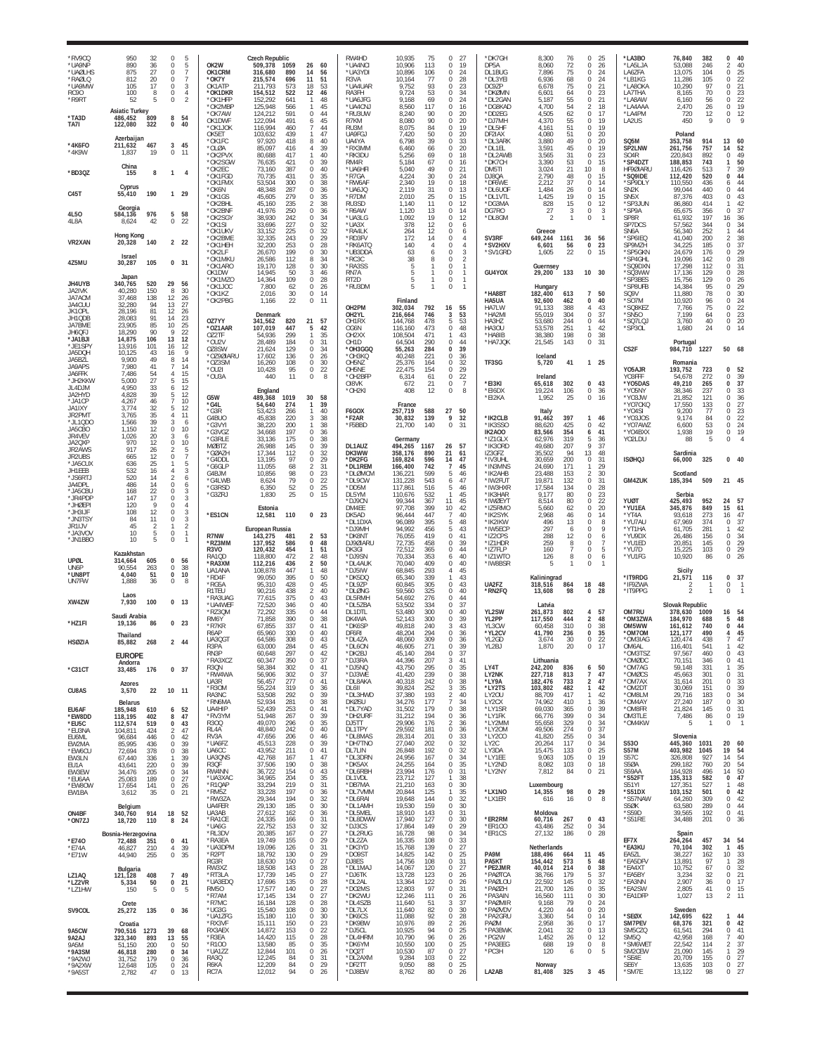| *RV9CQ<br>*UA9NP<br>*UAØLHS<br>*RAØLO<br>*UA9MW<br><b>RC90</b><br>*R9RT<br>*TA3D | 950<br>32<br>890<br>36<br>875<br>27<br>812<br>20<br>105<br>17<br>100<br>8<br>52<br>5<br><b>Asiatic Turkey</b><br>809<br>486,452 | 0<br>5<br>5<br>$\Omega$<br>7<br>0<br>$\overline{7}$<br>$\Omega$<br>3<br>$\Omega$<br>$\Omega$<br>4<br>0<br>2<br>8<br>54 | OK2W<br><b>OK1CRM</b><br>'OK7Y<br>OK1ATP<br>*OK1DKR<br>*OK1HFF<br>*OK2MBF<br>*OK7AW | Czech Republic<br>509,378<br>1059<br>316,680<br>890<br>215,574<br>696<br>211,793<br>573<br>154,512<br>522<br>152.292<br>641<br>125,948<br>566<br>124,212<br>591 | 26<br>60<br>14<br>56<br>51<br>11<br>18<br>53<br>12<br>46<br>48<br>45<br>0<br>44 | RW4HD<br>*UA4NCI<br>*UA3YDI<br>R <sub>3</sub> VA<br>*UA4UAR<br>RA3FH<br>*UA6JFG<br>*UA4CN.<br>*RU3UW | 10,935<br>75<br>10.906<br>113<br>10,896<br>106<br>77<br>10,164<br>9,752<br>93<br>9,724<br>53<br>9,168<br>69<br>8,560<br>117<br>8,240<br>90<br>8,080 | 0<br>27<br>19<br>$\Omega$<br>24<br>$\mathbf 0$<br>28<br>$\Omega$<br>$\Omega$<br>23<br>34<br>$\Omega$<br>24<br>$\Omega$<br>$\Omega$<br>16<br>20<br>$\Omega$<br>20<br>$\Omega$ | *DK7GH<br>DP5A<br>DL1BUG<br>*DL3YEI<br>DC9ZP<br>*DKØMN<br>*DL2GAN<br>*DG8KAD<br>*DD2EG | 8,300<br>76<br>8.060<br>72<br>7,896<br>75<br>6,936<br>68<br>75<br>6,678<br>6,601<br>64<br>55<br>5,187<br>4,700<br>54<br>62<br>4,505<br>55 | 0<br>25<br>$\mathbf 0$<br>26<br>0<br>24<br>24<br>$\Omega$<br>0<br>21<br>0<br>23<br>0<br>21<br>$\overline{2}$<br>18<br>$\,0\,$<br>17<br>19 | *LA3BO<br>*I A5I JA<br>LA6ZFA<br>*I B1KG<br>*LA8OKA<br>LA7THA<br>*LA8AW<br>*LA4AAA<br>*LA4PM | 76,840<br>53.088<br>13,075<br>11.286<br>10,290<br>8,165<br>6,160<br>2,470<br>720<br>450 | 382<br>246<br>104<br>105<br>97<br>70<br>56<br>26<br>12<br>9 | $\Omega$<br>40<br>40<br>$\mathcal{P}$<br>$\frac{25}{22}$<br>0<br>$\Omega$<br>$\Omega$<br>$\begin{array}{c} 23 \\ 22 \end{array}$<br>$\Omega$<br>$\Omega$<br>19<br>$\Omega$<br>12<br>0<br>$\Omega$ |
|----------------------------------------------------------------------------------|---------------------------------------------------------------------------------------------------------------------------------|------------------------------------------------------------------------------------------------------------------------|-------------------------------------------------------------------------------------|-----------------------------------------------------------------------------------------------------------------------------------------------------------------|---------------------------------------------------------------------------------|------------------------------------------------------------------------------------------------------|-----------------------------------------------------------------------------------------------------------------------------------------------------|------------------------------------------------------------------------------------------------------------------------------------------------------------------------------|----------------------------------------------------------------------------------------|-------------------------------------------------------------------------------------------------------------------------------------------|-------------------------------------------------------------------------------------------------------------------------------------------|----------------------------------------------------------------------------------------------|-----------------------------------------------------------------------------------------|-------------------------------------------------------------|---------------------------------------------------------------------------------------------------------------------------------------------------------------------------------------------------|
| TA7I                                                                             | 122,080<br>322<br>Azerbaijan                                                                                                    | 40<br>0                                                                                                                | OK1DWF<br>*OK1JOK<br>OK5ET<br>OK1FC                                                 | 122,094<br>491<br>116,994<br>460<br>103,632<br>439<br>97,920<br>418                                                                                             | 6<br>45<br>7<br>44<br>1<br>47<br>8<br>40                                        | R7KM<br>RU3M<br>UA9FGJ<br>UA4YA                                                                      | 90<br>8,075<br>84<br>7,420<br>50<br>39<br>6,798                                                                                                     | 19<br>$\Omega$<br>$\Omega$<br>20<br>33<br>$\Omega$                                                                                                                           | *DJ7MH<br>*DL5HF<br>DF2IAX<br>*DL3ARK                                                  | 4,370<br>4,161<br>51<br>4,080<br>51<br>49<br>3,880                                                                                        | 0<br>19<br>0<br>0<br>20<br>$\,0\,$<br>20                                                                                                  | LA2US<br>SQ5M                                                                                | Poland<br>353,758                                                                       | 914                                                         | 13<br>60                                                                                                                                                                                          |
| *4K6FO<br>*4K9W                                                                  | 211,632<br>467<br>19<br>1.837<br>China                                                                                          | 45<br>3<br>0<br>11                                                                                                     | *OLØA<br>*OK2PVX<br>*OK2SGW                                                         | 85,097<br>416<br>80.688<br>417<br>76,635<br>421                                                                                                                 | 39<br>4<br>40<br>0<br>39                                                        | *RX3MM<br>*RK3DU<br>RM4R                                                                             | 6,460<br>66<br>5.256<br>69<br>5,184<br>67                                                                                                           | 20<br>$\mathbf 0$<br>18<br>0<br>16<br>0                                                                                                                                      | *DL1EL<br>*DL2AWB<br>*DK7CH                                                            | 3,591<br>45<br>31<br>3,565<br>3,390<br>53                                                                                                 | 0<br>19<br>$\mathbf 0$<br>23<br>0<br>15                                                                                                   | SP2LNW<br>S <sub>04</sub> R<br>*SP4DZT                                                       | 261,756<br>220.843<br>188,853                                                           | 757<br>892<br>743                                           | 52<br>14<br>49<br>$\Omega$<br>50<br>1                                                                                                                                                             |
| *BD3QZ                                                                           | 155<br>8<br>Cyprus                                                                                                              | 1<br>$\overline{4}$                                                                                                    | *OK2FC<br>*OK1FGD<br>*OK1FMX                                                        | 73,160<br>387<br>70,735<br>431<br>53.504<br>300                                                                                                                 | $\,0\,$<br>40<br>0<br>35<br>0<br>38                                             | *UA6HFI<br>*R7GA<br>*RW6AF                                                                           | 5,040<br>49<br>4,224<br>30<br>2,340<br>19                                                                                                           | 21<br>$\Omega$<br>24<br>$\mathbf 0$<br>18<br>$\Omega$                                                                                                                        | DM5TI<br>DJ8QA<br>*DF6WE                                                               | 3,024<br>21<br>2,790<br>48<br>2.212<br>37                                                                                                 | 10<br>8<br>0<br>15<br>$\Omega$<br>14                                                                                                      | HF9ØIARU<br>*SQ9IDE<br>*SP9DLY                                                               | 116,426<br>112,420<br>110.550                                                           | 513<br>520<br>436                                           | 39<br>7<br>44<br>0<br>$\frac{44}{44}$<br>6                                                                                                                                                        |
| C45T                                                                             | 55,410<br>190<br>Georgia                                                                                                        | 29<br>1                                                                                                                | *OK6N<br>*OK1GS<br>*OK2BHL<br>*OK2BNF                                               | 48,348<br>287<br>45,605<br>279<br>45,160<br>235<br>41,976<br>250                                                                                                | 0<br>36<br>0<br>35<br>38<br>2<br>$\Omega$<br>36                                 | *UA6JQ<br>*R7DM<br>RU3SD<br>*R6AW                                                                    | 2,119<br>31<br>25<br>2,010<br>1.140<br>11<br>1,120<br>13                                                                                            | $\Omega$<br>13<br>$\Omega$<br>15<br>12<br>$\Omega$<br>$\Omega$<br>14                                                                                                         | *DL6UOI<br>*DL1VTL<br>*DG3MA<br>DG7RO                                                  | 1,484<br>26<br>19<br>1,425<br>15<br>828<br>27<br>3                                                                                        | 0<br>14<br>15<br>0<br>0<br>12<br>0<br>3                                                                                                   | SN2K<br>SN <sub>5</sub> X<br>*SP3JUN<br>*SP9A                                                | 99,044<br>87,376<br>86.860<br>65,675                                                    | 440<br>403<br>414<br>356                                    | $\Omega$<br>43<br>$\Omega$<br>42<br>$\Omega$                                                                                                                                                      |
| 4L50<br>4L8A                                                                     | 584,136<br>976<br>8,624<br>42                                                                                                   | 58<br>5<br>22<br>$\mathbf{0}$                                                                                          | *OK2SGY<br>*OK1SI<br>*OK1UKV                                                        | 38,930<br>242<br>33,696<br>227<br>33,152<br>225                                                                                                                 | 0<br>34<br>32<br>0<br>0<br>32                                                   | *UA3LG<br>*UA3X<br>*RA4LK                                                                            | 1,092<br>19<br>12<br>378<br>12<br>264                                                                                                               | 12<br>$\Omega$<br>$\Omega$<br>6<br>$\Omega$<br>6                                                                                                                             | *DL8GM                                                                                 | $\overline{2}$<br>Greece                                                                                                                  | 0<br>$\mathbf{1}$                                                                                                                         | SP8R<br>SP7DCS<br>SN6A                                                                       | 61.932<br>57,562<br>56,340                                                              | 197<br>344<br>252                                           | $\begin{array}{c} 37 \\ 36 \end{array}$<br>16<br>34<br>0<br>44<br>1                                                                                                                               |
| VR2XAN                                                                           | Hong Kong<br>20,328<br>140<br>Israel                                                                                            | $\overline{2}$<br>22                                                                                                   | *OK2BME<br>*OK1HFH<br>*OK2LF                                                        | 32,335<br>243<br>32.200<br>253<br>26,670<br>199                                                                                                                 | 0<br>29<br>$\mathbf 0$<br>28<br>0<br>30                                         | *RD3FV<br>*RK6ATQ<br>*UB3DDA                                                                         | 172<br>14<br>140<br>$\overline{4}$<br>63<br>6                                                                                                       | 0<br>$\overline{4}$<br>$\Omega$<br>$\overline{4}$<br>3<br>$\mathbf 0$                                                                                                        | SV3RF<br>'SV2HXV<br>*SV1GRD                                                            | 649,244<br>1161<br>56<br>6,601<br>1,605<br>22                                                                                             | 36<br>56<br>23<br>$\bf{0}$<br>0<br>15                                                                                                     | *SP6IEQ<br>SP9MZH<br>*SP5GKN                                                                 | 41,040<br>34.225<br>24,679                                                              | 200<br>185<br>176                                           | $\frac{38}{37}$<br>$\overline{2}$<br>$\mathbf 0$<br>29<br>$\Omega$                                                                                                                                |
| 4Z5MU                                                                            | 105<br>30,287<br>Japan                                                                                                          | 0, 31                                                                                                                  | *OK1MKL<br>*OK1ARO<br>OK1DW                                                         | 26,586<br>112<br>19,170<br>128<br>14.945<br>50                                                                                                                  | 34<br>8<br>30<br>0<br>3<br>46                                                   | *RC3C<br>*RA3SS<br>RN7A                                                                              | 38<br>8<br>5                                                                                                                                        | $\mathcal{P}$<br>$\Omega$<br>0<br>$\mathbf{1}$<br>$\Omega$<br>$\mathbf{1}$                                                                                                   | GU4YOX                                                                                 | Guernsey<br>29,200<br>133                                                                                                                 | 10 30                                                                                                                                     | *SP4GHL<br>*SQ9DXN<br>*SQ3WW                                                                 | 19.096<br>17,298<br>17.136                                                              | 142<br>112<br>129                                           | 28<br>$\Omega$<br>31<br>0<br>28<br>$\Omega$                                                                                                                                                       |
| JH4UYB<br>JA2IVK<br>JA7ACM                                                       | 340,765<br>520<br>40,280<br>150<br>37,468<br>138                                                                                | 29<br>56<br>30<br>8<br>12<br>26                                                                                        | *OK1MZO<br>*OK1JOC<br>*OK1KZ<br>*OK2PBG                                             | 14,364<br>109<br>7.800<br>$\frac{62}{30}$<br>2,016<br>22<br>1,166                                                                                               | 0<br>28<br>$_{0}^{0}$<br>26<br>14<br>$\mathbb O$<br>11                          | RT <sub>2</sub> D<br>*RU3DM                                                                          | 5<br>Finland                                                                                                                                        | $\mathbf 0$<br>-1<br>$\overline{1}$<br>$\Omega$                                                                                                                              | *HA8BT<br>HA5UA                                                                        | Hungary<br>182,400<br>613<br>92,600<br>462                                                                                                | 50<br>7<br>0<br>40                                                                                                                        | *SP3BES<br>*SP8UFB<br>SQ9V<br>*SO7M                                                          | 15,756<br>14.384<br>11.880<br>10,920                                                    | 129<br>95<br>78<br>96                                       | 26<br>$\Omega$<br>$\frac{29}{30}$<br>$\Omega$<br>$\Omega$<br>24<br>$\Omega$                                                                                                                       |
| JA4CUU<br>JK10PL<br>JH1QDB                                                       | 94<br>32,280<br>28,196<br>81<br>91<br>28,083<br>23,905<br>85                                                                    | 13<br>27<br>12<br>26<br>23<br>14<br>25<br>10                                                                           | OZ7YY                                                                               | Denmark<br>341,562<br>820                                                                                                                                       | 21<br>57                                                                        | OH2PM<br>OH2YL<br>OH1RX                                                                              | 792<br>302,034<br>216,664<br>746<br>144.768<br>478                                                                                                  | 55<br>16<br>3<br>53<br>53<br>5.                                                                                                                                              | HA7LW<br>*HA2MI<br>HA3HZ                                                               | 91.133<br>388<br>55,019<br>304<br>53,680<br>244                                                                                           | 43<br>4<br>0<br>37<br>0<br>44                                                                                                             | *SQ8KEZ<br>*SN5O<br>*SQ7LQJ                                                                  | 7,766<br>7,199<br>3,760                                                                 | 75<br>64<br>40                                              | 22<br>$\Omega$<br>$\frac{23}{20}$<br>$\Omega$<br>0                                                                                                                                                |
| JA7BME<br>JH6QFJ<br>*JA1BJI<br>*JE1SPY                                           | 18,290<br>90<br>106<br>14,875<br>13,916<br>101                                                                                  | 9<br>22<br>12<br>13<br>16<br>12                                                                                        | *OZ1AAR<br>OZ2TF<br>*OU2V<br>078SW                                                  | 107,019<br>447<br>54,936<br>299<br>28,489<br>184<br>21,624<br>129                                                                                               | 5<br>42<br>$\mathbf{1}$<br>35<br>0<br>31<br>$\Omega$<br>34                      | OG6N<br>OH <sub>2</sub> XX<br>OH <sub>1</sub> D<br>*OH3GGO                                           | 116,160<br>473<br>108,504<br>471<br>64,504<br>290<br>55,263<br>284                                                                                  | 0<br>48<br>43<br>1<br>0<br>44<br>39<br>$\Omega$                                                                                                                              | HA3OU<br>*HA8IB<br>*HA7JQK                                                             | 53,578<br>251<br>38,380<br>198<br>21,545<br>143                                                                                           | 42<br>$\mathbf{1}$<br>38<br>0<br>0<br>31                                                                                                  | *SP3OL<br>CS <sub>2F</sub>                                                                   | 1,680<br>Portugal<br>984,710                                                            | 24<br>1227                                                  | 14<br>0<br>50<br>68                                                                                                                                                                               |
| JA5DOH<br>JA5BZL<br>JA9APS                                                       | 10.125<br>43<br>9,900<br>49<br>7.980<br>41                                                                                      | 9<br>16<br>14<br>8<br>14<br>7                                                                                          | *OZ9ØIARU<br>$*0735M$<br>*OU2I                                                      | 17,602<br>136<br>16,260<br>108<br>10,428<br>95                                                                                                                  | 0<br>26<br>$\Omega$<br>30<br>0<br>22                                            | *OH3KQ<br>OH <sub>5</sub> N <sub>Z</sub><br>OH5NE                                                    | 40,248<br>221<br>25,376<br>164<br>22,475<br>154                                                                                                     | 36<br>0<br>32<br>$\Omega$<br>29<br>$\mathbf{0}$                                                                                                                              | TF3SG                                                                                  | Iceland<br>41<br>5,720                                                                                                                    | 25<br>$\mathbf{1}$                                                                                                                        | Y05AJR                                                                                       | Romania<br>193,752                                                                      | 723                                                         | 0<br>52                                                                                                                                                                                           |
| JA6FFK<br>*JH2KKW<br>JL4DJM                                                      | 7,486<br>54<br>5.000<br>27<br>4,950<br>33<br>39                                                                                 | 4<br>15<br>15<br>5<br>12<br>6<br>12<br>5                                                                               | *OU3A                                                                               | 11<br>440<br>England                                                                                                                                            | $\,0\,$<br>8                                                                    | *OH2BFF<br>OI8VK<br>*OH2KI                                                                           | 6,314<br>61<br>672<br>21<br>12<br>408                                                                                                               | 22<br>$\Omega$<br>$\overline{7}$<br>$\mathbf 0$<br>$\Omega$<br>8                                                                                                             | *EI3KI<br>*EI6DX                                                                       | Ireland<br>65,618<br>302<br>19,224<br>106                                                                                                 | 0<br>43<br>0<br>36                                                                                                                        | YO3FFF<br>*Y05DAS<br>*Y05NY                                                                  | 54,678<br>49,210<br>38.346                                                              | 272<br>265<br>237                                           | 39<br>$\Omega$<br>37<br>$\mathbf 0$<br>$\begin{array}{c} 33 \\ 36 \end{array}$<br>$\Omega$                                                                                                        |
| JA2HYD<br>*JA1CP<br>JA1IXY<br>JR2PMT                                             | 4,828<br>4,267<br>46<br>3,774<br>32<br>3,765<br>35                                                                              | 10<br>7<br>12<br>5<br>11<br>4                                                                                          | G5W<br>*G4L<br>*G3R                                                                 | 489,368<br>1019<br>54,640<br>274<br>53,423<br>266                                                                                                               | 30<br>58<br>$\mathbf{1}$<br>39<br>40<br>-1                                      | F6GOX                                                                                                | France<br>588<br>257.719                                                                                                                            | 27<br>50<br>9                                                                                                                                                                | *EI2KA                                                                                 | 1,952<br>25<br>Italy                                                                                                                      | $\,0\,$<br>16<br>1                                                                                                                        | *YO3JW<br>*YO7CKC<br>*Y04SI                                                                  | 21,852<br>17,550<br>9,200                                                               | 121<br>133<br>77                                            | $\Omega$<br>$\frac{27}{23}$<br>$\Omega$<br>$\Omega$<br>$\Omega$                                                                                                                                   |
| *JL1QD0<br>JA5CBO<br>JR4VEV                                                      | 39<br>1,566<br>1,150<br>12<br>20<br>1,026                                                                                       | 3<br>6<br>10<br>0<br>3<br>6                                                                                            | G4BUC<br>*G3VYI<br>*G3VGZ<br>*G3RLE                                                 | 45,838<br>220<br>38,220<br>200<br>34,668<br>197<br>33,136<br>175                                                                                                | 3<br>38<br>1<br>38<br>0<br>36<br>38<br>0                                        | *F2AR<br>*F5BBD                                                                                      | 30,832<br>139<br>21,700<br>140<br>Germany                                                                                                           | 32<br>$\Omega$<br>31                                                                                                                                                         | *IK2CLB<br>*IK3SSO<br>IK2A00<br>*IZ1GLX                                                | 91,462<br>397<br>425<br>88,620<br>83,566<br>354<br>62,976<br>319                                                                          | 46<br>42<br>0<br>6<br>41<br>5<br>36                                                                                                       | *Y03J0S<br>*YO7AWZ<br>*YO4BXX<br>Y02LDU                                                      | 9,174<br>6,600<br>1,938<br>88                                                           | 84<br>53<br>19<br>5                                         | 22<br>24<br>$\Omega$<br>19<br>0<br>$\Omega$                                                                                                                                                       |
| JA2QXP<br>JR2AWS<br>JR2UBS                                                       | 970<br>12<br>917<br>26<br>12<br>665<br>636                                                                                      | 10<br>$\Omega$<br>5<br>2<br>$\,0\,$<br>$\overline{7}$<br>5                                                             | <b>MØBTZ</b><br>`GØAZI<br>*G4DDL                                                    | 26,988<br>145<br>17,344<br>112<br>13,195<br>97                                                                                                                  | 0<br>39<br>$\mathbf 0$<br>32<br>0<br>29                                         | DL1AUZ<br>DK3WW<br>*DK2FG                                                                            | 494,265<br>1167<br>358.176<br>890<br>169,824<br>596                                                                                                 | 26<br>57<br>21<br>61<br>14<br>47                                                                                                                                             | *IK3ORD<br>IZ3GFZ<br>*IV3UHL                                                           | 49,680<br>207<br>94<br>35,502<br>30,659<br>200                                                                                            | 9<br>37<br>13<br>48<br>0<br>31                                                                                                            | <b>ISØHQJ</b>                                                                                | Sardinia<br>66,000                                                                      | 325                                                         | $\Omega$<br>40                                                                                                                                                                                    |
| *JA5CUX<br>JH1EEB<br>*JS6RTJ<br>JA4DPL                                           | 25<br>532<br>16<br>520<br>14<br>486<br>14                                                                                       | 3<br>4<br>$\overline{2}$<br>6<br>$\Omega$<br>6                                                                         | *G6GL F<br>G4BJM<br>'G4I WP                                                         | 11.055<br>68<br>10,856<br>98<br>8,624<br>79                                                                                                                     | 31<br>2<br>0<br>23<br>$\,0\,$<br>22                                             | *DL1REM<br>*DLØMCM<br>*DL9CW                                                                         | 166,400<br>742<br>136,221<br>599<br>543<br>131,228                                                                                                  | 45<br>$\overline{7}$<br>5<br>46<br>47<br>6                                                                                                                                   | *IN3MNS<br>*IK2AHB<br>*IW2FUT                                                          | 171<br>24,690<br>23,488<br>153<br>19,871<br>132                                                                                           | 29<br>$\mathbf{1}$<br>$\overline{2}$<br>30<br>$\,0\,$<br>31                                                                               | <b>GM4ZUK</b>                                                                                | Scotland<br>185,394                                                                     | 509                                                         | 21 45                                                                                                                                                                                             |
| *JA5CBL<br>*JR4PDF<br>*JHØEPI                                                    | 168<br>22<br>17<br>147<br>120<br>Q                                                                                              | 3<br>0<br>3<br>$\Omega$<br>$\Omega$<br>$\overline{4}$                                                                  | *G3RSD<br>*G3ZRJ                                                                    | 52<br>6,350<br>1,830<br>25<br>Estonia                                                                                                                           | 0<br>25<br>$\mathbb O$<br>15                                                    | *DD5M<br>DL5YM<br>*DJ9CN<br>DM4EE                                                                    | 117,861<br>516<br>110,676<br>532<br>99,344<br>367<br>97,708<br>399                                                                                  | 46<br>5<br>45<br>1<br>45<br>11<br>10<br>42                                                                                                                                   | *IW3HXR<br>*IK3HAR<br>*IWØEYT<br>*IZ5RMO                                               | 17,584<br>134<br>9.177<br>80<br>8,514<br>80<br>5,660<br>62                                                                                | 0<br>28<br>$^{23}_{22}$<br>$\Omega$<br>0<br>20<br>0                                                                                       | YUØT<br>*YU1EA                                                                               | Serbia<br>425,493<br>345,876                                                            | 952<br>849                                                  | 57<br>24<br>15<br>61                                                                                                                                                                              |
| *JH3IJF<br>*JN3TSY<br>JR1IJV                                                     | 108<br>12<br>11<br>84<br>45<br>$\overline{2}$                                                                                   | 3<br>$\Omega$<br>3<br>0<br>$\mathbf{1}$<br>2                                                                           | *ES1CN                                                                              | 12,581<br>110<br>European Russia                                                                                                                                | 0 <sub>23</sub>                                                                 | DK5AD<br>*DL1DXA<br>*DJ9MH                                                                           | 96,444<br>447<br>96,089<br>395<br>94,992<br>456                                                                                                     | 40<br>7<br>5<br>48<br>43<br>5                                                                                                                                                | *IK2SYK<br>*IK2IKW<br>*IW5ECP                                                          | 2,968<br>46<br>13<br>496<br>297<br>6                                                                                                      | 0<br>14<br>0<br>8<br>9<br>0                                                                                                               | *YT4A<br>*YU7AU<br>*YT1HA                                                                    | 93,618<br>67,969<br>61,705                                                              | 273<br>374<br>281                                           | 47<br>16<br>37<br>$\Omega$<br>42<br>-1                                                                                                                                                            |
| *JA3VO\<br>*JN1BBO                                                               | 10<br>5<br>10<br>5<br>Kazakhstan                                                                                                | 0<br>$\mathbf{1}$<br>$\Omega$<br>$\mathbf{1}$                                                                          | R7NW<br>*RZ3MM<br>R3VO                                                              | 143,275<br>481<br>137,952<br>586<br>120,432<br>454                                                                                                              | 2<br>53<br>0<br>48<br>1<br>51                                                   | *DK8NT<br>DJ9ØIARU<br>DK3GI                                                                          | 76,055<br>419<br>72,735<br>458<br>72,512<br>365                                                                                                     | 41<br>$\Omega$<br>0<br>39<br>0<br>44                                                                                                                                         | *IZ2CPS<br>*IZ1HDR<br>*IZ7FLP                                                          | 12<br>288<br>259<br>8<br>160<br>$\overline{7}$                                                                                            | 0<br>6<br>0<br>7<br>5<br>0                                                                                                                | *YU9DX<br>*YU1ED<br>*YU7D                                                                    | 26,486<br>20,851<br>15,225                                                              | 156<br>145<br>103                                           | 34<br>$\Omega$<br>29<br>$\mathbf 0$<br>$^{29}_{26}$<br>0                                                                                                                                          |
| UPØL<br>UN6P<br>*UN8PT                                                           | 605<br>314,664<br>90,554<br>263<br>4,040<br>51                                                                                  | $\Omega$<br>56<br>0<br>38<br>10<br>$\mathbf{0}$                                                                        | RA10D<br>*RA3XM<br>UA1ANA<br>*RD4F                                                  | 472<br>118.800<br>112,216<br>436<br>108,878<br>447<br>99,050<br>395                                                                                             | 48<br>2<br>2<br>50<br>48<br>0<br>50                                             | *DJ9SN<br>*DL4AUK<br>*DJ5IW<br>*DK5DQ                                                                | 353<br>70.334<br>70,040<br>409<br>68,845<br>293<br>65,340<br>339                                                                                    | 40<br>6<br>0<br>40<br>45<br>4<br>43<br>1                                                                                                                                     | *IZ1WTO<br>*IW8BSR                                                                     | 8<br>126<br>Kaliningrad                                                                                                                   | $\boldsymbol{6}$<br>$\mathbf 0$<br>0<br>$\mathbf{1}$                                                                                      | *YU1FG<br>*IT9RDG                                                                            | 10,920<br>Sicily<br>21,571                                                              | 86<br>116                                                   | $\Omega$<br>0<br>37                                                                                                                                                                               |
| UN7FW                                                                            | 1,888<br>36<br>Laos                                                                                                             | 0<br>8                                                                                                                 | *RG5A<br>R1TEU<br>*RA3UAG                                                           | 95,310<br>428<br>90,216<br>438<br>77,615<br>375                                                                                                                 | $\,0\,$<br>45<br>2<br>40<br>$\,0\,$<br>43                                       | *DL9ZP<br>*DLØNG<br>DL5RMH                                                                           | 60,845<br>305<br>59,560<br>325<br>54,692<br>276                                                                                                     | 43<br>$\Omega$<br>0<br>40<br>44<br>$\Omega$                                                                                                                                  | UA2FZ<br>*RN2FQ                                                                        | 318,516<br>864<br>13,608<br>98                                                                                                            | 18<br>48<br>0<br>28                                                                                                                       | *IF97WA<br>*IT9PPG                                                                           | 2<br>$\mathfrak{p}$                                                                     |                                                             | $\Omega$<br>r<br>$\Omega$                                                                                                                                                                         |
| XW4ZW<br>*HZ1FI                                                                  | 100<br>7,930<br>Saudi Arabia<br>19,136<br>86                                                                                    | $\bf{0}$<br>13<br>23<br>0                                                                                              | *UA4WEF<br>*RZ3QM<br>RM6Y                                                           | 72,520<br>346<br>72,292<br>335<br>71,858<br>390                                                                                                                 | 0<br>40<br>0<br>44<br>$\Omega$<br>38                                            | *DL5ZBA<br>DL1DTL<br>DK4WA                                                                           | 53.502<br>334<br>53,480<br>300<br>52,143<br>300                                                                                                     | 37<br>$\Omega$<br>$\Omega$<br>40<br>$\Omega$<br>-39                                                                                                                          | YL2SW<br>YL2PP                                                                         | Latvia<br>261,873<br>802<br>117.550<br>444                                                                                                | 4<br>57<br>2<br>48                                                                                                                        | OM7RU<br>*OM3ZWA                                                                             | <b>Slovak Republic</b><br>378,630<br>184.970                                            | 1009<br>688                                                 | 16<br>54<br>48<br>5                                                                                                                                                                               |
| <b>HSØZIA</b>                                                                    | Thailand<br>85.882<br>268                                                                                                       | 2 44                                                                                                                   | *R7KR<br>R6AP<br>UA3QGT                                                             | 67,855<br>337<br>65,960<br>330<br>64,586<br>308                                                                                                                 | $\Omega$<br>41<br>0<br>40<br>0<br>43                                            | *DK6SF<br>DF6RI<br>*DL4ZA                                                                            | 49,818<br>240<br>48.204<br>294<br>48,060<br>309                                                                                                     | 3<br>43<br>36<br>$\mathbf{0}$<br>$\Omega$<br>36                                                                                                                              | YL3CW<br>*YL2CV<br>YL2GD                                                               | 60,458<br>310<br>41,790<br>236<br>30<br>3.674                                                                                             | 0<br>38<br>0<br>35<br>0<br>22                                                                                                             | OM5WW<br>*OM7OM<br>*OM3IAG                                                                   | 161,612<br>121,177<br>120,474                                                           | 740<br>490<br>438                                           | 44<br>$\Omega$<br>45<br>4<br>47                                                                                                                                                                   |
|                                                                                  | <b>EUROPE</b><br>Andorra                                                                                                        |                                                                                                                        | R3P/<br>RN3P<br>*RA3XCZ<br>R3QN                                                     | 63,000<br>284<br>297<br>60,648<br>350<br>60,347<br>58,384<br>302                                                                                                | 0<br>0<br>42<br>$\,0\,$<br>37<br>0<br>41                                        | *DL6ON<br>*DK2BJ<br>*DJ3RA<br>*DJ5NQ                                                                 | 46,605<br>271<br>45,140<br>284<br>44,396<br>207<br>43,750<br>295                                                                                    | 39<br>0<br>37<br>41<br>3<br>0<br>35                                                                                                                                          | YL2BJ<br>LY4T                                                                          | 1,870<br>20<br>Lithuania<br>242,200<br>836                                                                                                | 50<br>6                                                                                                                                   | OM6AL<br>*OM3TSZ<br>*OMØDC<br>*OM7AG                                                         | 116.40<br>97,567<br>70,151<br>59,148                                                    | 541<br>460<br>346<br>331                                    | 43<br>$\Omega$<br>41<br>0<br>1                                                                                                                                                                    |
| $*$ C31CT<br>CU8AS                                                               | 33,485<br>176<br>Azores<br>3,570<br>22                                                                                          | 0, 37<br>10 11                                                                                                         | *RW4WA<br>UA3R<br>*R30M                                                             | 56,906<br>302<br>56,457<br>277<br>55,224<br>319                                                                                                                 | -37<br>$\Omega$<br>0<br>41<br>$\mathbb O$<br>-36                                | *DJ3WE<br>*DL8AKA<br>DL6II                                                                           | 41,420<br>239<br>40,318<br>242<br>39,824<br>252                                                                                                     | 38<br>$\Omega$<br>38<br>$\mathbf{0}$<br>35<br>3                                                                                                                              | LY2NK<br>*LY9A<br>*LY2TS                                                               | 227,718<br>813<br>182,476<br>733<br>103,802<br>482                                                                                        | 47<br>$\overline{7}$<br>$\overline{2}$<br>47<br>42<br>1                                                                                   | *OMØCS<br>*OM7AX<br>*OM2DT                                                                   | 45,663<br>31,614<br>30.069                                                              | 301<br>201<br>151                                           | 35<br>31<br>33<br>39<br>34<br>$\Omega$<br>0<br>$\Omega$                                                                                                                                           |
| EU6AF                                                                            | <b>Belarus</b><br>185,948<br>610                                                                                                | 52<br>6                                                                                                                | RA3NC<br>*RN6MA<br>UA4HIP                                                           | 53,508<br>292<br>52.934<br>281<br>52,439<br>253                                                                                                                 | 0<br>39<br>0<br>38<br>0<br>-41                                                  | *DL3HWD<br><b>DKØSU</b><br>*DL7YAD                                                                   | 37,380<br>193<br>34,276<br>177<br>31,502<br>179                                                                                                     | 2<br>40<br>34<br>7<br>38<br>$\mathbf{0}$                                                                                                                                     | LY20U<br>LY2CX<br>*LY1SR                                                               | 88,709<br>417<br>74,962<br>410<br>69,030<br>365                                                                                           | 42<br>$\mathbf{1}$<br>36<br>$\mathbf{1}$<br>0<br>39                                                                                       | *OM8LM<br>*OM4AY<br>*OM8FR                                                                   | 29,716<br>27,240<br>21,824                                                              | 183<br>187<br>145                                           | 0<br>$\frac{30}{31}$<br>$\Omega$<br>$\mathbf{0}$                                                                                                                                                  |
| *EW8DD<br>*EU5C<br>*EU3NA<br>EU6ML                                               | 118,195<br>402<br>112,574<br>519<br>104,811<br>424<br>96,684<br>446                                                             | 47<br>8<br>43<br>0<br>47<br>2<br>42<br>$\Omega$                                                                        | *RV3YM<br>R300<br>RL4A<br>RV3A                                                      | 267<br>51,948<br>49,070<br>296<br>48,840<br>242<br>47,656<br>206                                                                                                | 0<br>39<br>35<br>0<br>0<br>40<br>0<br>46                                        | *DH2URF<br>DJ5TT<br>DL1TPY<br>*DL8MAS                                                                | 31,212<br>194<br>29,906<br>176<br>29,592<br>181<br>28,314<br>201                                                                                    | 0<br>36<br>$\mathcal{P}$<br>36<br>$\Omega$<br>36<br>$\mathbf{0}$<br>33                                                                                                       | *LY1FK<br>*LY2MM<br>*LY20M<br>*LY2CO                                                   | 66,776<br>399<br>329<br>55,658<br>49,506<br>274<br>41,820<br>255                                                                          | 34<br>0<br>34<br>0<br>37<br>0<br>0<br>34                                                                                                  | OM3TLE<br>*OM4KW                                                                             | 7,486<br>5<br>Slovenia                                                                  | 86<br>$\mathbf{1}$                                          | 19<br>$\mathbf 0$<br>$\mathbf 0$<br>-1                                                                                                                                                            |
| EW2MA<br>*EW6CU<br>EW3LN                                                         | 85,995<br>436<br>72,694<br>378<br>67,440<br>336                                                                                 | 39<br>$\Omega$<br>0<br>38<br>39<br>$\mathbf{1}$                                                                        | *UA6FZ<br>UA6CC<br>UA3QNS                                                           | 45,513<br>228<br>43,952<br>211<br>42,768<br>167                                                                                                                 | 39<br>0<br>0<br>41<br>1<br>47                                                   | *DH7TNO<br>DL7LIN<br>*DL3DRN                                                                         | 27,040<br>202<br>26,848<br>192<br>24,956<br>167                                                                                                     | 32<br>0<br>32<br>$^{\circ}$<br>0<br>34                                                                                                                                       | LY <sub>2</sub> C<br>LY3DA<br>*LY1EE                                                   | 117<br>20,264<br>133<br>15,475<br>9,063<br>105                                                                                            | $\,0\,$<br>34<br>25<br>0<br>19<br>0                                                                                                       | S530<br><b>S57M</b><br>S57C                                                                  | 445,360<br>403,982<br>326,808                                                           | 1031<br>1045<br>927                                         | 20<br>60<br>54<br>19<br>14                                                                                                                                                                        |
| EU1A<br>EW3EW<br>*EU6AA                                                          | 43,641<br>220<br>34.476<br>205<br>25,083<br>189                                                                                 | 0<br>39<br>34<br>$\Omega$<br>27<br>0                                                                                   | R <sub>3</sub> OF<br>RW4NN<br>*UA3XAC                                               | 37,506<br>190<br>36,722<br>154<br>34,965<br>204                                                                                                                 | $\mathbb O$<br>38<br>0<br>43<br>$\Omega$<br>35                                  | *DK5AX<br>*DL6RBH<br>DL1VDL                                                                          | 24,255<br>164<br>23,994<br>176<br>23,712<br>127                                                                                                     | 35<br>$\Omega$<br>0<br>31<br>38<br>1.                                                                                                                                        | *LY2ND<br>*LY2NY                                                                       | 8,082<br>103<br>7,812<br>84                                                                                                               | 18<br>0<br>0<br>21                                                                                                                        | <b>S50A</b><br>S59AA<br>*S52FT                                                               | 299,182<br>164,928<br>135,313                                                           | 760<br>496<br>582                                           | 54<br>54<br>50<br>$20\,$<br>14<br>$\frac{47}{48}$<br>$\mathbf 0$                                                                                                                                  |
| *EW8OW<br>EW1BA                                                                  | 17,654<br>141<br>3,612<br>-35                                                                                                   | $\Omega$<br>26<br>21<br>$^{\circ}$                                                                                     | *R1QAP<br>*RM5Z<br>*RW3ZA<br>UA4FER                                                 | 33,294<br>219<br>33,228<br>197<br>29,344<br>194                                                                                                                 | 0<br>31<br>$\mathbb O$<br>36<br>0<br>32<br>30                                   | *DB7MA<br>*DL7VMM<br>*DL6RAI<br>*DL1AMH                                                              | 21,210<br>163<br>20,844<br>125<br>19,648<br>144<br>19.530<br>159                                                                                    | 0<br>30<br>35<br>-1.<br>0<br>32<br>30<br>$\Omega$                                                                                                                            | *LX1NO<br>*LX1ER                                                                       | Luxembourg<br>14,355<br>98<br>616<br>16                                                                                                   | 29<br>$\Omega$<br>0<br>8                                                                                                                  | S51YI<br>*S51DX<br>*S57NAW<br>S5ØK                                                           | 127,351<br>103,152<br>64,260                                                            | 527<br>501<br>309<br>289                                    | $\frac{42}{42}$<br>$\Omega$<br>0<br>44<br>$\Omega$                                                                                                                                                |
| ON4BF<br>*ON7ZJ                                                                  | Belgium<br>340,760<br>914<br>18,720<br>110                                                                                      | 18 52<br>8<br>24                                                                                                       | UA3AB<br>*RA1CE<br>*UA6G                                                            | 29,130<br>185<br>27,612<br>162<br>24,335<br>166<br>22,752<br>153                                                                                                | 0<br>0<br>36<br>31<br>0<br>32<br>0                                              | *DL5MEL<br>*DL8DWW<br>*DJ3CS                                                                         | 18,910<br>143<br>17,940<br>127<br>17,864<br>149                                                                                                     | $^{\circ}$<br>31<br>$\Omega$<br>30<br>29<br>$\Omega$                                                                                                                         | *ER2RM<br>*ER100                                                                       | Moldova<br>60,716<br>267<br>43,486<br>252                                                                                                 | $\pmb{0}$<br>43<br>0<br>34                                                                                                                | *S59D<br>*S51RE                                                                              | 63,580<br>39,565<br>34,488                                                              | 192<br>201                                                  | 41<br>$^{\circ}$<br>36<br>0                                                                                                                                                                       |
| *E740<br>*E74A                                                                   | Bosnia-Herzegovina<br>72,488<br>351<br>210<br>46.827                                                                            | 0<br>41<br>39<br>$\overline{4}$                                                                                        | *RL3DV<br>*RA3EA<br>*UA3DPM                                                         | 20,385<br>167<br>19,749<br>155<br>19,096<br>126                                                                                                                 | 27<br>0<br>0<br>29<br>31<br>0                                                   | *DL2RUG<br>*DL2ZA<br>*DK3YD                                                                          | 16,728<br>98<br>108<br>16,335<br>15,768<br>139                                                                                                      | $\Omega$<br>34<br>33<br>$\mathbf{0}$<br>27<br>0                                                                                                                              | *ER1CS                                                                                 | 27,132<br>186<br>Netherlands                                                                                                              | $\,0\,$<br>28                                                                                                                             | EF7X<br>*EA3KU                                                                               | Spain<br>264,264<br>70,104                                                              | 457<br>302                                                  | 34<br>54<br>45<br>1                                                                                                                                                                               |
| *E71W                                                                            | 44,940<br>255<br>Bulgaria                                                                                                       | 0<br>35                                                                                                                | *R2PT<br>RG3R<br>RW3XZ                                                              | 18,792<br>130<br>18,630<br>150<br>18,508<br>143                                                                                                                 | 29<br>0<br>0<br>27<br>$\mathbb O$<br>28                                         | *DO9ST<br>DJ8ES<br>*DL1MAJ                                                                           | 14,825<br>142<br>14,756<br>108<br>14,067<br>120                                                                                                     | 25<br>$\Omega$<br>31<br>0<br>27<br>$\Omega$                                                                                                                                  | PA9M<br>PA5KT<br>*PE2JMR                                                               | 188,496<br>664<br>154,442<br>573<br>40,014<br>214                                                                                         | 11<br>45<br>5<br>48<br>$\overline{0}$<br>38                                                                                               | EA5ZL<br>*EA5DFV<br>*FA4XT                                                                   | 38,227<br>13,891<br>10,752                                                              | 162<br>97<br>67                                             | 33<br>10<br>$\frac{28}{32}$<br>21<br>1<br>$\mathbf{0}$                                                                                                                                            |
| LZ1AQ<br>*LZ2VR<br>*LZ1HW                                                        | 408<br>121,128<br>5,334<br>50<br>150<br>5                                                                                       | $\overline{7}$<br>49<br>0<br>21<br>5<br>0                                                                              | *RT3LA<br>*UA3EDQ<br><b>RM50</b><br>*R7AM                                           | 17,739<br>145<br>17,696<br>135<br>17,577<br>140<br>17,145<br>134                                                                                                | 0<br>27<br>$\Omega$<br>28<br>0<br>27<br>$\mathbb O$<br>27                       | *DJ6TK<br>*DL2AL<br>*DO2MS<br>*DK2WU                                                                 | 13,728<br>123<br>13,364<br>122<br>12,803<br>97<br>12,246<br>111                                                                                     | 0<br>26<br>26<br>$\Omega$<br>31<br>$^{\circ}$<br>26<br>$\Omega$                                                                                                              | *PAØTCA<br>*PAØLOU<br>*PAØZH<br>*PA3AIN                                                | 38,766<br>179<br>22,592<br>145<br>21,700<br>126<br>16,560<br>111                                                                          | 5<br>37<br>$\,0\,$<br>32<br>0<br>35<br>$\,0\,$<br>30                                                                                      | *EA5BY<br>*EA3NN<br>*EA2SW<br>*EA1DFP                                                        | 3,234<br>2,907<br>2,805<br>1,027                                                        | 32<br>36<br>41<br>13                                        | 0<br>17<br>$\Omega$<br>15<br>0<br>11<br>$\overline{2}$                                                                                                                                            |
| SV9COL                                                                           | Crete<br>135<br>25,272                                                                                                          | 0<br>36                                                                                                                | *R7MC<br>*UG3G<br>*UA1ZFG                                                           | 16,184<br>128<br>15,540<br>108<br>15,180<br>110                                                                                                                 | 0<br>28<br>0<br>30<br>0<br>-30                                                  | *DL4SZB<br>*DL7LX<br>*DK6CS                                                                          | 11,640<br>51<br>11,640<br>82<br>92<br>11,088                                                                                                        | 3<br>37<br>30<br>$\Omega$<br>$\Omega$<br>28                                                                                                                                  | *PAØMIR<br>*PAØVDV<br>*PA2GRU                                                          | 9,168<br>79<br>4,220<br>44<br>54<br>3,360                                                                                                 | 0<br>24<br>20<br>$\Omega$<br>0<br>14                                                                                                      | *SEØX                                                                                        | Sweden<br>142,695                                                                       | 622                                                         | 44<br>1                                                                                                                                                                                           |
| 9A5CW<br>9A2AJ                                                                   | Croatia<br>790,516<br>1273<br>323,340<br>893                                                                                    | 39<br>68<br>13<br>55                                                                                                   | *RX3VF<br>RX3AEX<br>*R3EA                                                           | 15,111<br>150<br>153<br>14,872<br>14,420<br>115                                                                                                                 | 0<br>23<br>22<br>0<br>$\Omega$<br>28                                            | *DK9BW<br>*DJ5CL<br>*DL4HRM                                                                          | 89<br>10,976<br>10,925<br>94<br>10,790<br>96                                                                                                        | $\mathfrak{D}$<br>26<br>25<br>$\Omega$<br>26<br>$\Omega$                                                                                                                     | PAØM<br>*PA3BWK<br>*PG2W                                                               | 2,958<br>36<br>32<br>2,041<br>1,452<br>26                                                                                                 | 17<br>0<br>0<br>13<br>12<br>0                                                                                                             | SM7PEV<br>SM5CZQ<br>SM5Q                                                                     | 68,376<br>61,541<br>42,958                                                              | 321<br>294<br>168                                           | $42$<br>$41$<br>$\Omega$<br>$\Omega$<br>40<br>$\overline{7}$                                                                                                                                      |
| 9A5M<br>*9A3SM<br>*9A2WJ<br>*9A2XW                                               | 51,150<br>200<br>46,818<br>280<br>31,752<br>179<br>12,648<br>105                                                                | 0<br>50<br>34<br>$\mathbf{0}$<br>0<br>36<br>24<br>0                                                                    | *R100<br>*UA1ZZ<br>RA3Q<br>R6KA                                                     | 13,580<br>85<br>12,844<br>101<br>12,245<br>84<br>12,209<br>84                                                                                                   | 0<br>35<br>0<br>26<br>0<br>31<br>29<br>0                                        | *DK6YM<br>*DQ2T<br>*DL2AXM<br>*DF2TT                                                                 | 10,550<br>100<br>10,530<br>87<br>9,284<br>103<br>9,050<br>88                                                                                        | 25<br>$\mathbf{0}$<br>27<br>$\Omega$<br>22<br>$\overline{0}$<br>25<br>$\mathbf 0$                                                                                            | *PA3EEG<br>*PC3H                                                                       | 688<br>19<br>120<br>6<br>Norway                                                                                                           | 0<br>8<br>$\,0\,$<br>5                                                                                                                    | *SM6WET<br>SM2CEW<br>*SE4E<br>SE6Y                                                           | 22,542<br>21,090<br>20,709<br>13,635                                                    | 114<br>145<br>155<br>103                                    | 37<br>$\overline{2}$<br>$\frac{29}{27}$<br>1<br>0<br>0                                                                                                                                            |
| *9A5ST                                                                           | 2,782<br>47                                                                                                                     | 0<br>13                                                                                                                | RC7A                                                                                | 12,012<br>94                                                                                                                                                    | $\overline{0}$<br>26                                                            | *DJ8EW                                                                                               | 8,762<br>80                                                                                                                                         | $\bf 0$<br>26                                                                                                                                                                | LA2AB                                                                                  | 325<br>81,408                                                                                                                             | 345                                                                                                                                       | *SM7E                                                                                        | 13,122                                                                                  | 98                                                          | $\frac{27}{27}$<br>$\bf 0$                                                                                                                                                                        |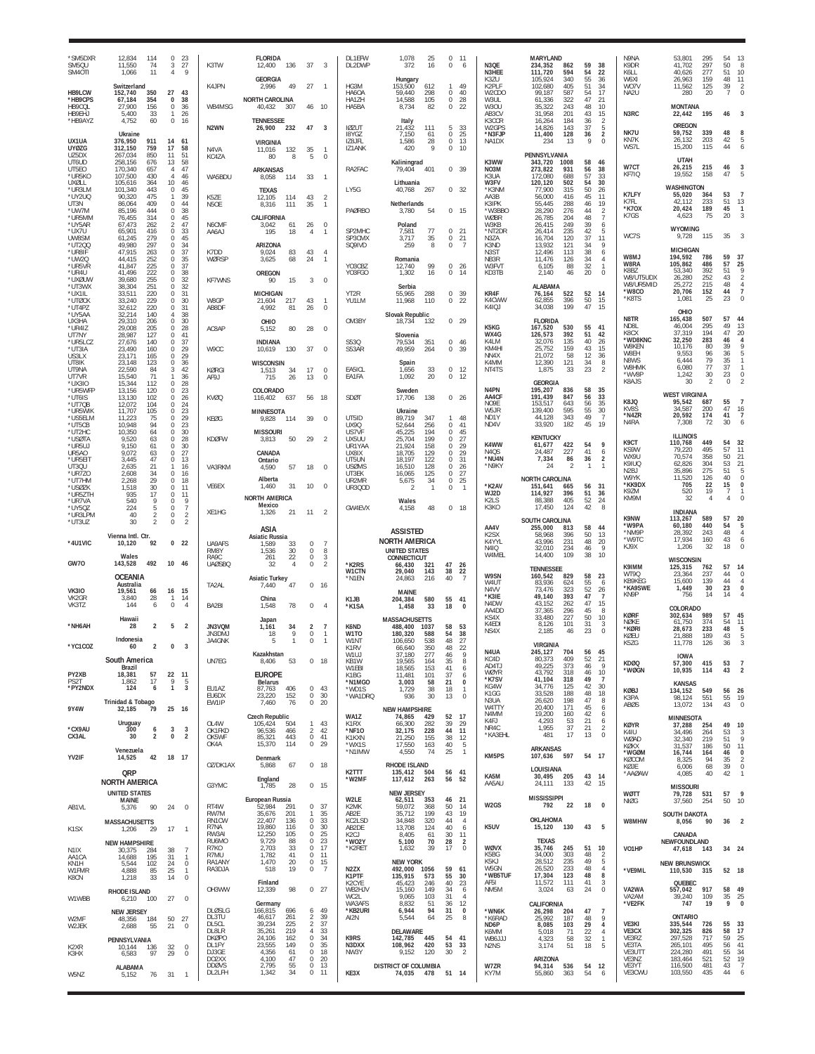| 'SM5DXR<br>SM5QU<br>SM40TI            | 12,834<br>114<br>11,550<br>74<br>11<br>1,066       | $\Omega$<br>3<br>$\overline{4}$             | 23<br>27<br>$\mathsf{Q}$                        | K3TW                            | <b>FLORIDA</b><br>12,400<br>136                            | 37                                       | 3                                | <b>DL1EFW</b><br>DL2DWP             | 1,078<br>25<br>372<br>16                                  | $\Omega$<br>-11<br>0<br>-6                       | N3QE<br>N3HFF                                 | <b>MARYLAND</b><br>234,352<br>862<br>594<br>111.720 | 59<br>54       | 38<br>22                                        | N9NA<br>K9DR<br>K6LL                  | 53,801<br>41,702<br>40,626          | 295<br>297<br>277          | 54<br>50<br>51             | -13<br>8<br>10                               |
|---------------------------------------|----------------------------------------------------|---------------------------------------------|-------------------------------------------------|---------------------------------|------------------------------------------------------------|------------------------------------------|----------------------------------|-------------------------------------|-----------------------------------------------------------|--------------------------------------------------|-----------------------------------------------|-----------------------------------------------------|----------------|-------------------------------------------------|---------------------------------------|-------------------------------------|----------------------------|----------------------------|----------------------------------------------|
| HB9LCW                                | Switzerland<br>152,740<br>350                      | 27                                          | 43                                              | K4JPN                           | <b>GEORGIA</b><br>2,996<br>49                              | 27                                       | $\overline{1}$                   | HG3M<br>HA6OA                       | Hungary<br>153,500<br>612<br>59,440<br>298                | 1<br>49<br>$\Omega$<br>40                        | K3ZU<br>K2PLF<br>W2CDO                        | 340<br>105.924<br>102,680<br>405<br>587<br>99.187   | 55<br>51<br>54 | 36<br>34<br>17                                  | W6XI<br>WO7V<br>NA2U                  | 26,963<br>11,562<br>280             | 159<br>125<br>20           | 48<br>39<br>$\overline{7}$ | 11<br>$\overline{2}$<br>$\Omega$             |
| *HB9CPS<br>HB9COL<br>HB9EHJ           | 67,184<br>354<br>156<br>27,900<br>5,400<br>33      | $\mathbf{0}$<br>$\mathbf 0$<br>$\mathbf{1}$ | 38<br>36<br>26                                  | WB4MSG                          | <b>NORTH CAROLINA</b><br>40,432<br>307                     | 46                                       | - 10                             | HA1ZH<br>HA5BA                      | 14,588<br>105<br>82<br>8,734                              | 0<br>28<br>22<br>$\mathbf{0}$                    | W3UL<br>W3OU<br>AB3CV                         | 61,336<br>322<br>243<br>35,322<br>31,958<br>201     | 47<br>48<br>43 | 21<br>10<br>15                                  | N3RC                                  | <b>MONTANA</b><br>22,442            | 195                        | 46                         |                                              |
| *HB9AYZ                               | 60<br>4,752<br>Ukraine                             | $\mathbf{0}$                                | -16                                             | N <sub>2</sub> WN               | <b>TENNESSEE</b><br>26,900<br>232                          | 47                                       | $\overline{3}$                   | <b>IØZUT</b><br>18YGZ               | Italy<br>21,432<br>111<br>7,150<br>61                     | 33<br>5<br>25<br>$\mathbf 0$                     | K3CCR<br>W2GPS<br>*N3FJP                      | 16,264<br>184<br>14,826<br>143<br>11,400<br>128     | 36<br>37<br>36 | $\overline{2}$<br>5<br>$\sqrt{2}$               | NK7U                                  | OREGON<br>59,752                    | 339                        | 48                         |                                              |
| UX1UA<br><b>UYØZG</b><br>UZ5DX        | 376,950<br>911<br>312,150<br>759<br>850<br>267,034 | 14<br>17<br>11                              | 61<br>58<br>51                                  | N4VA<br>KC4ZA                   | <b>VIRGINIA</b><br>132<br>11.016<br>8<br>80                | 35<br>5                                  | $\Omega$                         | IZ8JFL<br>IZ1ANK                    | 1,586<br>28<br>9<br>420                                   | 13<br>0<br>$\Omega$<br>10                        | NA1DX                                         | 234<br>13<br>PENNSYLVANIA                           | 9              | $\Omega$                                        | KN7K<br>WS7L                          | 26,132<br>15,200<br>UTAH            | 203<br>115                 | 42<br>44                   |                                              |
| UT6UD<br>UT5E0<br>*UR5KO              | 258,156<br>676<br>170,340<br>657<br>107.500<br>430 | 13<br>4<br>$\overline{4}$                   | 58<br>47<br>46                                  | WA5BDU                          | <b>ARKANSAS</b><br>8,058<br>114                            | 33                                       | $\overline{1}$                   | RA2FAC                              | Kaliningrad<br>79,404<br>401                              | 0, 39                                            | K3WW<br>NO3M<br>K3UA                          | 343,720<br>1008<br>273,822<br>931<br>172.080<br>688 | 58<br>56<br>57 | 46<br>38<br>33                                  | W7CT<br>KF7IQ                         | 26,215<br>19,552                    | 215<br>158                 | 46<br>47                   |                                              |
| UXØLL<br>*UR3LM<br>*UY2UQ             | 105,616<br>364<br>101,340<br>443<br>475<br>90,320  | 10<br>$\Omega$<br>-1                        | 46<br>45<br>39                                  | K5ZE                            | <b>TEXAS</b><br>12,105<br>114                              | 43                                       | $\overline{2}$                   | LY5G                                | Lithuania<br>40,768<br>267                                | 0, 32                                            | W3FV<br>*K3NM<br>AA3B                         | 120,120<br>502<br>77,900<br>315<br>56,000<br>416    | 54<br>50<br>45 | 30<br>26<br>11                                  | K7LFY                                 | WASHINGTON<br>55,020                | 364                        | 53                         |                                              |
| UT3N<br>*UW7M<br>*UR5MM               | 86,064<br>409<br>85,196<br>444<br>314<br>76,455    | $\Omega$<br>$\Omega$<br>0                   | 44<br>38<br>45                                  | N5OE                            | 8,316<br>111<br>CALIFORNIA                                 | 35                                       | $\overline{1}$                   | <b>PAØRBO</b>                       | Netherlands<br>54<br>3,780                                | $\Omega$<br>- 15                                 | K3IPK<br>*W3BBO<br>WØBR                       | 55,445<br>288<br>28,290<br>276<br>26,785<br>204     | 46<br>44<br>48 | 19<br>$\overline{\mathbf{c}}$<br>$\overline{7}$ | K7FL<br>*K70X<br>K7GS                 | 42,112<br>20,424<br>4,623           | 233<br>189<br>75           | 51<br>45<br>20             | 13<br>-1                                     |
| *UY5AR<br>*UX7U<br>UW8SM              | 67,473<br>262<br>65,901<br>416<br>61,245<br>279    | $\mathcal{P}$<br>$\Omega$<br>$\Omega$       | 47<br>33<br>45                                  | N6CMF<br>AA6AJ                  | 3,042<br>61<br>18<br>195                                   | 26<br>4                                  | $\mathbf 0$<br>$\mathbf{1}$      | SP2MHC<br>SP3CMX                    | Poland<br>77<br>7,581<br>35<br>3,717                      | 21<br>$\Omega$<br>$\mathbf 0$<br>21              | W3KB<br>*NT2DR<br>N3ZA                        | 249<br>26,415<br>26,414<br>235<br>120<br>16,704     | 39<br>42<br>37 | 6<br>5<br>11                                    | WC7S                                  | WYOMING<br>9,728                    | 115                        | 35                         |                                              |
| *UT2QQ<br>*UR8IF<br>*UW2Q             | 49,980<br>297<br>47.915<br>263<br>44,415<br>252    | 0<br>$\Omega$<br>0                          | 34<br>37<br>35                                  | K7DD<br>WØRSP                   | ARIZONA<br>83<br>9.024<br>3,625<br>68                      | 43<br>24                                 | $\overline{4}$<br>$\overline{1}$ | SQ9IVD                              | 259<br>8<br>Romania                                       | 0<br>$\overline{7}$                              | K3ND<br>N <sub>3</sub> ST<br>NB3R             | 13,932<br>121<br>12.496<br>113<br>11,476<br>126     | 34<br>38<br>34 | 9<br>6<br>$\overline{4}$                        | W8MJ                                  | <b>MICHIGAN</b><br>194,592          | 786                        | 59                         | 37                                           |
| *UR5VR<br>*UR4U<br>*UXØUW             | 225<br>41,847<br>41,496<br>222<br>255<br>39,680    | $\Omega$<br>0<br>$\Omega$                   | 37<br>38<br>32                                  | <b>KF7WNS</b>                   | OREGON<br>15<br>90                                         | 3                                        | $\mathbf{0}$                     | YO3CBZ<br>Y03FGO                    | 99<br>12,740<br>1,302<br>16                               | $\mathbf 0$<br>26<br>0<br>14                     | W3FVT<br>KD3TB                                | 6,105<br>88<br>2,140<br>46                          | 32<br>20       | $\mathbf{1}$<br>$\mathbf 0$                     | W8RA<br>K8BZ<br>W8/UT5UDX             | 105,862<br>53,340<br>26,280         | 486<br>392<br>252          | 57<br>51<br>43             | 25                                           |
| *UT3WX<br>*UX1IL<br>*UTØCK            | 38,304<br>251<br>33,511<br>220<br>229<br>33.240    | $\mathbf{0}$<br>$\Omega$<br>$\cap$          | 32<br>31<br>30                                  | W8GP                            | <b>MICHIGAN</b><br>21,604<br>217                           | 43                                       | -1                               | YT2R<br>YU1LM                       | Serbia<br>55,965<br>288<br>110<br>11,968                  | $\bf 0$<br>39<br>22<br>$^{\circ}$                | KR4F<br>K4CWW                                 | <b>ALABAMA</b><br>76,164<br>522<br>62,855<br>396    | 52<br>50       | 14<br>15                                        | W8/UR5MID<br>*W8CO<br>*K8TS           | 25.272<br>20,706<br>1,081           | 215<br>152<br>25           | 48<br>44<br>23             | $\overline{4}$<br>$\overline{7}$<br>$\Omega$ |
| *UT4PZ<br>*UY5AA                      | 32,612<br>220<br>140<br>32,214                     | 0<br>4                                      | 31<br>38                                        | AB8DF                           | 4,992<br>81                                                | 26                                       | $\mathbf 0$                      |                                     | Slovak Republic                                           |                                                  | K4IQJ                                         | 34,038<br>199                                       | 47             | 15                                              | N8TR                                  | OHIO<br>165,438                     | 507                        | 57                         | 44                                           |
| UX3HA<br>*UR4IZ<br>UT7NY              | 29,310<br>206<br>29.008<br>205<br>28,987<br>127    | 0<br>$\Omega$<br>$\Omega$                   | 30<br>28<br>41                                  | AC8AP                           | OHIO<br>80<br>5,152                                        | 28                                       | $\mathbf 0$                      | OM3BY                               | 18,734<br>132<br>Slovenia                                 | 29<br>0                                          | K5KG<br>WX4G                                  | <b>FLORIDA</b><br>167,520<br>530<br>126,573<br>392  | 55<br>51       | 41<br>42                                        | N <sub>D</sub> 81<br>K8CX<br>*WD8KNC  | 46,004<br>37,319<br>32,250          | 295<br>194<br>283          | 49<br>47<br>46             | 13<br>20                                     |
| *UR5LCZ<br>*UT3IA<br>US3LX            | 27,676<br>140<br>23,490<br>160<br>23.171<br>165    | $\Omega$<br>0<br>$\Omega$                   | 37<br>29<br>29                                  | W9CC                            | <b>INDIANA</b><br>10,619<br>130                            | 37                                       | $\Omega$                         | S53Q<br>S53AR                       | 79,534<br>351<br>49,959<br>264                            | $\mathbf 0$<br>46<br>0<br>39                     | K4LM<br>KM4H<br>NN4X                          | 32,076<br>135<br>159<br>25,752<br>21,072<br>58      | 40<br>43<br>12 | 26<br>15<br>36                                  | W8KEN<br>W8EH                         | 10,176<br>9,553                     | 80<br>96<br>79             | 39<br>36                   |                                              |
| UT8IK<br>UT9NA<br>UT7VR               | 23,148<br>123<br>22,590<br>84<br>15,540<br>71      | 0<br>3<br>$\mathbf{1}$                      | 36<br>42<br>36                                  | KØRGI<br>AF9J                   | WISCONSIN<br>34<br>1,513<br>715<br>26                      | 17<br>13                                 | $\Omega$<br>0                    | EA5ICL<br>EA1FA                     | Spain<br>33<br>1,656<br>1,092<br>20                       | $\mathbf 0$<br>12<br>0<br>12                     | K4MM<br>NT4TS                                 | 121<br>12.390<br>1,875<br>33                        | 34<br>23       | 8<br>$\mathfrak{D}$                             | N8WS<br>W8HMK<br>*WV8F                | 6,444<br>6,080<br>1,242             | 77<br>30                   | 35<br>37<br>23             | $\mathbf{1}$<br>$\mathbf 0$                  |
| *UX3IO<br>*UR5WFP<br>*UT6IS           | 15,344<br>112<br>13,156<br>120<br>13,130<br>102    | $\Omega$<br>0<br>$\Omega$                   | 28<br>23<br>26                                  | KVØQ                            | COLORADO<br>116,402<br>637                                 | 56 18                                    |                                  | <b>SDØT</b>                         | Sweden<br>17,706<br>138                                   | $\Omega$<br>26                                   | N <sub>4</sub> PN<br>AA4CF                    | <b>GEORGIA</b><br>195,207<br>836<br>191,439<br>847  | 58<br>56       | 35<br>33                                        | K8AJS                                 | 30<br><b>WEST VIRGINIA</b>          | $\overline{2}$             | $\mathbf 0$                |                                              |
| *UT7QB<br>*UR5WIK<br>*US5ELM          | 12,072<br>104<br>11,707<br>105<br>11,223<br>75     | $\Omega$<br>$\Omega$<br>$\Omega$            | 24<br>23<br>29                                  | KEØG                            | <b>MINNESOTA</b><br>9,828<br>114                           | 39                                       | $\mathbf 0$                      | UT5ID                               | Ukraine<br>89.719<br>347                                  | 48<br>1                                          | N <sub>O</sub> <sub>9</sub> F<br>W5JR<br>ND1Y | 643<br>153.517<br>139,400<br>595<br>343<br>44,128   | 56<br>55<br>49 | 35<br>30<br>$\overline{7}$                      | K8JQ<br>KV8S<br>*N4ZR                 | 95,542<br>34,587<br>20,592          | 687<br>200<br>174          | 55<br>47<br>41             | 16<br>$\overline{7}$                         |
| *UT5CB<br>*UT2HC<br>*USØTA            | 10,948<br>94<br>10,350<br>64<br>9,520<br>63        | $\Omega$<br>$\Omega$<br>0                   | 23<br>30<br>28                                  | <b>KDØFW</b>                    | <b>MISSOURI</b><br>50<br>3,813                             | 29                                       | $\overline{2}$                   | <b>UX90</b><br>US7VF<br>UX5UU       | 52,644<br>256<br>194<br>45,225<br>25,704<br>199           | $\Omega$<br>41<br>$\Omega$<br>45<br>0<br>27      | ND4V                                          | 182<br>33,920<br><b>KENTUCKY</b>                    | 45             | 19                                              | N4RA                                  | 7.308<br><b>ILLINOIS</b>            | 72                         | 30                         |                                              |
| *UR5UJ<br>UR5A0<br>*UR5EIT            | 9,150<br>61<br>9,072<br>63<br>47<br>3.445          | $\Omega$<br>0<br>$\Omega$                   | 30<br>27<br>13                                  |                                 | CANADA                                                     |                                          |                                  | UR1YAA<br>UX8IX<br>UT5UN            | 158<br>21.924<br>18,705<br>129<br>18,197<br>122           | $\frac{29}{5}$<br>0<br>29<br>0<br>31<br>$\Omega$ | K4WW<br>N4QS<br>*NU4N                         | 61,677<br>422<br>227<br>24.487<br>7,334<br>86       | 54<br>41<br>36 | 9<br>6<br>$\overline{2}$                        | K9CT<br>KS9W<br>WX9U                  | 110,768<br>79,220<br>70,574         | 449<br>495<br>358          | 54<br>57<br>50             | 32<br>$\frac{11}{21}$                        |
| UT3QU<br>*UR770                       | 2,635<br>21<br>34<br>2,608                         | $\mathbf{1}$<br>$\Omega$                    | 16<br>16                                        | VA3RKM                          | Ontario<br>57<br>4.590<br>Alberta                          | 18                                       | $\Omega$                         | <b>USØMS</b><br>UT3EK               | 16,510<br>128<br>16,065<br>125                            | 26<br>0<br>27<br>$\Omega$                        | *N9KY                                         | $\mathcal{P}$<br>24<br><b>NORTH CAROLINA</b>        | -1             | $\mathbf{1}$                                    | K9IUQ<br>N <sub>2</sub> BJ<br>W9YK    | 62,826<br>35,896<br>11,520          | 304<br>275<br>126          | 53<br>51<br>40             | 21<br>$\mathbf 0$                            |
| *UT7HM<br>*USØZK<br>*UR5ZTH           | 2,268<br>29<br>1,518<br>30<br>935<br>17            | 0<br>$\Omega$<br>0                          | 18<br>11<br>11                                  | VE6EX                           | 31<br>1,460<br>NORTH AMERICA                               | 10                                       | $\Omega$                         | UR2MR<br><b>UR300D</b>              | 5,675<br>34<br>-2<br>-1                                   | 0<br>25<br>$\Omega$<br>$\overline{1}$            | *K2AV<br>WJ2D<br>K2LS                         | 151,641<br>665<br>114,927<br>396<br>405             | 56<br>51<br>52 | 31<br>36<br>24                                  | *KK9DX<br><b>K97M</b><br>KM9M         | 705<br>520<br>32                    | 22<br>19<br>$\overline{4}$ | 15<br>-7<br>4              | 0                                            |
| *UR7VA<br>*UY5QZ<br>*UR3LPM           | 540<br>9<br>224<br>5<br>40<br>$\mathfrak{p}$       | 0<br>$\Omega$<br>0                          | 9<br>$\overline{7}$<br>$\overline{2}$           | XE1HG                           | Mexico<br>1,326<br>21                                      | 11                                       | $\overline{2}$                   | GW4EVX                              | Wales<br>48<br>4.158                                      | $\Omega$<br>18                                   | K3KO                                          | 88,388<br>17,450<br>124<br><b>SOUTH CAROLINA</b>    | 42             | 8                                               | K9NW                                  | <b>INDIANA</b><br>113,267           | 589                        | 57                         | 20                                           |
| *UT3UZ                                | 30<br>$\mathfrak{p}$<br>Vienna Intl. Ctr.          | $\Omega$                                    | $\overline{2}$                                  |                                 | ASIA<br>Asiatic Russia                                     |                                          |                                  |                                     | <b>ASSISTED</b><br><b>NORTH AMERICA</b>                   |                                                  | AA4V<br>K <sub>2</sub> SX<br>K4YYL            | 255,000<br>813<br>58,968<br>396<br>43.996<br>231    | 58<br>50<br>48 | 44<br>13<br>20                                  | *W9PA<br>*NM9F<br>*W9TC               | 60,180<br>28,392<br>17.934          | 440<br>243<br>160          | 54<br>48<br>43             | 5<br>$\overline{4}$<br>6                     |
| *4U1VIC                               | 10,120<br>92<br>Wales                              |                                             | 0 <sub>22</sub>                                 | UA9AFS<br>RM8Y<br>RA9C          | 33<br>1.589<br>30<br>1.536<br>22<br>261                    | 0<br>0<br>$\mathbb O$                    | $\overline{7}$<br>8<br>3         |                                     | <b>UNITED STATES</b><br>CONNECTICUT                       |                                                  | <b>N4IQ</b><br>W4MEL                          | 32,010<br>234<br>14,400<br>109                      | 46<br>38       | 9<br>10                                         | KJ9X                                  | 1,206<br>WISCONSIN                  | 32                         | 18                         |                                              |
| GW70                                  | 492<br>143,528<br><b>OCEANIA</b>                   | 10 46                                       |                                                 | <b>UAØSBQ</b>                   | 32<br>$\overline{4}$<br><b>Asiatic Turkey</b>              | 0                                        | $\overline{2}$                   | *K2RS<br>W1CTN<br>*N1EN             | 66,430<br>321<br>29.040<br>143<br>24,863<br>216           | 47<br>26<br>38<br>22<br>40<br>-7                 | W9SN                                          | <b>TENNESSEE</b><br>160,542<br>829                  | 58             | 23                                              | K9IMM<br>WT9Q<br>KB9KEG               | 125,315<br>23,364<br>15,600         | 762<br>237<br>139          | 57<br>44<br>44             | 14<br>$^{\circ}$<br>$\overline{4}$           |
| <b>VK310</b><br>VK2GR                 | Australia<br>19.561<br>66<br>3,840<br>28           | 16<br>$\mathbf{1}$                          | 15<br>14                                        | TA2AL                           | 47<br>7,440<br>China                                       | 0                                        | 16                               | K <sub>1</sub> JB                   | MAINE<br>580<br>204,384                                   | 55<br>41                                         | W4UT<br>N4VV<br>*K3IE                         | 83,936<br>624<br>73.476<br>323<br>49,140<br>393     | 55<br>52<br>47 | 6<br>$^{26}$                                    | *KA9SWE<br>KN9P                       | 1,449<br>756                        | 30<br>14                   | 23<br>14                   | 0                                            |
| VK3TZ                                 | 144<br>6<br>Hawaii                                 | $\mathbf 0$                                 | $\overline{4}$                                  | BA2BI                           | 78<br>1,548<br>Japan                                       | $\mathbf 0$                              | $\overline{4}$                   | *K1SA                               | 1,458<br>33<br><b>MASSACHUSETTS</b>                       | 18<br>0                                          | N4DW<br>AA4DD<br>KS4X                         | 262<br>43.152<br>37,365<br>296<br>33.480<br>227     | 47<br>45<br>50 | 15<br>8<br>10                                   | <b>KØRF</b><br><b>NØKE</b>            | COLORADO<br>302,634<br>61,750       | 989<br>374                 | 57                         | 45                                           |
| *NH6AH                                | 28<br>$\overline{2}$<br>Indonesia                  | 5                                           | $\overline{2}$                                  | JN3VQM<br>JN3DM.<br>JA4GNK      | 34<br>1.161<br>18<br>9<br>1                                | 2<br>0<br>0                              | 7<br>-1<br>$\mathbf{1}$          | K6ND<br>W <sub>1</sub> TO<br>W1NT   | 488,400<br>1037<br>180,320<br>588<br>106,650<br>538       | 58<br>53<br>54<br>38<br>48<br>27                 | K4EDI<br>NS4X                                 | 8,126<br>101<br>2,185<br>46                         | 31<br>23       | 3<br>$\theta$                                   | *KØRI<br>KØEU<br>K5ZG                 | 28,673<br>21,888<br>11,778          | 233<br>189<br>126          | 54<br>48<br>43<br>36       | 11<br>5                                      |
| *YC1COZ                               | $\overline{2}$<br>60<br>South America              | 0 <sup>3</sup>                              |                                                 | UN7EG                           | Kazakhstan<br>8,406<br>53                                  | $0$ 18                                   |                                  | K1RV<br>W1UJ<br>KB <sub>1</sub> W   | 350<br>66.640<br>37,180<br>277<br>19,565<br>164           | 22<br>48<br>9<br>46<br>8<br>35                   | N4UA<br>KC4D                                  | <b>VIRGINIA</b><br>245,127<br>704<br>80,373<br>409  | 56<br>52       | 45<br>21                                        | KDØQ                                  | <b>IOWA</b><br>57,300               | 415                        | 53                         | $\overline{7}$                               |
| PY2XB<br>PS <sub>2</sub> T            | Brazil<br>18,381<br>57<br>17<br>1,862              | 22 11<br>9                                  | -5                                              |                                 | <b>EUROPE</b><br>Belarus                                   |                                          |                                  | W1EBI<br>K1BG<br>*N1MGO             | 18,565<br>153<br>11.481<br>101<br>3,003<br>58             | 41<br>6<br>37<br>6<br>21<br>0                    | AD4TJ<br><b>WØYR</b><br>*K7SV                 | 49,225<br>373<br>43,792<br>318<br>41,104<br>318     | 46<br>46<br>49 | -9<br>$\begin{array}{c} 10 \\ 7 \end{array}$    | *WØGN                                 | 10,935<br><b>KANSAS</b>             | 114                        | 43                         | $\overline{2}$                               |
| *PY2NDX                               | 124<br>6<br>Trinidad & Tobago                      | $\mathbf{1}$                                | 3                                               | EU1AZ<br>EU6DX<br>EW1IP         | 87,763<br>406<br>152<br>23,220<br>7,460<br>76              | 0<br>0<br>$\mathbf 0$                    | 43<br>-30<br>20                  | *WD1S<br>*WA1DRQ                    | 1,729<br>38<br>30<br>936                                  | 18<br>-1.<br>13<br>$\mathbf 0$                   | KG4W<br>K1GG<br>N3UA                          | 34,776<br>125<br>33,528<br>188<br>26,620<br>198     | 42<br>48<br>47 | 30<br>18<br>8                                   | <b>KØBJ</b><br>K3PA                   | 134,152<br>98,124                   | 549<br>551                 | 56<br>55                   | 26<br>19                                     |
| 9Y4W                                  | 32,185<br>79<br>Uruguay                            | 25                                          | - 16                                            | OL4W                            | <b>Czech Republic</b><br>504                               | 1                                        | 43                               | WA1Z<br>K1RX                        | <b>NEW HAMPSHIRE</b><br>74,865<br>429<br>282              | 52<br>17<br>39<br>29                             | W4TTY<br>N4MM<br>K4FJ                         | 171<br>20,400<br>19,200<br>160<br>4,293<br>53       | 45<br>42<br>21 | 6<br>6<br>6                                     | <b>ABØS</b>                           | 13,072<br><b>MINNESOTA</b>          | 134                        | 43                         | $\Omega$                                     |
| *CX9AU<br>CX3AL                       | 300<br>6<br>30<br>2                                | 3<br>$\bf{0}$                               | 3<br>$\overline{2}$                             | OK1FKD<br>OK5WF<br>OK4A         | 105,424<br>96,536<br>466<br>443<br>85,321<br>114<br>15.370 | $\overline{2}$<br>$\,0\,$<br>$\mathbf 0$ | 42<br>41<br>29                   | *NF10<br>K1KXN                      | 66,300<br>32,175<br>228<br>155<br>21,250<br>17,550<br>163 | 11<br>44<br>38<br>12<br>40<br>5                  | NR4C<br>*KA3EHL                               | 1,955<br>37<br>17<br>481                            | 21<br>13       | $\overline{2}$<br>$\mathbf{0}$                  | <b>KØYR</b><br>K4IU<br>WØAD           | 37,288<br>34,496<br>32,340          | 254<br>264<br>219          | 49<br>53<br>51             | 10<br>3<br>$\overline{Q}$                    |
| YV2IF                                 | Venezuela<br>42<br>14,525                          | 18 17                                       |                                                 | OZ/DK1AX                        | Denmark                                                    | $0$ 18                                   |                                  | *WX1S<br>*N1IMW                     | 4,550<br>-74                                              | 25<br>$\overline{1}$                             | KM5PS                                         | <b>ARKANSAS</b><br>597<br>107,636                   | 54             | 17                                              | KØKX<br>*WGØM<br>KØCOM                | 31,537<br>16,744<br>8,325           | 186<br>164<br>94           | 50<br>46<br>35             | 11<br>$\bf{0}$<br>$\overline{2}$             |
|                                       | QRP<br><b>NORTH AMERICA</b>                        |                                             |                                                 |                                 | 5,868<br>67<br>England                                     |                                          |                                  | K2TTT<br>*W2MF                      | RHODE ISLAND<br>135,412<br>504<br>117,612<br>263          | 56<br>41<br>56<br>52                             | KA5M<br>AA5AU                                 | LOUISIANA<br>30,495<br>205<br>24,111<br>133         | 43<br>42       | -14<br>15                                       | KØJE<br>*AAØAW                        | 6,006<br>4,085                      | 68<br>40                   | 39<br>42                   | $\mathbb O$<br>$\mathbf{1}$                  |
|                                       | <b>UNITED STATES</b><br>MAINE                      |                                             |                                                 | G3YMC                           | 1,785<br>28<br>European Russia                             | $0$ 15                                   |                                  | W2LE                                | <b>NEW JERSEY</b><br>62,511<br>353                        | 46<br>21                                         | W2GS                                          | <b>MISSISSIPPI</b>                                  |                | $\Omega$                                        | <b>WØTT</b><br><b>NIØG</b>            | <b>MISSOURI</b><br>79,728<br>37,560 | 531<br>254                 | 57<br>50                   | -9<br>10                                     |
| AB1VL                                 | 90<br>5,376<br><b>MASSACHUSETTS</b>                | 24                                          | $\mathbf 0$                                     | RT4W<br>RW7M<br>RN1CW           | 52,984<br>291<br>35,676<br>201<br>22,407<br>136            | 0 37<br>1<br>0                           | 35<br>33                         | K <sub>2</sub> MK<br>AB2E<br>KC2LSD | 59,072<br>368<br>35,712<br>199<br>34,848<br>320           | 50<br>14<br>43<br>19<br>44<br>$\overline{4}$     |                                               | 22<br>792<br>OKLAHOMA                               | 18             |                                                 | W8MHW                                 | SOUTH DAKOTA<br>8,056               | 90                         | 36                         | $\overline{2}$                               |
| K <sub>1</sub> SX                     | 1,206<br>29<br><b>NEW HAMPSHIRE</b>                | 17                                          | $\overline{1}$                                  | R7NA<br>RW3AI<br>RU6MO          | 19,860<br>116<br>12,250<br>105<br>9,729<br>88              | $^{\circ}$<br>0<br>0                     | 30<br>25<br>23                   | AB2DE<br>K2CJ<br>*WO2Y              | 124<br>13,708<br>8,405<br>61<br>70<br>5,100               | 40<br>6<br>30<br>11<br>28<br>$\overline{2}$      | K5UV                                          | 130<br>15,120<br><b>TEXAS</b>                       | 43             | 5                                               |                                       | CANADA<br>NEWFOUNDLAND              |                            |                            |                                              |
| N <sub>1</sub> IX<br>AA1CA<br>KN1H    | 30,375<br>284<br>195<br>14,688<br>5,544<br>102     | 38<br>31<br>24                              | $\overline{7}$<br>$\overline{1}$<br>$\mathbf 0$ | R7KO<br>R7MU<br>RA1ANY          | 2,703<br>33<br>1,782<br>41<br>1,470<br>20                  | 0<br>$\mathbb O$<br>0                    | 17<br>11<br>15                   | *K2RET                              | 39<br>1,632<br><b>NEW YORK</b>                            | 17<br>$\mathbf 0$                                | <b>WØVX</b><br>K5BG<br>K5KJ                   | 35,746<br>245<br>34,000<br>303<br>28,512<br>235     | 51<br>48<br>49 | 10<br>$\overline{2}$<br>5                       | VO1HP                                 | 47,618 143<br><b>NEW BRUNSWICK</b>  |                            | 34 24                      |                                              |
| W1FMR<br>K8CN                         | 4.888<br>85<br>1,218<br>33                         | 25<br>14                                    | $\mathbf{1}$<br>$\mathbf 0$                     | RA3DJA                          | 19<br>518<br>Finland                                       | $\mathbb O$                              | $\overline{7}$                   | N2ZX<br>K1PTF<br>K2CYF              | 492,000<br>1056<br>135,915<br>573<br>45,423<br>246        | 59<br>61<br>55<br>30<br>40<br>23                 | W5GN<br>*WB5TUF<br>AF5I                       | 26,520<br>233<br>123<br>17,304<br>11,572<br>111     | 48<br>48<br>41 | $\overline{4}$<br>8<br>3                        | *VE9ML                                | 110,530<br>QUEBEC                   | 315                        | 52 18                      |                                              |
| W1WBB                                 | RHODE ISLAND<br>6,210<br>100                       | 27                                          | $\mathbf 0$                                     | OH3WW                           | 12,339<br>98<br>Germany                                    | $0$ 27                                   |                                  | WB2HJV<br>WC2L<br>WA3AFS            | 15,160<br>149<br>103<br>9,065<br>8,832<br>51              | 34<br>6<br>31<br>$\overline{4}$<br>36<br>12      | NM5M                                          | 3,024<br>63<br>CALIFORNIA                           | 24             | $\bf 0$                                         | VA2WA<br>VA <sub>2</sub> AM<br>*VE2FK | 557,042<br>39,240<br>747            | 917<br>109<br>19           | 58 49<br>35<br>9           | 25<br>0                                      |
| W2MF                                  | <b>NEW JERSEY</b><br>48,356<br>184                 | 50                                          | 27                                              | <b>DLØSLG</b><br>DL3TU<br>DL5CL | 166,815<br>696<br>46,617<br>261<br>39,234<br>225           | 6<br>2<br>$\overline{2}$                 | 49<br>-39<br>37                  | *KB2URI<br>AI2N                     | 6,944<br>94<br>5,544<br>64                                | 31<br>$\pmb{0}$<br>25<br>8                       | *WN6K<br>*K6RAD                               | 26,298<br>204<br>25,992<br>187<br>8,085             | 47<br>48<br>29 | $\overline{7}$<br>9                             | VE3KI                                 | <b>ONTARIO</b><br>335,544           | 726                        | 55                         | 33                                           |
| W2JEK                                 | 2,688<br>55<br>PENNSYLVANIA                        | 21                                          | $\mathbf 0$                                     | DL8LR<br><b>DKØPO</b>           | 219<br>35,261<br>24,106<br>162                             | 4<br>0                                   | 33<br>34                         | K9RS                                | DELAWARE<br>142,785<br>445                                | 54<br>41                                         | ND6P<br>K6MM<br>WB6JJJ                        | 103<br>71<br>5.018<br>4,323<br>58                   | 22<br>32       | 4<br>$\overline{4}$<br>$\mathbf{1}$             | VE3CX<br>VE3RZ                        | 302,325<br>297,528                  | 826<br>717<br>495          | 58<br>59                   | 17<br>25<br>41                               |
| K <sub>2</sub> X <sub>R</sub><br>K3HX | 10.144<br>-136<br>6,583<br>97                      | 32<br>29                                    | $\Omega$<br>$\mathbf 0$                         | DL1FY<br>DJ3GE<br>DO2XX         | 23,555<br>149<br>4,356<br>61<br>4,100<br>47                | 0<br>0<br>$\mathbf 0$                    | 35<br>18<br>20                   | N3DXX<br>NW3Y                       | 108,962<br>420<br>9,152<br>120                            | 53<br>33<br>30<br>$\overline{2}$                 | N2NS                                          | 3,174<br>51<br>ARIZONA                              | 18             | 5                                               | VE3TA<br>VE3UTT<br>VE3NZ              | 265,101<br>224,280<br>183,464       | 491<br>521                 | 56<br>55<br>52             | 34<br>19                                     |
| W5NZ                                  | ALABAMA<br>76<br>5,152                             | 31                                          | $\overline{1}$                                  | <b>DDØVS</b><br>DL2LFH          | 2,795<br>55<br>1,342<br>34                                 | 0<br>$\mathbb O$                         | 13<br>11                         | KE3X                                | DISTRICT OF COLUMBIA<br>74,035<br>478                     | 51 14                                            | W7ZR<br>KY7M                                  | 94,314<br>536<br>55,860<br>363                      | 54<br>54       | 12<br>6                                         | VE3YT<br>VE3CWU                       | 116,500<br>103,550                  | 481<br>435                 | 43<br>44                   | $\overline{7}$<br>6                          |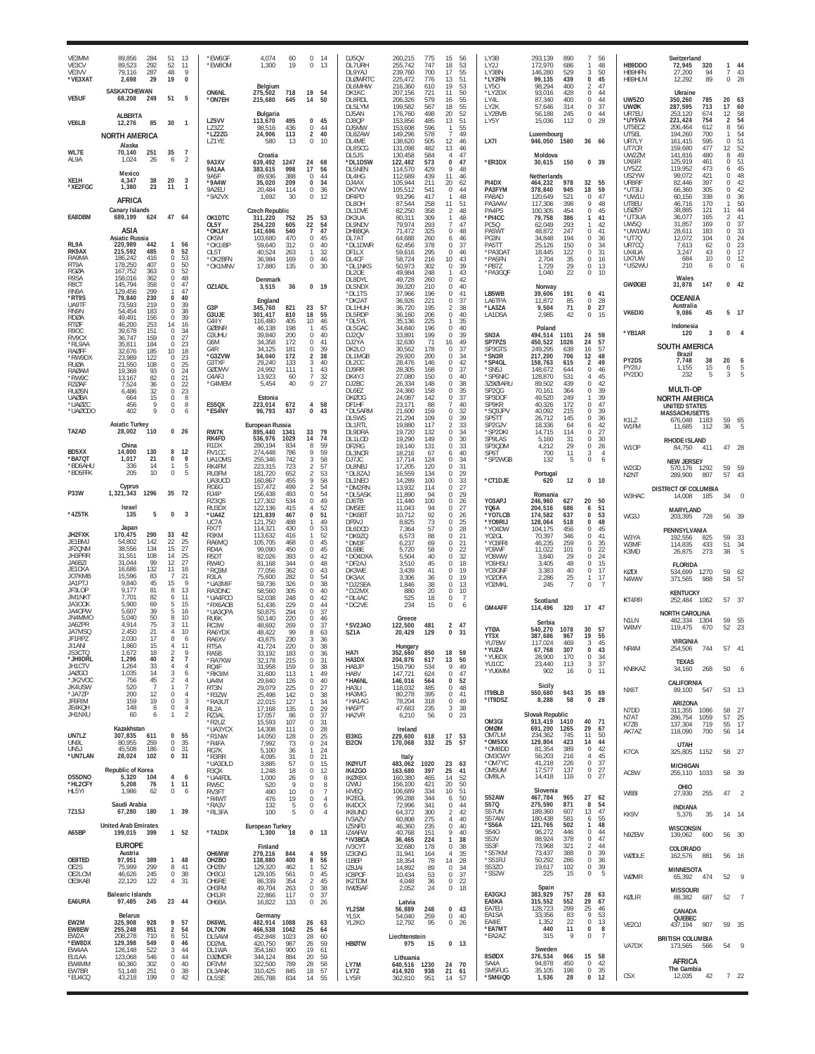| VE3MM<br>VE3CV<br>VE3VV<br>*VE3XAT             | 89,856<br>284<br>89.523<br>292<br>79,116<br>287<br>2,698<br>29     | 51<br>13<br>11<br>52<br>48<br>9<br>$\mathbf{0}$<br>19                                   | *EW6GF<br>*EW8OM                                 | 4,074<br>1,300<br>19                                                 | 60<br>0<br>14<br>$\mathbb O$<br>13                               | DJ5QV<br>DL7URH<br>DL9YAJ<br><b>DLØWRTC</b> | 260,215<br>775<br>255.742<br>747<br>239,760<br>700<br>225,472<br>776 | 15<br>56<br>18<br>53<br>17<br>55<br>51<br>13                     | LY3B<br>1Y21<br>LY3BN<br>*LY2FN                  | 293,139<br>890<br>172.970<br>686<br>529<br>146.280<br>99,135<br>439 | $\overline{7}$<br>56<br>48<br>$\mathbf{1}$<br>3<br>50<br>$\pmb{0}$<br>45     | HB9DDO<br>HB9HFN<br>HB9HLM               | Switzerland<br>72,945<br>320<br>27,200<br>94<br>89<br>12,292         | 1<br>7<br>$\mathbf 0$            | 44<br>43<br>28                           |
|------------------------------------------------|--------------------------------------------------------------------|-----------------------------------------------------------------------------------------|--------------------------------------------------|----------------------------------------------------------------------|------------------------------------------------------------------|---------------------------------------------|----------------------------------------------------------------------|------------------------------------------------------------------|--------------------------------------------------|---------------------------------------------------------------------|------------------------------------------------------------------------------|------------------------------------------|----------------------------------------------------------------------|----------------------------------|------------------------------------------|
| VE5UF                                          | SASKATCHEWAN<br>68,208<br>249                                      | 51<br>5                                                                                 | ON6NL<br>*ON7EH                                  | Belgium<br>275,502<br>718<br>215,680<br>645                          | 19<br>54<br>50<br>14                                             | DI 6MHW<br>DK1KC<br>DL8RDL                  | 216,360<br>610<br>207,156<br>721<br>206,326<br>579                   | 19<br>53<br>11<br>50<br>16<br>55                                 | LY50<br>*LY2DX<br>LY4L                           | 98.294<br>400<br>93,016<br>428<br>87,340<br>400                     | 47<br>2<br>$\mathbf 0$<br>44<br>0<br>44                                      | <b>UW5Z0</b>                             | Ukraine<br>350,260<br>785                                            | 20                               | -63                                      |
| VE6LB                                          | <b>ALBERTA</b><br>12,276<br>85                                     | 30<br>$\overline{1}$                                                                    | LZ5VV                                            | Bulgaria<br>113,670<br>495                                           | 0<br>45                                                          | DL5LYM<br>DJ5AN<br>DJ8QP                    | 199,582<br>567<br>176,760<br>498<br>153,856<br>485                   | 18<br>55<br>20<br>52<br>13<br>51                                 | LY2K<br>LY2BVB<br>LY5Y                           | 314<br>57,646<br>245<br>56,188<br>15,036<br>112                     | $\bf 0$<br>37<br>0<br>44<br>28<br>0                                          | <b>UWØK</b><br>UR7FU<br>*UY5VA<br>UT5ECZ | 287,595<br>713<br>253.120<br>674<br>221,424<br>754<br>206,464<br>612 | 17<br>12<br>2<br>8               | 60<br>58<br>54<br>56                     |
|                                                | <b>NORTH AMERICA</b><br>Alaska                                     |                                                                                         | LZ3ZZ<br>*LZ2ZG<br>LZ1YE                         | 98,516<br>436<br>24,906<br>113<br>580<br>13                          | $\mathbf 0$<br>44<br>$\overline{2}$<br>40<br>$\mathbf{0}$<br>10  | DJ5MW<br>DL8ZAW<br>DL4ME<br>DL8SCG          | 153,608<br>596<br>149,296<br>578<br>505<br>138,620<br>131,098<br>482 | 55<br>1<br>49<br>12<br>46<br>13<br>46                            | LX7I                                             | Luxembourg<br>1580<br>946,050                                       | 36 66                                                                        | UT5EL<br>UR7LY<br>UT7CR                  | 194,260<br>700<br>161.415<br>595<br>159,680<br>477                   | 1<br>$\Omega$<br>12              | 54<br>51<br>52                           |
| WL7E<br>AL9A                                   | 70,140<br>251<br>1.024<br>26                                       | 35<br>$\overline{7}$<br>$\overline{2}$<br>6                                             | <b>9A3XV</b><br><b>9A1AA</b>                     | Croatia<br>639,492<br>1247<br>383,615<br>998                         | 24<br>68<br>17<br>56                                             | DL5JS<br>*DL1DSW<br>DI 5NFN                 | 130,458<br>584<br>122,482<br>573<br>114,570<br>429                   | 47<br>4<br>0<br>47<br>$\mathsf Q$<br>48                          | *ER3DX                                           | Moldova<br>30,615<br>150                                            | $\bf{0}$<br>39                                                               | UW2ZM<br>UX6IR<br>UY5ZZ                  | 141,816<br>480<br>125,919<br>461<br>119,952<br>473                   | 8<br>0<br>6                      | 49<br>51<br>45                           |
| XE <sub>1</sub> H<br>*XE2FGC                   | Mexico<br>4,347<br>38<br>1,380<br>23                               | 20<br>3<br>11<br>$\overline{1}$                                                         | 9A <sub>5</sub> F<br>*9A4W<br>9A2EU              | 89,936<br>388<br>35,020<br>209<br>20,484<br>114                      | 0<br>44<br>$\Omega$<br>34<br>$\Omega$<br>36                      | DL4HG<br>DJ4AX<br>DK7VW                     | 112,689<br>439<br>105,944<br>211<br>105,512<br>541                   | 11<br>46<br>20<br>62<br>$\Omega$<br>44                           | PI4DX<br>PA3FYM                                  | Netherlands<br>464,232<br>978<br>378,840<br>945                     | 32<br>55<br>59<br>18                                                         | US2YW<br>UR8RF<br>*UT3IJ                 | 99,072<br>421<br>82,446<br>397<br>305<br>66.360                      | $\Omega$<br>$\Omega$<br>$\Omega$ | 48<br>42<br>42                           |
|                                                | AFRICA<br>Canary Islands                                           |                                                                                         | *9A2VX                                           | 1,692<br>30<br><b>Czech Republic</b>                                 | 0<br>12                                                          | DF4PD<br>DL8OH<br>DL1DVE                    | 93,296<br>417<br>87,544<br>258<br>82,250<br>358                      | 48<br>1<br>11<br>51<br>2<br>48                                   | PA8AD<br>PA3AA\<br>PA4PS                         | 120,649<br>521<br>117,306<br>398<br>100,305<br>454                  | 47<br>$\mathbf 0$<br>9<br>48<br>45<br>$\mathbf 0$                            | *UW1U<br>UT8EU<br>USØSY                  | 60,156<br>338<br>46,716<br>170<br>38,885<br>121                      | $\mathbf{0}$<br>1<br>11          | 36<br>50<br>44                           |
| EA8DBM                                         | 689,199<br>624<br>ASIA<br>Asiatic Russia                           | 47 64                                                                                   | OK1DTC<br>OL5Y<br>*OK1AY                         | 311,220<br>752<br>254,220<br>605<br>141,696<br>540                   | 25<br>53<br>22<br>54<br>47<br>$\overline{7}$                     | DK3UA<br>DL9ND\<br>DH8BQA                   | 80,311<br>309<br>79,974<br>293<br>71,472<br>325                      | 1<br>48<br>$\overline{7}$<br>47<br>$\mathbf{0}$<br>-48           | *PI4CC<br>PC5Q<br>PA5WT                          | 79,758<br>386<br>62,049<br>293<br>247<br>48.872                     | 41<br>$\mathbf{1}$<br>42<br>$\mathbf{1}$<br>41<br>$\Omega$                   | *UT3UA<br>UW5Q<br>*UW1WU<br>*UT7Q        | 36,077<br>165<br>31,857<br>169<br>28,611<br>183<br>12,072<br>104     | 2<br>0<br>$\Omega$<br>0          | $\mathcal{A}^{\prime}$<br>37<br>33<br>24 |
| RL9A<br>RK9AX<br>RA9MA                         | 220,989<br>442<br>215,592<br>485<br>186,242<br>416                 | $\mathbf{1}$<br>56<br>$\begin{array}{c} 52 \\ 53 \\ 50 \end{array}$<br>0<br>$\mathbf 0$ | OK5M<br>*OK1IBP<br>OL5T<br>'OK2BFN               | 103,680<br>470<br>59,640<br>312<br>40,524<br>263<br>36,984<br>169    | 0<br>45<br>$\Omega$<br>40<br>32<br>1<br>$\mathbb O$<br>46        | DL7AT<br>*DL1DWR<br>DF1LX<br>DL4CF          | 64,688<br>260<br>62,456<br>378<br>59,616<br>295<br>58,724<br>216     | 46<br>6<br>37<br>$\Omega$<br>0<br>46<br>43<br>10                 | PG3N<br>PA5TT<br>*PA3DAT<br>*PA5FN               | 34,848<br>194<br>150<br>25.126<br>18,445<br>122<br>2,704<br>35      | $\mathbf 0$<br>36<br>34<br>$\mathbf 0$<br>$\mathbf 0$<br>31<br>$\bf 0$<br>16 | UR7CQ<br>UX4UA<br>UX7UW                  | 7,613<br>62<br>3,247<br>43<br>684<br>10                              | $\Omega$<br>0<br>0               | 23<br>17<br>12                           |
| RT9A<br>RGØA<br>R9SA                           | 178,250<br>407<br>167,752<br>363<br>158,016<br>362                 | 0<br>52<br>$\mathbf 0$<br>48<br>$\mathbf 0$                                             | *OK1MNV                                          | 17,880<br>135<br>Denmark                                             | 0<br>30                                                          | *DL1NKS<br><b>DI 20F</b><br>DL8DYL          | 50,973<br>302<br>49.984<br>248<br>49,728<br>260                      | 0<br>39<br>43<br>-1.<br>0<br>42                                  | *PB7Z<br>*PA3GQF                                 | 29<br>1,729<br>22<br>1,040                                          | 0<br>13<br>$\bf 0$<br>10                                                     | *US2WU                                   | 210<br>6<br>Wales                                                    | $\Omega$                         | 6                                        |
| R8CT<br>RN9A<br>*RT9S<br>UA9TF                 | 145,794<br>358<br>129,456<br>299<br>79,840<br>230<br>73,593<br>219 | 47<br>$^{\circ}$<br>47<br>0<br>40<br>39<br>$\mathbf 0$                                  | OZ1ADL                                           | 3,515<br>36<br>England                                               | 0, 19                                                            | DL5NDX<br>*DL1TS<br>*DK2A1                  | 39,320<br>210<br>37,966<br>196<br>36,926<br>221                      | 40<br>$\Omega$<br>$\Omega$<br>41<br>0<br>37                      | LB5WB<br>LA6TPA                                  | <b>Norway</b><br>191<br>39,606<br>11,872<br>85                      | 0<br>41<br>0<br>28                                                           | GWØGEI                                   | 31,878<br>147<br><b>OCEANIA</b>                                      | $\Omega$                         | 42                                       |
| RN9N<br><b>RDØA</b><br><b>RTØF</b>             | 54,454<br>183<br>49,491<br>156<br>46,200<br>253                    | 38<br>$\mathbf 0$<br>$\mathbf 0$<br>39<br>16<br>14                                      | G3P<br>G3UJE<br>G4IIY                            | 345,760<br>821<br>301,417<br>810<br>116,480<br>405                   | 23<br>- 57<br>18<br>55<br>10<br>46                               | DL1HUH<br>DL5RDP<br>*DL5YL                  | 36,720<br>195<br>36,160<br>206<br>35,136<br>225                      | 38<br>2<br>0<br>40<br>35                                         | *LA3ZA<br>LA1DSA                                 | 71<br>9,504<br>2,985<br>42                                          | $\pmb{0}$<br>27<br>$\bf 0$<br>15                                             | VK6DXI                                   | Australia<br>9,086<br>45<br>Indonesia                                | 5                                | - 17                                     |
| R9OC<br>RV9CX<br>*RL9AA                        | 39,678<br>151<br>36,747<br>159<br>184<br>35,811                    | $\mathbf 0$<br>$\frac{34}{27}$<br>$\mathbf 0$<br>23<br>$\Omega$                         | <b>GØBNR</b><br>G3UHU<br>G6M<br>G4R              | 46,138<br>198<br>39.840<br>200<br>34,358<br>172<br>34.125<br>181     | 45<br>$\mathbf{1}$<br>0<br>40<br>0<br>41<br>39<br>$\Omega$       | DL5GAC<br>DJ2QV<br>DJ2YA<br>$DK2I$ $O$      | 34,840<br>196<br>199<br>33,891<br>32,630<br>71<br>178<br>30,562      | 0<br>40<br>39<br>$^{\circ}$<br>16<br>49<br>37<br>$\Omega$        | SN <sub>3</sub> A<br>SP7PZS<br>SP3GTS            | Poland<br>494,514<br>1101<br>450,522<br>1026<br>249.295<br>638      | 59<br>24<br>24<br>57<br>57<br>16                                             | *YB1AR                                   | 3<br>120<br><b>SOUTH AMERICA</b>                                     | $\Omega$                         |                                          |
| RAØFF<br>*RW9DX<br><b>RUØA</b><br><b>RAØAM</b> | 32,676<br>185<br>23,989<br>122<br>21,550<br>108<br>93<br>19.368    | 10<br>18<br>$\mathbf 0$<br>23<br>25<br>$\Omega$<br>$\mathbf 0$                          | *G3ZVW<br>G3TXF<br><b>GØDWV</b>                  | 34,040<br>172<br>29.240<br>133<br>24,992<br>111                      | 38<br>2<br>3<br>40<br>1<br>43                                    | DL1MGB<br>DI 200<br>DJ9RR                   | 29,920<br>200<br>28,476<br>146<br>28,305<br>168                      | 34<br>0<br>42<br>$\Omega$<br>0<br>37                             | *SN3R<br>*SP4GL<br>*SN5J                         | 217,200<br>706<br>615<br>158.763<br>148,672<br>644                  | 12<br>48<br>$\overline{2}$<br>49<br>0<br>46                                  | PY2DS<br>PY2IU                           | Brazil<br>7,748<br>38<br>1,155<br>15                                 | 20<br>6                          | 6                                        |
| *RW9C<br><b>RZØAF</b><br>RUØSN                 | 13,167<br>82<br>36<br>7,524<br>32<br>6,486                         | $\frac{24}{21}$<br>$\mathbf 0$<br>$\mathbb O$<br>22<br>23<br>$\mathbf 0$                | G4AEJ<br>*G4MEM                                  | 13,923<br>60<br>5,454                                                | $\overline{7}$<br>32<br>40<br>0<br>27                            | DK4YJ<br>DJ2BC<br>DL6EZ                     | 27,080<br>150<br>26,334<br>148<br>24.360<br>158                      | 40<br>$\Omega$<br>0<br>38<br>$\frac{35}{37}$<br>$\Omega$         | *SP6NIC<br>3Z9ØIARU<br>SP <sub>20G</sub>         | 128,870<br>531<br>89,502<br>439<br>70,161<br>364                    | 45<br>$\overline{4}$<br>$\mathbf 0$<br>42<br>$\bf 0$<br>39                   | PY2DO                                    | 5<br>232<br><b>MULTI-OP</b>                                          | 3                                | 5                                        |
| <b>UAØBA</b><br>*UAØZC<br>*UAØCDO              | 15<br>664<br>9<br>456<br>$\mathsf{Q}$<br>402                       | $\mathbf 0$<br>8<br>$\theta$<br>8<br>$\mathbf 0$<br>6                                   | ES5QX<br>'ES4NY                                  | Estonia<br>223,014<br>672<br>96,793<br>437                           | 4<br>58<br>$\Omega$<br>43                                        | <b>DKØOG</b><br>DF1HF<br>*DL5ARM            | 24,087<br>142<br>23,171<br>88<br>159<br>21,600                       | $\Omega$<br>40<br>32<br>$\mathbf{0}$                             | SP3DOF<br>SP9KR<br>*SQ3JPV                       | 249<br>49,520<br>40,326<br>172<br>40,092<br>215                     | 39<br>-1<br>47<br>$\mathbf 0$<br>$\mathbf 0$<br>39                           |                                          | <b>NORTH AMERICA</b><br>UNITED STATES<br><b>MASSACHUSETTS</b>        |                                  |                                          |
| TA2AD                                          | <b>Asiatic Turkey</b><br>28,002<br>110                             | 0<br>26                                                                                 | RW7K<br>RK4FD                                    | European Russia<br>895,440<br>1341<br>536,976<br>1029                | 33<br>79<br>14<br>74                                             | DL5WS<br><b>DL1RTL</b><br>DL9DRA            | 21,294<br>109<br>19,880<br>117<br>19,720<br>132                      | 0<br>39<br>$\mathcal{P}$<br>33<br>0<br>34                        | SP5TT<br>SP2GJV<br>*SP2DKI                       | 26,712<br>145<br>18.336<br>64<br>114<br>14,715                      | $\bf 0$<br>36<br>42<br>6<br>27<br>0                                          | K1LZ<br>W1FM                             | 676,048 1183<br>11,685<br>112                                        | 36                               | 59 65<br>5                               |
| BD5XX<br>*BA7QT                                | China<br>14,800<br>130<br>1,017<br>21                              | 8<br>12<br>9<br>0                                                                       | R <sub>1</sub> D <sub>X</sub><br>RV1CC<br>UA10MS | 280,194<br>834<br>274.448<br>786<br>255,346<br>742                   | 59<br>8<br>59<br>9<br>3<br>58                                    | DL1LOD<br>DF2RG<br>DL3NCR<br>DJ7JC          | 19,290<br>149<br>19,140<br>131<br>18,216<br>67<br>17,714<br>124      | 30<br>$\mathbf{0}$<br>33<br>0<br>40<br>6<br>34<br>0              | SP9LAS<br>SP3QDM<br>SP6T<br>*SP2WGB              | 5,160<br>31<br>29<br>4,212<br>11<br>700<br>132<br>5                 | 0<br>30<br>$\bf 0$<br>26<br>3<br>$\overline{4}$<br>$\mathbf 0$<br>6          | W10P                                     | <b>RHODE ISLAND</b><br>84,750<br>411<br><b>NEW JERSEY</b>            | 47                               | 28                                       |
| *BD6AHU<br>*BD5FFK                             | 336<br>14<br>205<br>10                                             | 5<br>$\mathbb O$<br>5                                                                   | RK4FM<br>RU3FM<br>UA3UCD                         | 223,315<br>723<br>181,720<br>652<br>160,867<br>455                   | 57<br>2<br>2<br>53<br>9<br>58                                    | DL8NBJ<br>*DL8ZAJ<br>DL1NEO                 | 17,205<br>120<br>16,559<br>134<br>14,289<br>100                      | 31<br>$\Omega$<br>0<br>29<br>33<br>$\Omega$                      | *CT1DJE                                          | Portugal<br>12<br>620                                               | 10<br>$\bf{0}$                                                               | W <sub>2</sub> GD<br>N <sub>2</sub> NT   | 570,176 1292<br>289,900<br>807                                       | 59<br>57                         | 59                                       |
| P33W                                           | Cyprus<br>1,321,343<br>1296                                        | 35<br>- 72                                                                              | RG6G<br>RJ4P<br>RZ30S                            | 157,472<br>499<br>156,438<br>493<br>127,302<br>534                   | 54<br>$\mathcal{P}$<br>0<br>54<br>49<br>$\Omega$                 | *DM2RN<br>*DL5ASK<br>DJ6TB                  | 13,932<br>114<br>11,890<br>94<br>11,440<br>100                       | 0<br>27<br>29<br>$\Omega$<br>26<br>$\Omega$                      | YO3APJ                                           | Romania<br>627<br>246,960                                           | 20<br>50                                                                     | W3HAC                                    | <b>DISTRICT OF COLUMBIA</b><br>14,008<br>185                         | 34                               |                                          |
| *4Z5TK                                         | Israel<br>135<br>5<br>Japan                                        | $\overline{3}$<br>0                                                                     | RU3DX<br>*UA4Z<br>UC7A<br>RX7T                   | 122,136<br>415<br>121,839<br>467<br>121,750<br>488<br>430            | 52<br>4<br>51<br>0<br>49<br>$\Omega$<br>53                       | DM5EE<br>*DK6B1<br>DF9VJ                    | 11,043<br>94<br>92<br>10,712<br>73<br>8,825                          | $\Omega$<br>27<br>26<br>0<br>25<br>0                             | YQ6A<br>*YO7LCB<br>*YO9RIJ                       | 204,516<br>686<br>174,582<br>637<br>128,064<br>518                  | 51<br>6<br>0<br>53<br>48<br>0                                                | WG3J                                     | MARYLAND<br>203,395<br>728                                           | 56                               | -39                                      |
| JH2FXK<br>JE1BMJ<br>JF20NM                     | 170,475<br>290<br>54,802<br>142<br>38.556<br>134                   | 33<br>42<br>22<br>$\frac{25}{27}$<br>15                                                 | R3KM<br>RA6MQ<br>RD <sub>4</sub> A               | 114,321<br>113,632<br>416<br>105,705<br>468<br>99,090<br>450         | 52<br>1<br>$\Omega$<br>45<br>0<br>45                             | DL6DCD<br>*DK9ZC<br>*DM3F<br>DL6BE          | 57<br>7,364<br>6,573<br>88<br>69<br>6,237<br>58<br>5,720             | 28<br>$\Omega$<br>0<br>21<br>21<br>$\mathbf{0}$<br>$\Omega$      | *YO4DW<br>YO <sub>2</sub> GL<br>*YO3FRI<br>Y09WF | 104,175<br>456<br>70,397<br>346<br>259<br>46,235<br>11,022<br>101   | 45<br>$^{\circ}$<br>41<br>$\mathbf 0$<br>0<br>35<br>22<br>0                  | W3YA<br>W3MF                             | PENNSYLVANIA<br>192,556<br>825<br>114.835<br>433                     | 59<br>51                         | 33<br>34                                 |
| <b>JH3PRR</b><br>JA6BZI<br>JE1CKA              | 31,551<br>108<br>99<br>31,044<br>16,686<br>132                     | 14<br>25<br>27<br>12<br>11<br>16                                                        | R5DT<br><b>RW40</b><br>*RQ3M                     | 393<br>82,026<br>81,168<br>344<br>77,056<br>362                      | 42<br>$\Omega$<br>0<br>48<br>$\Omega$<br>43                      | *DO4DXA<br>*DF2AJ<br>DK3WE                  | 40<br>5.504<br>3,510<br>45<br>3,439<br>41                            | 22<br>32<br>$\Omega$<br>18<br>0<br>19<br>$\Omega$                | Y08WW<br>Y06HSU<br>YO3GNE                        | 29<br>3.840<br>3,405<br>48<br>3.383<br>40                           | 24<br>0<br>$\mathbf 0$<br>15<br>$\,0\,$<br>17                                | K3MD<br><b>KØDI</b>                      | 26,875<br>273<br><b>FLORIDA</b><br>534,699<br>1270                   | 38<br>59                         | 5<br>- 62                                |
| JO7KMB<br>JA1PTJ<br>JF3LOP                     | 15.596<br>83<br>9,840<br>45<br>9,177<br>81                         | 21<br>$\overline{7}$<br>15<br>- 9<br>8<br>13                                            | R3LA<br>*UA3MIF<br>RA3DNC                        | 75,600<br>282<br>59,736<br>326<br>58,560<br>305                      | 0<br>54<br>0<br>38<br>0<br>40                                    | DK3AX<br>*DJ2SEA<br>*DJ2MX                  | 3,306<br>36<br>1,846<br>38<br>880<br>20                              | 19<br>0<br>$\Omega$<br>13<br>$\mathbf 0$<br>10                   | YO2DFA<br>YO2MKL                                 | 2,286<br>25<br>$\overline{7}$<br>245                                | 17<br>$\mathbf{1}$<br>$\mathbf 0$                                            | N4WW                                     | 371,565<br>988<br><b>KENTUCKY</b>                                    | 58                               | -57                                      |
| JM1NKT<br>JA300K<br>JA40PW                     | 7.701<br>82<br>5,900<br>69<br>39<br>5,607                          | 6<br>11<br>5<br>15<br>-5<br>16                                                          | UA4FCO<br>'RX6AOB<br>*UA3QPA                     | 52,038<br>248<br>51,436<br>229<br>50,875<br>294                      | 0<br>42<br>$\Omega$<br>44<br>$\Omega$<br>37                      | *DL4AC<br>*DC2VE                            | 525<br>18<br>234<br>15                                               | $\overline{7}$<br>$\Omega$<br>0<br>6                             | GM4AFF                                           | Scotland<br>114,496<br>320                                          | 17 47                                                                        | KT4RR                                    | 252,484<br>1062<br><b>NORTH CAROLINA</b>                             |                                  | 57 37                                    |
| JN4MMO<br>JA6ZPR<br><b>JA7MSC</b>              | 5,040<br>50<br>4.914<br>75<br>2,450<br>21<br>2.030<br>17           | 8<br>10<br>11<br>3<br>$\overline{4}$<br>10<br>8                                         | RU6K<br>RC3W<br>RA6YDX                           | 50.140<br>220<br>48,692<br>269<br>48,422<br>99                       | 0<br>46<br>0<br>37<br>8<br>63                                    | 'SV2JAO<br><b>S71A</b>                      | Greece<br>122,500<br>481<br>129<br>20,429                            | 2<br>47<br>0<br>31                                               | <b>YTØA</b><br>YT3X                              | Serbia<br>540,270<br>1078<br>387,686<br>967                         | 30<br>57<br>19<br>55                                                         | <b>N1IN</b><br>W4MY                      | 482.334<br>-1304<br>119,475<br>670                                   | 52                               | 59 55<br>23                              |
| JF1RPZ<br>JI1ANI<br>JS3CTO<br>*JH9DRL          | 1,860<br>15<br>1,672<br>18<br>1,296<br>40                          | -6<br>4<br>11<br>$\overline{2}$<br>9<br>$\overline{2}$<br>$\overline{7}$                | RA6XV<br>RT5A<br>RA5B<br><b>RA7KW</b>            | 43,875<br>230<br>41,724<br>220<br>33,192<br>183<br>32,178<br>215     | 3<br>36<br>$\mathbf 0$<br>38<br>0<br>36<br>$\Omega$<br>31        | HA7I<br>HA3DX                               | Hungary<br>352,660<br>850<br>204,876<br>617                          | 18<br>59<br>13<br>50                                             | YU7BW<br>YU2A<br>*YU6DX                          | 117.024<br>469<br>67,768<br>307<br>28,900<br>170                    | 3<br>45<br>0<br>$\frac{43}{34}$<br>0                                         | NR4M                                     | VIRGINIA<br>744 57 41<br>254,506                                     |                                  |                                          |
| JH1CTV<br><b>JAØGCI</b><br>*JK2VOC             | 33<br>1,264<br>1,035<br>14<br>45<br>756                            | $\overline{4}$<br>$\overline{4}$<br>3<br>6<br>$\mathcal{P}$<br>$\overline{4}$           | RQ4F<br>RK3IM<br>UA4M                            | 31,958<br>159<br>31,600<br>113<br>29,840<br>126                      | 0<br>38<br>49<br>1.<br>$^{\circ}$<br>40                          | HA8JP<br>HA8V<br>*HA6NL                     | 159,790<br>534<br>147,721<br>624<br>146,016<br>564                   | 49<br>9<br>47<br>$\mathbf 0$<br>$^{\circ}$<br>52                 | YU1CC<br>*YU6MM                                  | 23,440<br>113<br>902<br>16                                          | 37<br>3<br>$\mathsf{O}$<br>11                                                | KN8KAZ                                   | <b>TFXAS</b><br>268<br>34,160<br>CALIFORNIA                          | 50                               | 6                                        |
| JK4USW<br>*JA7ZP<br>JF6RIM                     | 520<br>-7<br>200<br>12<br>19<br>159                                | $\overline{7}$<br>$\mathbf{1}$<br>$\mathbf 0$<br>$\overline{4}$<br>$\mathbf 0$<br>3     | RT3N<br>*R3ZW<br>*RA3UT                          | 29,079<br>225<br>25,498<br>142<br>22,015<br>127                      | $\mathbf 0$<br>27<br>$^{\circ}$<br>-38<br>1<br>34                | HA3LI<br>HA3MG<br>*HA1AG                    | 118,032<br>485<br>395<br>80,278<br>318<br>78,204                     | $\mathbf{0}$<br>48<br>$\overline{0}$<br>-41<br>$\mathbf 0$<br>49 | IT9BLB<br>*IT9DSZ                                | Sicily<br>943<br>550,680<br>8,288<br>58                             | 35<br>69<br>0<br>28                                                          | NX6T                                     | 89,100<br>547<br>ARIZONA                                             |                                  | 53 13                                    |
| JE4KOH<br>JH1NXU                               | 148<br>6<br>60<br>6                                                | $\mathbb O$<br>$\overline{4}$<br>$\overline{2}$<br>$\mathbf{1}$                         | RL2A<br>RZ3AL<br>*R2UZ                           | 17,168<br>135<br>17,057<br>86<br>15,593<br>107                       | $\Omega$<br>29<br>0<br>37<br>31<br>$^{\circ}$                    | HA5PT<br>HA2VR                              | 47,683<br>235<br>6,210<br>56                                         | 38<br>3<br>$\mathbf{0}$<br>-23                                   | OM3GI<br>OMØM                                    | Slovak Republic<br>913,419<br>1410<br>691,200<br>1265               | 40<br>71<br>29<br>67                                                         | N7DD<br>N7AT<br>K7ZB                     | 1086<br>311,355<br>286,754<br>1059<br>137,304<br>719                 | 58<br>57<br>55                   | - 27<br>25<br>17                         |
| UN7LZ<br>UN9L<br>UN5J                          | Kazakhstan<br>307,835<br>611<br>80,955<br>259<br>45,508<br>186     | 0<br>55<br>35<br>$\mathbf 0$<br>$\mathbb O$<br>31                                       | *UA3YCX<br>*R1NW<br>*R4FA<br>RG7K                | 14,308<br>111<br>14,050<br>128<br>7,992<br>73<br>5,100<br>36         | 0<br>28<br>25<br>0<br>0<br>24<br>24<br>1                         | EI3KG<br>EI2CN                              | Ireland<br>229,600<br>618<br>170,068<br>332                          | 17 53<br>25<br>57                                                | OM7LM<br>*OM5XX<br>*OM8DD                        | 234,362<br>745<br>129,804<br>423<br>81,354<br>389                   | 11<br>50<br>44<br>14<br>42<br>0                                              | AK7AZ                                    | 118,090<br>700<br>UTAH                                               | 56                               | 14                                       |
| *UN7LAN                                        | 28,024<br>102<br>Republic of Korea                                 | 31<br>$\bf{0}$                                                                          | *R3RR<br>*UA3DLD<br>R3QX                         | 4,095<br>31<br>3,885<br>57<br>1,248<br>18                            | 0<br>21<br>15<br>$\Omega$<br>0<br>12                             | <b>IKØYUT</b><br>IK4ZGO                     | Italy<br>483,062<br>1020<br>163,680<br>397                           | 23<br>63<br>25<br>41                                             | OM3CWY<br>*OM7YC<br>OM5UM                        | 56,203<br>216<br>41,218<br>226<br>137<br>17,577                     | 45<br>$\overline{4}$<br>0<br>37<br>$\frac{27}{27}$                           | K7CA<br>AC8W                             | 325,805<br>1152<br>MICHIGAN<br>255,110 1033                          |                                  | 58 27<br>58 39                           |
| DS5DNO<br>*HL2CFY<br>HL5YI                     | 5,320<br>104<br>5,208<br>76<br>1,986<br>62                         | 4<br>6<br>11<br>$\mathbf{1}$<br>$\mathbf 0$<br>6                                        | *UA4FDL<br>RW5C<br>RV3FT                         | 1,000<br>26<br>520<br>490                                            | 8<br>$\Omega$<br>8<br>Q<br>$\Omega$<br>10<br>0<br>$\overline{7}$ | <b>IKØXBX</b><br><b>I2WIJ</b><br>14VEQ      | 160,380<br>465<br>156,100<br>421<br>106,689<br>334                   | 14<br>52<br>20<br>50<br>10<br>51                                 | OM8LA                                            | 14,418<br>116<br>Slovenia                                           | $_{\rm 0}^{\rm 0}$                                                           | W8BI                                     | OHIO<br>27,930<br>255                                                | 47                               | $\overline{2}$                           |
| 7Z1SJ                                          | Saudi Arabia<br>67,280<br>180                                      | 1 39                                                                                    | *R4WT<br>*RA3V<br>*RL3FA                         | 476<br>132<br>100                                                    | 19<br>$^{\circ}$<br>$\overline{4}$<br>5<br>0<br>6<br>5<br>0<br>4 | IK2EGL<br>IK4DCX<br>IK8UND                  | 99,288<br>344<br>72,996<br>341<br>64,372<br>300                      | 50<br>6<br>$\mathbf 0$<br>44<br>42<br>$\mathcal{P}$              | S52AW<br>S57Q<br>S57UN                           | 467,784<br>965<br>275,590<br>871<br>189,360<br>607                  | 27<br>62<br>8<br>54<br>47<br>13                                              | KK9V                                     | <b>INDIANA</b><br>35<br>5,376                                        |                                  | 14 14                                    |
| A65BP                                          | <b>United Arab Emirates</b><br>199,015 399                         | $1 \quad 52$                                                                            | *TA1DX                                           | European Turkey<br>1,300<br>18                                       | 0 <sub>13</sub>                                                  | IV3AZV<br>IZ5NFD<br>IZ4AFW<br>*IV3BCA       | 60,808<br>275<br>235<br>46,360<br>40,768<br>151<br>36,465<br>224     | 40<br>4<br>$\mathbf{0}$<br>40<br>9<br>40<br>$\mathbf{1}$<br>38   | S57AW<br>*S56A<br>S540<br>S53V                   | 180,438<br>581<br>121,765<br>502<br>446<br>96,272<br>88,924<br>378  | 55<br>6<br>48<br>1<br>$\,0\,$<br>44<br>47<br>0                               | N9ZEW                                    | WISCONSIN<br>139,062<br>690                                          |                                  | 56 30                                    |
| OE8TED                                         | <b>EUROPE</b><br>Austria<br>389<br>97.951                          | 48<br>$\mathbf{1}$                                                                      | OH6MW<br>OH <sub>2</sub> BO                      | Finland<br>279,216<br>844<br>400<br>138,880                          | 4<br>59<br>8<br>56                                               | IV3CYT<br>IZ3GNG<br>11BEP                   | 32,680<br>178<br>31.941<br>164<br>18,354<br>78                       | $\mathbf 0$<br>38<br>$\frac{35}{28}$<br>4<br>14                  | S53F<br>*S57KM<br>*S51RJ                         | 73,968<br>321<br>73,437<br>388<br>50,292<br>286                     | $\sqrt{2}$<br>44<br>0<br>39<br>$\mathbb O$<br>36                             | WØDLE                                    | COLORADO<br>881<br>162,576                                           |                                  | 56 16                                    |
| OE2S<br>OE2LCM<br>OE3KAB                       | 75,999<br>299<br>245<br>46,626<br>22,120<br>122                    | 8<br>41<br>$\mathbb O$<br>38<br>$\overline{4}$<br>31                                    | OH <sub>2</sub> BV<br>OH3OJ<br>OH6RE             | 129,320<br>462<br>129,105<br>561<br>86,339<br>354                    | 52<br>1<br>0<br>45<br>2<br>45                                    | IZ8JAI<br>IC8POF<br><b>IK2TDM</b>           | 14,892<br>89<br>53<br>10,434<br>36<br>4,048                          | $\mathbf 0$<br>34<br>37<br>$\mathbf{0}$<br>22<br>$\mathbf{0}$    | S53Z0<br>*S52W                                   | 19,617<br>102<br>15<br>225                                          | 0<br>39<br>$\,0\,$<br>5                                                      | WØMR                                     | <b>MINNESOTA</b><br>65,392<br>474                                    | 52                               | 9                                        |
| EA6URA                                         | <b>Balearic Islands</b><br>97,485<br>245                           | 23 44                                                                                   | OH3FM<br>OH3JR<br>OH6BA                          | 49,704<br>263<br>22,866<br>117<br>16,822<br>133                      | $\mathbb O$<br>38<br>$\mathbf 0$<br>37<br>$\mathbb O$<br>26      | <b>IWØSAF</b>                               | 2,052<br>24<br>Latvia                                                | 0<br>-18                                                         | EA3GXJ<br>EA5KA                                  | Spain<br>383,929<br>757<br>315,552<br>552                           | 28<br>63<br>29<br>67                                                         | KØLIR                                    | <b>MISSOURI</b><br>88,382<br>687                                     | 52                               | $\overline{7}$                           |
| EW2M                                           | <b>Belarus</b><br>325,908<br>928                                   | 9<br>57                                                                                 | DK6WL                                            | Germany<br>482,914<br>1088                                           | 26 63                                                            | YL2SM<br>YL5X<br>YL2KO                      | 56,889<br>248<br>259<br>54.040<br>12,792<br>95                       | $\pmb{0}$<br>43<br>40<br>$\Omega$<br>0 <sub>26</sub>             | EA7EU<br>EA1SA<br>EA4IE                          | 299<br>128,723<br>83<br>33,356<br>22<br>1,352                       | 25<br>46<br>9<br>53<br>$\,0\,$<br>13                                         | VE2OJ                                    | CANADA<br>QUEBEC<br>437,194<br>907                                   |                                  | 59 35                                    |
| EW8EW<br>EW2A<br>*EW8DX                        | 255,248<br>851<br>208,278<br>710<br>129,398<br>549                 | $\overline{2}$<br>54<br>51<br>6<br>$\bf{0}$<br>46                                       | DL70N<br>DL5AWI<br>DD2ML                         | 466,538<br>1042<br>452,848<br>1023<br>420,750<br>987                 | 25<br>64<br>28<br>60<br>26<br>59                                 | <b>HBØTW</b>                                | Liechtenstein<br>975<br>15                                           | 0 <sub>13</sub>                                                  | *EA7MT<br>*EA2AZ                                 | 11<br>440<br>9<br>315<br>Sweden                                     | $\pmb{0}$<br>$\frac{8}{7}$<br>$\boldsymbol{0}$                               | VA7DX                                    | <b>BRITISH COLUMBIA</b><br>173,565<br>566                            | 54                               | 9                                        |
| EW4AA<br>EU1AA<br>EW4MM<br>EW7BR               | 126,148<br>522<br>123,068<br>546<br>302<br>60.360<br>51,148<br>251 | 3<br>44<br>44<br>$\mathbf 0$<br>40<br>$\mathbf 0$<br>$\mathbf 0$<br>38                  | DL1WA<br><b>DJØMDR</b><br>DF3VM<br>DL3ANK        | 354,160<br>900<br>344,124<br>884<br>322,500<br>789<br>310,425<br>845 | 61<br>19<br>20<br>59<br>28<br>58<br>18<br>57                     | LY7M<br>LY7Z                                | Lithuania<br>640,516 1230<br>414,920<br>938                          | 24<br>70<br>21<br>61                                             | 8SØDX<br>SA4A<br>SM5FUG                          | 966<br>376,534<br>94,878<br>450<br>198<br>35,105                    | 58<br>15<br>42<br>$\mathbf 0$<br>$\mathbb O$<br>35                           |                                          | AFRICA<br>The Gambia                                                 |                                  |                                          |
| *EU4CQ                                         | 199<br>43,218                                                      | $0$ 42                                                                                  | DL5SE                                            | 265,788<br>834                                                       | 14 55                                                            | LY5R                                        | 951<br>362,810                                                       | 14<br>57                                                         | *SM6IQD                                          | 1,536<br>28                                                         | $0$ 12                                                                       | C <sub>5</sub> X                         | 42<br>12,035                                                         |                                  | 722                                      |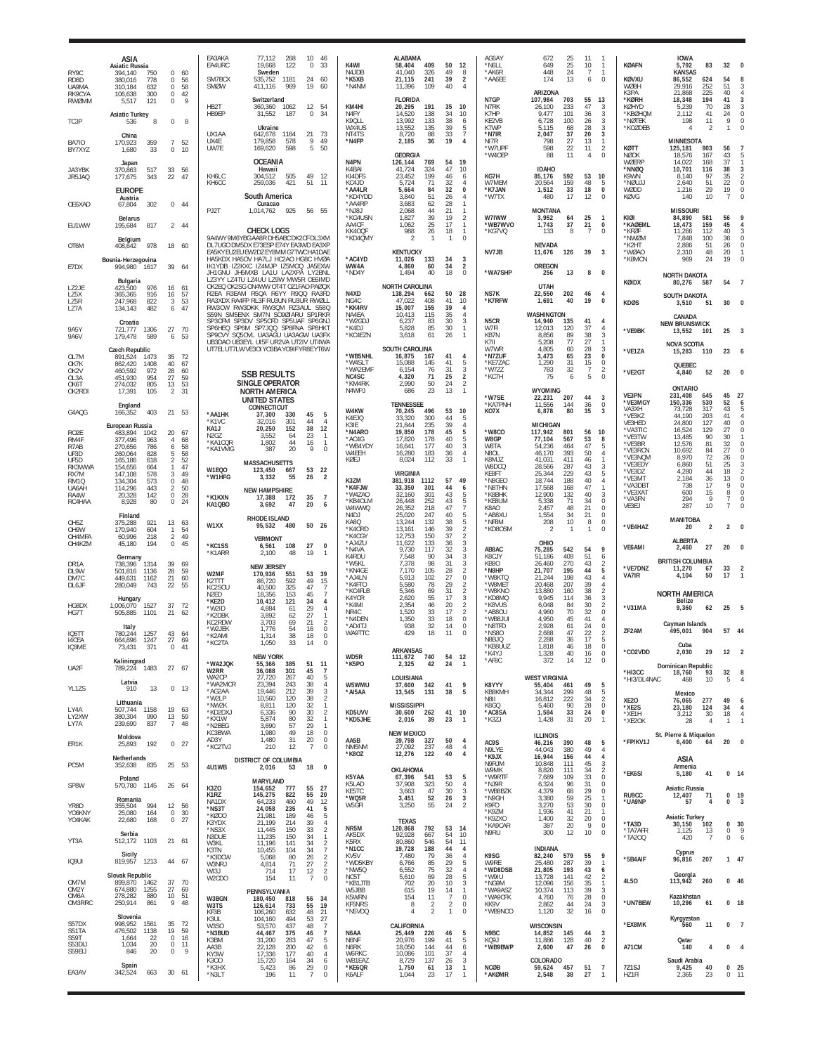| RY9C<br>RD <sub>8</sub> D<br>UA9MA          | ASIA<br><b>Asiatic Russia</b><br>750<br>0<br>394.140<br>380.016<br>778<br>$\Omega$<br>310.184<br>632<br>$^{\circ}$ | 60<br>-56<br>58      | EA3AKA<br>EA4URC<br>SM7BCX<br><b>SMØW</b>                                                                                                                | 77,112<br>268<br>19,668<br>122<br>Sweden<br>535,752<br>1181<br>411,116<br>969      | 10<br>46<br>0<br>33<br>24<br>60<br>19<br>60                                                                      | K4WI<br>N4JDB<br>*K5XB<br>*N4NM                                    | <b>ALABAMA</b><br>58,404<br>409<br>41.040<br>326<br>21,115<br>241<br>11,396<br>109            | 50<br>12<br>49<br>39<br>40             | AG6AY<br>*N6LL<br>8<br>*AK6R<br>$\overline{2}$<br>*AA6EE<br>$\overline{4}$                                        | 672<br>25<br>649<br>25<br>448<br>24<br>174<br>13                                          | 11<br>10<br>$\mathbf{1}$<br>$\overline{7}$<br>$\mathbf{1}$<br>$\mathbf 0$<br>6                    | <b>KØAFN</b><br>KØVXU<br>WØBH                          | <b>IOWA</b><br>5,792<br>83<br><b>KANSAS</b><br>86,552<br>624<br>29,916<br>252                                 | 32<br>54<br>51                               | $\Omega$                                              |
|---------------------------------------------|--------------------------------------------------------------------------------------------------------------------|----------------------|----------------------------------------------------------------------------------------------------------------------------------------------------------|------------------------------------------------------------------------------------|------------------------------------------------------------------------------------------------------------------|--------------------------------------------------------------------|-----------------------------------------------------------------------------------------------|----------------------------------------|-------------------------------------------------------------------------------------------------------------------|-------------------------------------------------------------------------------------------|---------------------------------------------------------------------------------------------------|--------------------------------------------------------|---------------------------------------------------------------------------------------------------------------|----------------------------------------------|-------------------------------------------------------|
| RK9CYA<br><b>RWØMM</b><br>TC3P              | $\mathbb O$<br>106,638<br>300<br>121<br>5,517<br>$\circ$<br><b>Asiatic Turkey</b><br>536<br>8<br>$\mathbf 0$       | 42<br>9<br>8         | HB2T<br>HB9EP                                                                                                                                            | Switzerland<br>360,360<br>1062<br>31,552<br>187<br>Ukraine                         | 12<br>54<br>$\mathbf 0$<br>34                                                                                    | KM4HI<br>N4FY<br>K9QLL<br>WX4US                                    | <b>FLORIDA</b><br>20,295<br>191<br>14,520<br>138<br>133<br>13.992<br>135<br>13,552            | 35<br>10<br>34<br>38<br>39             | N7GP<br>N7RK<br>10<br>K7HP<br>KE2VB<br>6<br>5<br>K7WP                                                             | ARIZONA<br>107,984<br>703<br>26,100<br>233<br>9,477<br>101<br>100<br>6,728<br>5,115<br>68 | 55<br>13<br>47<br>3<br>3<br>36<br>$_{3}$<br>26<br>28<br>3                                         | K3PA<br>*KØRH<br>KØHYD<br>*KBØHQM<br>*NØTEK<br>*KCØDEB | 225<br>21,868<br>18,348<br>194<br>5,239<br>70<br>2,112<br>41<br>198<br>11<br>$\overline{2}$<br>$\overline{4}$ | 40<br>41<br>-28<br>24<br>9<br>1              | 3<br>3<br>$\circ$<br>$\mathbf 0$<br>$\Omega$          |
| <b>BA710</b><br>BY7XYZ                      | China<br>359<br>$\overline{7}$<br>170.923<br>1,680<br>33<br>$\mathbf 0$                                            | 52<br>10             | UX1AA<br>UX4E<br><b>UW7F</b>                                                                                                                             | 642,678<br>1184<br>179,858<br>578<br>598<br>169.620                                | 21<br>-73<br>9<br>49<br>5<br>50                                                                                  | NT4TS<br>*N4FP                                                     | 88<br>8,720<br>2,185<br>36<br><b>GEORGIA</b>                                                  | 33<br>19                               | $\overline{7}$<br>*N7IR<br>$\overline{4}$<br>NI7R<br>*W7UPF<br>*W40EP                                             | 37<br>2,047<br>27<br>798<br>22<br>598<br>88<br>11                                         | 20<br>3<br>13<br>$\mathbf{1}$<br>11<br>$\overline{2}$<br>$\mathbf 0$<br>$\overline{4}$            | KØTT<br>NØOK                                           | <b>MINNESOTA</b><br>125.181<br>903<br>167<br>18.576                                                           | 56<br>43                                     |                                                       |
| JA3YBK<br>JR5JAQ                            | Japan<br>517<br>33<br>370,863<br>343<br>22<br>177.675<br><b>EUROPE</b><br>Austria                                  | 56<br>47             | KH6LC<br>KH6CC                                                                                                                                           | <b>OCEANIA</b><br>Hawaii<br>304.512<br>505<br>259,036<br>421<br>South America      | 49<br>-12<br>51<br>11                                                                                            | N <sub>4</sub> PN<br>K4BAI<br>KI4DFS<br>KC4JD<br>*AA4LR<br>*KD4YDD | 126,144<br>769<br>41,724<br>324<br>199<br>23.452<br>71<br>5.724<br>84<br>5.664<br>51<br>3,840 | 54<br>19<br>47<br>46<br>32<br>32<br>26 | 10<br>KG7H<br>6<br>W7MEM<br>0<br>'K7JAN<br>*W7TX<br>4                                                             | <b>IDAHO</b><br>592<br>85,176<br>20,564<br>159<br>1,512<br>33<br>17<br>480                | 53<br>10<br>48<br>5<br>18<br>$\pmb{0}$<br>12<br>$\Omega$                                          | WØERP<br>*NNØQ<br>K9WN<br>*NØUJJ<br>WØDD<br>KØVG       | 168<br>14.022<br>10,701<br>116<br>97<br>8,140<br>2,640<br>51<br>29<br>1,216<br>10<br>140                      | 37<br>38<br>35<br>22<br>19<br>$\overline{7}$ | 3<br>$\overline{2}$<br>0<br>$\circ$<br>$\theta$       |
| OE6XAD                                      | 302<br>67,804<br><b>Belarus</b>                                                                                    | 0.44                 | PJ2T                                                                                                                                                     | Curacao<br>925<br>1.014.762                                                        | 56 55                                                                                                            | *AA4RP<br>*NJ8J<br>*KG4USN                                         | 3,683<br>62<br>44<br>2,068<br>39<br>1,827                                                     | 28<br>21<br>19                         | -1<br>W7IWW<br>$\overline{2}$                                                                                     | <b>MONTANA</b><br>3,952<br>64                                                             | 25<br>$\mathbf{1}$                                                                                | KIØI                                                   | <b>MISSOURI</b><br>84,890<br>581                                                                              | 56                                           |                                                       |
| EU1WW                                       | 195,684<br>817<br>Belgium                                                                                          | 2 44                 | 9A4WY 9M6YBG AA8R DH5ABC DK2CF DL3XM                                                                                                                     | <b>CHECK LOGS</b>                                                                  |                                                                                                                  | AA4CF<br>KK4OQF<br>*KD4QMY                                         | 25<br>1,062<br>26<br>988<br>2<br>$\mathbf{1}$                                                 | 17<br>18<br>$\mathbf{1}$               | *WB7WVO<br>$\mathbf{1}$<br>$\overline{1}$<br>*KG7VQ<br>$\Omega$                                                   | 37<br>1,743<br>133<br>8                                                                   | 21<br>$^{\circ}$<br>$\overline{7}$<br>$\Omega$                                                    | *KAØEML<br>*KFØF<br>*NWØM                              | 159<br>18,473<br>11,266<br>112<br>7.848<br>100                                                                | 45<br>40<br>36                               | $\Delta$<br>3<br>0                                    |
| OT6M<br>E7DX                                | 978<br>18<br>408,642<br>Bosnia-Herzegovina<br>994,980<br>39<br>1617                                                | 60<br>64             | DL7UGO DM5DX E73ESP E74Y EA3WD EA3XF<br>EA5KY EU2EU EW2DZ EY8MM G7TWC HA1DAE<br>HA5KDX HA5OV HA7LJ HC2AO HG8C HVØA<br>IK1YDB IZ2KXC IZ4MJP IZ5MOQ JA5EXW |                                                                                    |                                                                                                                  | *AC4YD<br>WW4A                                                     | <b>KENTUCKY</b><br>11,026<br>133<br>4,860<br>60                                               | 34<br>34                               | NV7JB<br>3<br>$\overline{2}$                                                                                      | <b>NEVADA</b><br>126<br>11,676<br><b>OREGON</b>                                           | 39<br>$\overline{3}$                                                                              | *K2HT<br>*WØAO<br>*K8MCN                               | 2,886<br>51<br>48<br>2,310<br>969<br>24                                                                       | 26<br>20<br>19                               | $\theta$<br>-1<br>$\Omega$                            |
| $172$ JF                                    | Bulgaria<br>976<br>423.500<br>16                                                                                   | 61                   | JH1GNU JH5MXB LA1U LA2XPA LY2BNL<br>LZ3YY LZ4TU LZ4UU LZ9W MW5R OE6IMD<br>OK2EQ OK2SG ON4WW OT4T OZ1FAO PAØQ)                                            |                                                                                    |                                                                                                                  | *ND4Y                                                              | 1,494<br>40<br>NORTH CAROLINA                                                                 | 18                                     | $\Omega$<br>*WA7SHP                                                                                               | 256<br>13<br><b>UTAH</b>                                                                  | 8<br>0                                                                                            | KØIDX                                                  | <b>NORTH DAKOTA</b><br>80,276<br>587                                                                          | 54                                           |                                                       |
| LZ5X<br>LZ5R<br>LZ7A                        | 365,365<br>916<br>16<br>3<br>247,968<br>822<br>134,143<br>482<br>6                                                 | 57<br>53<br>47       | R2EA R3EAM R5QA R6YY R9QQ RA3FD<br>RA3XDX RA4FP RL3F RU3UN RU3UR RWØLI<br>RW3CW RW3DKK RW3QM RZ3AUL S58C<br>S59N SM5ENX SM7N SO9ØIARU SP1RKR             |                                                                                    |                                                                                                                  | N4XD<br>NG4C<br>*KK4RV<br>NA4EA                                    | 138,294<br>662<br>47.022<br>408<br>15,007<br>155<br>10,413<br>115                             | 50<br>41<br>39<br>35                   | 28<br>NS7K<br>*K7RFW<br>10<br>4<br>$\overline{4}$                                                                 | 22,550<br>202<br>1,691<br>40<br>WASHINGTON                                                | 46<br>4<br>19<br>0                                                                                | <b>KDØS</b>                                            | <b>SOUTH DAKOTA</b><br>51<br>3.510<br>CANADA                                                                  | 30                                           |                                                       |
| <b>9A5Y</b><br>9A6V                         | Croatia<br>27<br>721,777<br>1306<br>179,478<br>589<br>6                                                            | 70<br>53             | SP3CFM SP3DV SP5CFD SP5UAF SP6GN.<br>SP6HEQ SP6M SP7JQQ SP8FNA SP8HK1<br>SP9CVY SQ5OVL UA3AGU UA3AGW UA3FX<br>UB3DAO UB3EYL UI5F UR2VA UT2IV UT4WA       |                                                                                    |                                                                                                                  | *W2GDJ<br>*K4DJ<br>*KC4EZN                                         | 6,237<br>83<br>85<br>5,828<br>3,618<br>61                                                     | 30<br>30<br>26                         | 3<br>N5CR<br>$\mathbf{1}$<br>W7FI<br>$\overline{1}$<br>KB7N<br>K7II                                               | 14,940<br>135<br>12,013<br>120<br>8,856<br>89<br>77<br>5,208                              | 41<br>4<br>37<br>4<br>38<br>3<br>27<br>$\mathbf{1}$                                               | *VE9BK                                                 | <b>NEW BRUNSWICK</b><br>13,552<br>101                                                                         | 25                                           | 3                                                     |
| OL7M<br>OK7K                                | <b>Czech Republic</b><br>891,524<br>35<br>1473<br>40<br>1408<br>862.420                                            | 72<br>67             | UT7EL UT7LW VE3OI YO3BA YO9IF YR8E YT6W                                                                                                                  |                                                                                    |                                                                                                                  | *WB5NHL<br>*W4SLT                                                  | SOUTH CAROLINA<br>16,875<br>167<br>15,088<br>145                                              | 41<br>41                               | W7WR<br>*N7ZUF<br>$\overline{4}$<br>*KE7ZAC<br>-5                                                                 | 4,805<br>60<br>65<br>3.473<br>1,290<br>31                                                 | 28<br>3<br>23<br>$\mathbf 0$<br>15<br>$\mathbf 0$                                                 | *VE1ZA                                                 | <b>NOVA SCOTIA</b><br>15,283<br>110<br>QUEBEC                                                                 | 23                                           | 6                                                     |
| OK2V<br>O1.3A<br>OK6T<br>OK2RDI             | 972<br>28<br>460.592<br>954<br>27<br>451.930<br>274,032<br>805<br>13<br>105<br>$\overline{2}$<br>17,391            | 60<br>59<br>53<br>31 |                                                                                                                                                          | <b>SSB RESULTS</b><br>SINGLE OPERATOR<br><b>NORTH AMERICA</b>                      |                                                                                                                  | *WA2EMF<br>NC4SC<br>*KM4RK<br>N4WPJ                                | 6,154<br>76<br>4,320<br>71<br>2,990<br>50<br>686<br>23                                        | 31<br>25<br>24<br>13                   | 3<br>*W777<br>$\sqrt{2}$<br>*KC7H<br>$\sqrt{2}$<br>$\mathbf{1}$                                                   | 32<br>783<br>75<br>6<br><b>WYOMING</b>                                                    | $\overline{7}$<br>$\overline{2}$<br>5<br>$\Omega$                                                 | *VE2GT<br>VE3PN                                        | 52<br>4,840<br><b>ONTARIO</b><br>231,408<br>645                                                               | 20<br>45                                     | $\Omega$<br>27                                        |
| G4AQG                                       | England<br>403<br>166,352                                                                                          | 21 53                | *AA1HK                                                                                                                                                   | <b>UNITED STATES</b><br><b>CONNECTICUT</b><br>37.300<br>330                        | 45<br>5                                                                                                          | W4KW<br>K4EJQ                                                      | <b>TENNESSEE</b><br>70,245<br>496<br>33,320<br>300                                            | 53<br>10<br>44                         | *W7SE<br>*KA7PNH<br>KO7X<br>-5                                                                                    | 22,231<br>207<br>11,556<br>144<br>6,878<br>80                                             | 44<br>3<br>36<br>$\overline{0}$<br>35<br>3                                                        | *VE3MGY<br>VA3XH<br>*VE3KZ                             | 150,336<br>530<br>73,728<br>317<br>203<br>44.190                                                              | 52<br>43<br>41                               | 6<br>5                                                |
| RO <sub>2</sub> E<br>RM4F<br>R7AB           | European Russia<br>20<br>483,894<br>1042<br>377.496<br>$\overline{4}$<br>963<br>270,656<br>786<br>6                | 67<br>68<br>58       | *K1VC<br>KA1J<br>N2GZ<br>*KA1CQR                                                                                                                         | 301<br>32.016<br>20,250<br>152<br>3,552<br>64<br>1,802<br>44                       | 44<br>$\overline{4}$<br>38<br>12<br>23<br>$\mathbf{1}$<br>16<br>-1                                               | K3IE<br>*N4ARO<br>*AC4G<br>*WB4YDY                                 | 21,844<br>235<br>19,850<br>178<br>17,820<br>178<br>16,641<br>177                              | 39<br>45<br>40<br>40                   | $\overline{4}$<br>*W8CO<br>5<br>5<br>W8GP<br>3<br>W8TA                                                            | <b>MICHIGAN</b><br>801<br>117,942<br>77,104<br>567<br>54,236<br>464                       | 10<br>56<br>53<br>8<br>47<br>5                                                                    | VE3HED<br>*VA3TIC<br>*VE3TW<br>*VF3BR                  | 24,800<br>127<br>16,524<br>129<br>13,485<br>90<br>12.576<br>81                                                | 40<br>27<br>30<br>32                         | $\theta$<br>$\theta$<br>$\Omega$                      |
| UF3D<br>UF5D<br>RK3WWA                      | 828<br>-5<br>260.064<br>165,186<br>618<br>$\overline{2}$<br>154.656<br>664<br>$\mathbf{1}$                         | 58<br>52<br>47       | *KA1VMG<br>W1EQO                                                                                                                                         | 20<br>387<br><b>MASSACHUSETTS</b>                                                  | 9<br>$\Omega$<br>53                                                                                              | W4EEH<br>KØEJ                                                      | 16,280<br>183<br>8,024<br>112                                                                 | 36<br>33                               | $\overline{4}$<br>N8OL<br>K8MJZ<br>$\overline{1}$<br>W8DCQ                                                        | 393<br>46,170<br>411<br>41.031<br>287<br>28.566                                           | 50<br>4<br>46<br>$\mathbf{1}$<br>43<br>3                                                          | *VE3RCN<br>*VE3NQM<br>*VE3EDY                          | 10,692<br>84<br>8.970<br>72<br>6,860<br>51                                                                    | 27<br>26<br>25                               | $\Omega$<br>$\Omega$                                  |
| RX7M<br>RM1Q<br>UA6AH                       | 147.108<br>578<br>3<br>134,304<br>573<br>$\mathbf 0$<br>$\overline{2}$<br>114,296<br>443                           | 49<br>48<br>50       | *W1HFG                                                                                                                                                   | 123,450<br>667<br>3,332<br>55<br><b>NEW HAMPSHIRE</b>                              | 22<br>26<br>$\overline{\mathbf{z}}$                                                                              | K3ZM<br>*K4FJW                                                     | <b>VIRGINIA</b><br>381,918<br>1112<br>33,350<br>301                                           | 57<br>49<br>44                         | <b>KF8FT</b><br>*N8GEO<br>*N8THN<br>6                                                                             | 229<br>25,344<br>18,744<br>188<br>17.568<br>168                                           | $\,$ 5<br>43<br>40<br>4<br>47<br>$\mathbf{1}$                                                     | *VE3DZ<br>*VE3MT<br>*VA3DB1                            | 4,280<br>44<br>2,184<br>36<br>17<br>738                                                                       | 18<br>13<br>9                                | 2<br>$\theta$<br>$\Omega$                             |
| RA4W<br>RC4HAA                              | $\mathbb O$<br>20,328<br>142<br>80<br>$\mathbf 0$<br>8,928                                                         | 28<br>24             | <b>*K1KXN</b><br>KA1QBO                                                                                                                                  | 17,388<br>172<br>3,692<br>47                                                       | 35<br>$\overline{7}$<br>20<br>6                                                                                  | *W4ZAO<br>*KB4OLM<br>W4WWQ                                         | 32,160<br>301<br>26,448<br>252<br>26,352<br>218                                               | 43<br>43<br>47<br>40                   | *K8BHK<br>5<br>5<br>*KE8UM<br>$\overline{7}$<br>K8AO                                                              | 12,900<br>132<br>71<br>5,338<br>48<br>2,457<br>34                                         | 40<br>3<br>34<br>$\mathbb O$<br>21<br>$\Omega$<br>21<br>$\mathbb O$                               | *VE3XA1<br>*VA3FN<br>VE3EJ                             | 15<br>600<br>294<br>9<br>10<br>287                                                                            | 8<br>7                                       | 0<br>0                                                |
| OH <sub>5</sub> Z<br>OH9W<br>OH4MFA         | Finland<br>13<br>375,288<br>921<br>604<br>170.940<br>$\mathbf{1}$<br>$\overline{2}$<br>60,996<br>218               | 63<br>54<br>49       | W1XX                                                                                                                                                     | RHODE ISLAND<br>480<br>95.532<br><b>VERMONT</b>                                    | 50 26                                                                                                            | N4DJ<br>KA8Q<br>*K4ORD<br>*K4CGY                                   | 25,020<br>247<br>132<br>13,244<br>13,161<br>146<br>150<br>12.753                              | 38<br>39<br>37                         | 5<br>*AB8XU<br>5<br>*NF8M<br>$\overline{2}$<br>*KD8OSM<br>$\overline{2}$                                          | 1,554<br>10<br>208<br>$\mathfrak{D}$<br>$\mathbf{1}$                                      | $\, 8$<br>$\mathbf 0$<br>$\mathbf{1}$<br>$\Omega$                                                 | *VE4HAZ                                                | <b>MANITOBA</b><br>20<br>$\overline{2}$                                                                       | $\overline{2}$                               |                                                       |
| OH4KZM                                      | $\mathbb O$<br>194<br>45.180<br>Germany                                                                            | 45                   | *KC1SS<br>*K1ARR                                                                                                                                         | 108<br>6,561<br>2,100<br>48                                                        | 27<br>0<br>19<br>$\mathbf{1}$                                                                                    | *AJ4ZU<br>*N4VA<br>K4RDU                                           | 11,622<br>133<br>9,730<br>117<br>7,548<br>90                                                  | 36<br>32<br>34                         | 3<br>AB8AC<br>3<br>3<br>K8CJY                                                                                     | OHIO<br>75,285<br>542<br>409<br>51.186                                                    | 9<br>54<br>51<br>6                                                                                | <b>VF6AMI</b>                                          | <b>ALBERTA</b><br>27<br>2,460<br><b>BRITISH COLUMBIA</b>                                                      | 20                                           | $\Omega$                                              |
| DR <sub>1</sub> A<br>DI 9W<br>DM7C<br>DL6JF | 738,396<br>1314<br>39<br>$28\,$<br>501.816<br>1136<br>21<br>449,631<br>1162<br>280,049<br>743<br>22                | 69<br>59<br>60<br>55 | W2MF<br>K2TTT<br>KC2SOU                                                                                                                                  | <b>NEW JERSEY</b><br>170,936<br>551<br>86,720<br>592<br>325<br>40.500              | 53<br>39<br>49<br>15<br>47                                                                                       | *W5KL<br>*KN4GE<br>*AJ4LN<br>*K4FTO<br>*KC4FLB                     | 7,378<br>98<br>7,170<br>105<br>102<br>5,913<br>5,580<br>78<br>5,346<br>69                     | 31<br>28<br>27<br>29<br>31             | 3<br>KB80<br>$\overline{2}$<br>*N8HP<br>$\bf 0$<br>*W8KTO<br>$\overline{2}$<br>*W8MET<br>$\overline{2}$<br>*W8KNO | 270<br>26.460<br>21,707<br>195<br>198<br>21.244<br>20,468<br>207<br>160<br>13,880         | 43<br>$\frac{2}{5}$<br>44<br>43<br>$\overline{4}$<br>39<br>$\overline{4}$<br>$\overline{2}$<br>38 | *VE7DNZ<br>VA7IR                                       | 11,270<br>67<br>50<br>4.104                                                                                   | 33<br>17                                     | $\overline{1}$                                        |
| HG8DX<br>HG7T                               | Hungary<br>1527<br>37<br>1,006,070<br>505,885<br>1101<br>21                                                        | 72<br>62             | N <sub>2ED</sub><br>*KE2D<br>*W2ID<br>*K2DBK                                                                                                             | 18,356<br>153<br>10,412<br>121<br>4.884<br>61<br>3,892<br>62                       | 45<br>-7<br>34<br>4<br>29<br>$\overline{4}$<br>27<br>$\mathbf{1}$                                                | K4YCR<br>*K4MI<br>NR4C<br>*N4DEN                                   | 2,620<br>55<br>2,354<br>46<br>33<br>1,520<br>1,350<br>33                                      | 17<br>20<br>17<br>18                   | 3<br>*KD8MQ<br>$\overline{2}$<br>*K8VUS<br>$\overline{2}$<br>*AB8OU<br>$\mathbb O$<br>*WB8JUI                     | 9,945<br>114<br>6,048<br>84<br>70<br>4,960<br>45<br>4,950                                 | 36<br>$\frac{3}{2}$<br>30<br>32<br>$\mathbf 0$<br>41<br>4                                         | *V31MA                                                 | <b>NORTH AMERICA</b><br>Belize<br>9,360<br>62                                                                 | 25                                           | 5                                                     |
| <b>IO5TT</b><br>14CEA<br>IQ3ME              | Italy<br>43<br>1257<br>780.244<br>27<br>664.896<br>1247<br>$\Omega$                                                | 64<br>69<br>41       | KC2RDW<br>W2 JFK<br>*K2AMI<br>*KC2TA                                                                                                                     | 3,703<br>69<br>1.776<br>54<br>1,314<br>38<br>1,050<br>33                           | 21<br>$\overline{2}$<br>$\mathbf 0$<br>16<br>18<br>$\mathbf{0}$<br>14<br>$\Omega$                                | *AD4TJ<br>WA9TTC                                                   | 32<br>938<br>429<br>18                                                                        | 14<br>11                               | $\Omega$<br>*N8TFD<br>$\Omega$<br>*NS80<br>N8BJQ<br>*KB8UU7                                                       | 2,928<br>61<br>2,688<br>47<br>2,288<br>36<br>1.818<br>46                                  | $\mathbb O$<br>24<br>22<br>$\overline{2}$<br>17<br>5<br>18<br>$\Omega$                            | ZF <sub>2</sub> AM                                     | Cayman Islands<br>495,001<br>904<br>Cuba                                                                      |                                              | 57 44                                                 |
| UA2F                                        | 371<br>73,43<br>Kaliningrad<br>789,224 1483                                                                        | 27 67                | *WA2JQK                                                                                                                                                  | <b>NEW YORK</b><br>55,366<br>385                                                   | 51<br>11                                                                                                         | WD5R<br>*K5PO                                                      | <b>ARKANSAS</b><br>111,672 740<br>2,325<br>42                                                 | 54<br>- 12<br>24                       | *K4YJ<br>*AF8C<br>$\mathbf{1}$                                                                                    | 1,328<br>40<br>372<br>14                                                                  | 16<br>$\mathbf 0$<br>12<br>$\mathbf 0$                                                            | *CO2VDD                                                | 2,030<br>29<br>Dominican Republic                                                                             | 12                                           | 2                                                     |
| YL1ZS                                       | Latvia<br>910<br>13                                                                                                | $0$ 13               | W2RR<br>WA2CP<br>*WA2MCR<br>*AG2AA                                                                                                                       | 36,088<br>301<br>27,720<br>267<br>23,394<br>243<br>19,446<br>212                   | 45<br>$\overline{7}$<br>40<br>5<br>38<br>$\overline{4}$<br>39<br>3                                               | W5WMU<br>*AI5AA                                                    | LOUISIANA<br>37,600<br>342<br>13,545<br>131                                                   | 41<br>38                               | K8YYY<br>9<br>KB8KMH<br>5                                                                                         | <b>WEST VIRGINIA</b><br>55,404<br>461<br>34,344<br>299                                    | 49<br>5<br>48<br>5                                                                                | *HI3CC<br>*HI3/DL4NAC                                  | 18,760<br>93<br>468<br>10<br>Mexico                                                                           | 32<br>5                                      | 8<br>$\overline{4}$                                   |
| LY4A<br>LY2XW<br>LY7A                       | Lithuania<br>507,744 1158<br>19<br>380,304<br>990<br>13<br>239,690<br>837<br>7                                     | 63<br>59<br>48       | *W2LP<br>*NW2K<br>*KD2DXJ<br>*KX1W<br>*N2BEG                                                                                                             | 10,560<br>120<br>8,811<br>120<br>6,336<br>90<br>5,874<br>80<br>3,690<br>57         | 38<br>$\overline{2}$<br>32<br>$\mathbf{1}$<br>$\overline{2}$<br>30<br>32<br>$\overline{1}$<br>29<br>$\mathbf{1}$ | KD5UVV<br>*KD5JHE                                                  | <b>MISSISSIPPI</b><br>30,600<br>262<br>2,016<br>-39                                           | 41<br>10<br>23                         | N8II<br>K8GQ<br>*AC8SA<br>*K3ZJ<br>$\mathbf{1}$                                                                   | 16,812<br>222<br>90<br>5,460<br>33<br>1,584<br>31<br>1,428                                | 34<br>2<br>28<br>$\mathbf 0$<br>24<br>0<br>20<br>$\overline{1}$                                   | <b>XE20</b><br>*XE2S<br>*XE1H<br>*XE2OK                | 277<br>76.065<br>23,180<br>124<br>30<br>3,212<br>4<br>28                                                      | 49<br>34<br>18<br>1                          | 6<br>$\overline{4}$<br>$\overline{4}$<br>$\mathbf{1}$ |
| ER1K                                        | Moldova<br>25,893<br>192                                                                                           | $0$ 27               | KC3BWA<br>AD3Y<br>*KC2TVJ                                                                                                                                | 1.980<br>49<br>1,480<br>31<br>12<br>210                                            | 18<br>$\Omega$<br>20<br>0<br>$\overline{7}$<br>$\mathbf 0$                                                       | AA5B<br>NM5NM                                                      | <b>NEW MEXICO</b><br>39,798<br>327<br>27,092<br>237                                           | 50<br>48                               | $\overline{4}$<br>AC9S<br>$\overline{4}$                                                                          | <b>ILLINOIS</b><br>46,216<br>390                                                          | 5<br>48                                                                                           | *FP/KV1J                                               | St. Pierre & Miquelon<br>6,400<br>64                                                                          | 20                                           | 0                                                     |
| PC5M                                        | Netherlands<br>835<br>352,638                                                                                      | 25 53                | 4U1WB                                                                                                                                                    | DISTRICT OF COLUMBIA<br>2,016<br>53                                                | 18<br>0                                                                                                          | *K80Z                                                              | 12,276<br>122<br>OKLAHOMA                                                                     | 40                                     | N9LYE<br>4<br>*K9JX<br>N9RJM<br>W9MK                                                                              | 380<br>44,043<br>16,944<br>156<br>10,848<br>111<br>8,820<br>111                           | 49<br>$\overline{4}$<br>44<br>4<br>45<br>3<br>$\overline{2}$<br>34                                |                                                        | ASIA<br>Armenia                                                                                               |                                              |                                                       |
| SP8W                                        | Poland<br>1145<br>570,780<br>26                                                                                    | - 64                 | K3ZO                                                                                                                                                     | MARYLAND<br>154,652<br>777                                                         | 55<br>27                                                                                                         | K5YAA<br>K5LAD<br>KE5TC                                            | 67,396<br>541<br>37,908<br>323<br>47<br>3,663                                                 | 53<br>50<br>30                         | *W9RTF<br>5<br>*NJ9R<br>$\overline{4}$<br>*WB8BZK<br>3                                                            | 7,689<br>109<br>6,324<br>96<br>4,379<br>68                                                | $\begin{array}{c} 33 \\ 31 \end{array}$<br>$\mathbf 0$<br>0<br>29<br>$\mathbb O$                  | *EK6SI                                                 | 5,180<br>41<br>Asiatic Russia                                                                                 |                                              | $0 \t14$                                              |
| YR8D<br>YO6KNY<br>YO4KAK                    | Romania<br>355,504<br>994<br>$\circ$<br>164<br>25.080<br>22,680<br>168<br>$\circ$                                  | 12 56<br>30<br>27    | K1RZ<br>NA1DX<br>*NS3T<br>*KØ00<br>K3YDX                                                                                                                 | 145,275<br>822<br>460<br>64.233<br>24,058<br>235<br>21,981<br>189<br>21,199<br>214 | 55<br>20<br>49<br>12<br>5<br>41<br>46<br>5<br>$\overline{4}$<br>39                                               | *WQ5R<br>W5GFI                                                     | 3,451<br>52<br>55<br>3,250<br><b>TEXAS</b>                                                    | 26<br>24                               | 3<br>*N9GH<br>$\overline{2}$<br>K9FO<br>*K9ZM<br>*K9ZXO                                                           | 3,380<br>59<br>3,270<br>53<br>1,936<br>41<br>32<br>1,400                                  | 25<br>$\mathbf{1}$<br>30<br>$\mathbf{0}$<br>21<br>$\mathbf{1}$<br>$20\,$<br>$\mathbf{0}$          | RU9CC<br>*UA9NP<br>*TA3D                               | 12,407<br>71<br>57<br>4<br><b>Asiatic Turkey</b><br>30,150<br>102                                             | 0<br>0<br>0                                  | - 19<br>3<br>30                                       |
| YT3A                                        | Serbia<br>1103<br>512,172                                                                                          | 21 61                | *NS3X<br>N3DUE<br>W3KL                                                                                                                                   | 11,445<br>150<br>11,235<br>150<br>11.196<br>141                                    | $\overline{2}$<br>33<br>34<br>$\mathbf{1}$<br>$\overline{2}$<br>34                                               | NR5M<br>AK5DX<br>K5RX                                              | 120,868<br>792<br>92,928<br>667<br>80,860<br>546                                              | 53<br>-14<br>54<br>54                  | *KA9CAR<br>N9RU<br>10<br>11                                                                                       | 387<br>20<br>12<br>300                                                                    | 9<br>$\mathbf 0$<br>10<br>$\mathbf 0$                                                             | *TA7AFR<br>*TA200                                      | 1,125<br>13<br>420<br>$\overline{7}$                                                                          | $\mathbb O$<br>0                             | 9<br>6                                                |
| IQ9UI                                       | Sicily<br>819,957<br>1213                                                                                          | 44 67                | K3TN<br>*K3DCW<br>W3NRJ                                                                                                                                  | 10,455<br>104<br>5,068<br>80<br>71<br>4,814                                        | 34<br>7<br>$\overline{\mathbf{c}}$<br>26<br>$\overline{2}$<br>27                                                 | *N1CC<br>KV5V<br>*WD5KBY<br>*NW5Q                                  | 188<br>19,728<br>7,480<br>79<br>6,766<br>85<br>6,552<br>75                                    | 44<br>36<br>29<br>32                   | 4<br>K9SG<br>$\overline{4}$<br>W9RE<br>-5<br>*WD8DSB<br>$\overline{4}$                                            | <b>INDIANA</b><br>82,240<br>579<br>25,480<br>287<br>21,805<br>193                         | 55<br>9<br>39<br>$\overline{1}$<br>43                                                             | *5B4AIF                                                | Cyprus<br>207<br>96,816                                                                                       |                                              | 147                                                   |
| OM7M<br>OM2Y                                | <b>Slovak Republic</b><br>899,870<br>37<br>- 1462<br>1255<br>27<br>674,880                                         | 70<br>69             | WI3J<br>W <sub>2</sub> CDO                                                                                                                               | 17<br>714<br>154<br>11<br>PENNSYLVANIA                                             | $^2_{\rm 0}$<br>12<br>7                                                                                          | NC5T<br>*KB1JTB<br>W5JBB                                           | 5,610<br>69<br>20<br>702<br>615<br>19                                                         | 28<br>10<br>14                         | 5<br>*W9IU<br>*NG9M<br>3<br>*WA9ASZ<br>$\mathbf{1}$                                                               | 13,728<br>141<br>12.096<br>156<br>10,374<br>113                                           | $\frac{6}{2}$<br>42<br>35<br>$\mathbf{1}$<br>39<br>3                                              | 4L50                                                   | Georgia<br>113,942<br>260                                                                                     |                                              | $0$ 46                                                |
| OM6A<br>OM3RRC                              | 10<br>278,282<br>880<br>9<br>250,914<br>861                                                                        | 51<br>48             | W3BGN<br>W3TS<br>KF3B                                                                                                                                    | 180,450<br>818<br>126,614<br>733<br>106,260<br>632                                 | 56<br>34<br>55<br>19<br>21<br>48                                                                                 | K5WRN<br><b>KF5NRS</b><br>*N5VDQ                                   | 154<br>11<br>8<br>$\overline{2}$<br>$\overline{2}$<br>$\overline{4}$                          | -7<br>$\overline{2}$<br>$\mathbf{1}$   | *WA9CFK<br>$^{\circ}$<br>$\mathbf 0$<br>KK9V<br>*WB9NOO<br>$^{\circ}$                                             | 4,760<br>76<br>44<br>2,862<br>32<br>1,120                                                 | 28<br>$\mathbf 0$<br>24<br>3<br>16<br>$\Omega$                                                    | *UN7BEW                                                | Kazakhstan<br>10,296<br>61                                                                                    |                                              | 0 <sub>18</sub>                                       |
| S57DX<br>S51TA                              | Slovenia<br>998,952<br>35<br>1561<br>19<br>1138<br>476.502                                                         | 72<br>59             | K3UL<br>W3SO<br>*N3BUD                                                                                                                                   | 494<br>104,160<br>53,570<br>437<br>44,467<br>375                                   | 27<br>53<br>48<br>$\overline{7}$<br>46<br>7                                                                      | N6AA                                                               | CALIFORNIA<br>25,449<br>226                                                                   | 46                                     | N9BC<br>5                                                                                                         | <b>WISCONSIN</b><br>14,852<br>145                                                         | 44<br>$\frac{3}{2}$                                                                               | *EX8MK                                                 | Kyrgyzstan<br>560<br>11                                                                                       | 0                                            | 7                                                     |
| S59T<br>S53DIJ<br>S59EIJ                    | 22<br>$\mathbf 0$<br>1,664<br>1,034<br>20<br>$\mathbb O$<br>846<br>20<br>$\mathbf 0$                               | 16<br>11<br>9        | K3BM<br>AA3B<br>KY3W                                                                                                                                     | 31,200<br>283<br>22,128<br>200<br>17,336<br>177                                    | 47<br>5<br>42<br>6<br>40<br>4                                                                                    | N6NF<br>N6RK<br>W6RKC                                              | 20.976<br>199<br>18,050<br>144<br>10,086<br>101                                               | 41<br>44<br>37                         | 5<br>KQ9J<br>*WB9BWP<br>6<br>$\overline{4}$                                                                       | 11,886<br>128<br>47<br>2,600                                                              | 40<br>$\mathbf{0}$<br>26                                                                          | A71CM                                                  | Qatar<br>140<br>4                                                                                             | $\Omega$                                     |                                                       |
| EA3AV                                       | Spain<br>342,524<br>663                                                                                            | 30 61                | K300<br>*K3HX<br>*N3LT                                                                                                                                   | 15,720<br>164<br>5,423<br>86<br>11<br>196                                          | 34<br>6<br>29<br>$\mathbf 0$<br>$\overline{7}$<br>$\mathbf 0$                                                    | WB1EAZ<br>*KE6QR<br>K6ALF                                          | 8,729<br>137<br>1,750<br>61<br>1,044<br>23                                                    | 26<br>13<br>17                         | 3<br>$\mathbf{1}$<br><b>NCØB</b><br>*AKØMR<br>$\mathbf{1}$                                                        | COLORADO<br>59,624<br>457<br>2,548<br>38                                                  | $\overline{7}$<br>51<br>27<br>$\overline{1}$                                                      | 7Z1SJ<br>HZ1FI                                         | Saudi Arabia<br>40<br>9,425<br>2,365<br>23                                                                    | 0<br>0                                       | 25<br>11                                              |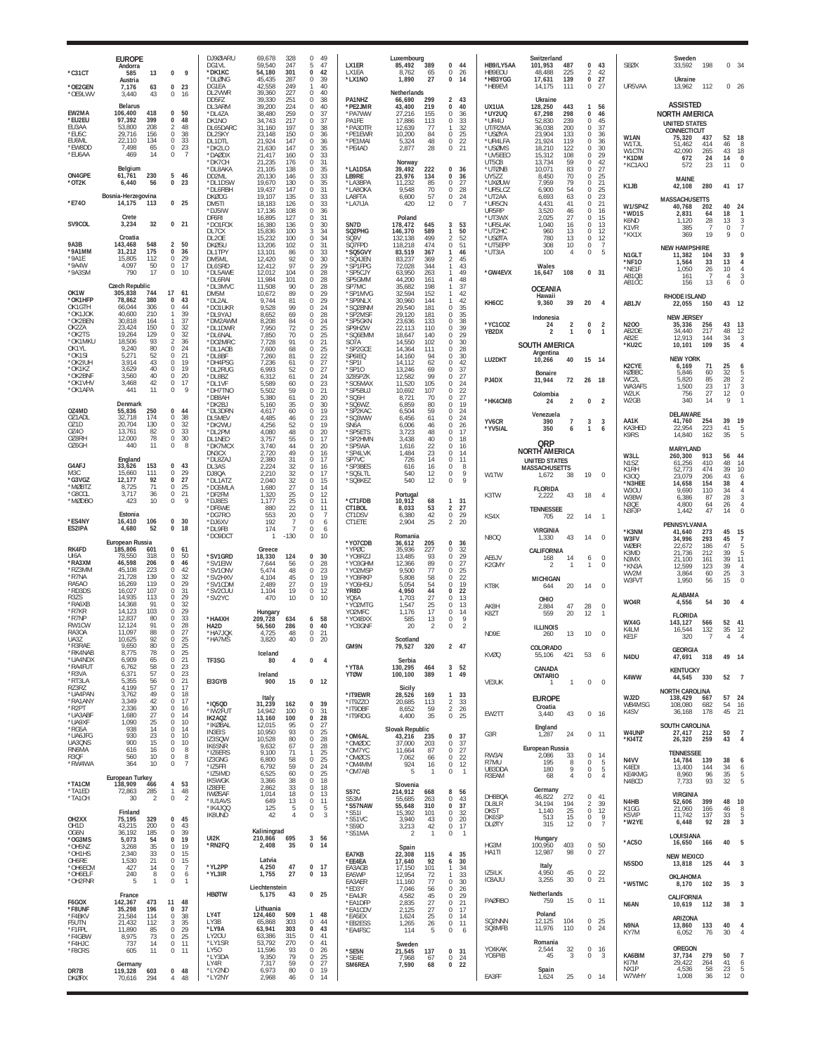|                                                            | <b>EUROPE</b><br>Andorra                                                                                                         |                                                                                                                                          | DJ9ØIARU<br>DG1VL<br>*DK1KC                                                   | 69,678<br>328<br>59,540<br>247<br>54,180<br>301                                                                                      | 49<br>$\Omega$<br>5<br>47<br>$\mathbf 0$<br>42                                              | LX1ER<br>I X1FA                                                                 | Luxembourg<br>85,492<br>389                                                                                                    | 0<br>44<br>$\Omega$                                                                                               | HB9/LY5AA<br>HB9FOU                                                | Switzerland<br>101,953<br>487<br>48.488<br>225                                                                                  | 0<br>43<br>$\mathcal{P}$                                                                                                         | <b>SEØX</b>                                                            | Sweden<br>33,592<br>198                                                                                                           | 0, 34                                                               |
|------------------------------------------------------------|----------------------------------------------------------------------------------------------------------------------------------|------------------------------------------------------------------------------------------------------------------------------------------|-------------------------------------------------------------------------------|--------------------------------------------------------------------------------------------------------------------------------------|---------------------------------------------------------------------------------------------|---------------------------------------------------------------------------------|--------------------------------------------------------------------------------------------------------------------------------|-------------------------------------------------------------------------------------------------------------------|--------------------------------------------------------------------|---------------------------------------------------------------------------------------------------------------------------------|----------------------------------------------------------------------------------------------------------------------------------|------------------------------------------------------------------------|-----------------------------------------------------------------------------------------------------------------------------------|---------------------------------------------------------------------|
| $^*$ C31CT<br>*OE2GEN<br>*OE9LWV                           | 585<br>13<br>Austria<br>63<br>7,176<br>3,440<br>43                                                                               | 0<br>9<br>$\Omega$<br>23<br>$\mathbf 0$<br>16                                                                                            | *DLØNG<br>DG1EA<br>DL2VWR                                                     | 45,435<br>287<br>42,558<br>249<br>39,360<br>227                                                                                      | 0<br>39<br>40<br>1<br>$\Omega$<br>40                                                        | *LX1NO                                                                          | 8,762<br>65<br>1,890<br>27<br>Netherlands                                                                                      | 26<br>0<br>-14                                                                                                    | *HB3YGG<br>*HB9EVI                                                 | 17,631<br>139<br>14,175<br>111                                                                                                  | 42<br>0<br>27<br>$\mathbb O$<br>27                                                                                               | UR5VAA                                                                 | Ukraine<br>112<br>13.962                                                                                                          | $0\quad 26$                                                         |
| EW2MA<br>*EU2EU<br>EU3AA<br>*EU5C<br>EU6ML<br>*EW8DD       | <b>Belarus</b><br>106,400<br>418<br>97.392<br>399<br>53.800<br>208<br>29,716<br>156<br>134<br>22.110<br>7,498<br>65<br>469<br>14 | $\bf{0}$<br>50<br>48<br>$\Omega$<br>48<br>2<br>38<br>$\mathbf 0$<br>33<br>$\Omega$<br>23<br>$\mathbf 0$<br>$\mathbf 0$<br>$\overline{7}$ | DD5FZ<br>DL3ARM<br>*DL4ZA<br>DK1NO<br>DL65DARC<br>DL2SKY<br>DL1DTL<br>*DK2I O | 39,330<br>251<br>39,200<br>224<br>38,480<br>259<br>34,743<br>217<br>31,160<br>197<br>23,148<br>150<br>21,924<br>147<br>21,630<br>147 | 0<br>38<br>0<br>40<br>37<br>0<br>37<br>0<br>0<br>38<br>0<br>36<br>0<br>36<br>$\Omega$<br>35 | PA1NHZ<br>*PE2JMR<br>*PA7WW<br>PA1FE<br>*PA3DTR<br>*PE1EWR<br>*PE1MAI<br>*PE4AD | 66,690<br>299<br>43,400<br>219<br>27,216<br>155<br>113<br>17,886<br>12,639<br>77<br>10,200<br>84<br>5,324<br>48<br>2,877<br>28 | 2 43<br>40<br>$\mathbf 0$<br>0<br>36<br>33<br>$\mathbf{0}$<br>32<br>1<br>25<br>$\mathbf{0}$<br>22<br>0<br>21<br>0 | UX1UA<br>*UY2UQ<br>*UR4U<br>UT/R2MA<br>*USØYA<br>*UR4LFA<br>*USØMS | Ukraine<br>128,250<br>443<br>67,298<br>298<br>239<br>52.830<br>36,038<br>200<br>23,904<br>133<br>21,924<br>119<br>122<br>18.210 | $\mathbf{1}$<br>56<br>0<br>46<br>$\mathbf 0$<br>45<br>37<br>$^{\circ}$<br>$\mathbf 0$<br>36<br>$^{\circ}$<br>36<br>$\bf 0$<br>30 | W1AN<br>W1TJL<br>W1CTN                                                 | <b>ASSISTED</b><br><b>NORTH AMERICA</b><br><b>UNITED STATES</b><br>CONNECTICUT<br>75,320<br>437<br>414<br>51.462<br>42,090<br>265 | 52<br>18<br>46<br>8<br>43<br>18                                     |
| *EU6AA<br>ON4GPE                                           | Belgium<br>61,761<br>230                                                                                                         | 5<br>46                                                                                                                                  | *DAØDX<br>*DK7CH<br>*DL8AKA<br>DD <sub>2ML</sub>                              | 21,417<br>160<br>21,235<br>176<br>21,105<br>138<br>20.130<br>146                                                                     | 0<br>33<br>$\mathbf 0$<br>31<br>0<br>35<br>$\mathbf 0$<br>33                                | *LA1DSA<br>LB9RF                                                                | Norway<br>39,492<br>222<br>23,976<br>134                                                                                       | 0<br>36<br>$\mathbf 0$<br>-36                                                                                     | *UV5EEO<br>UT5CB<br>*UTØNB<br>UY5ZZ                                | 15,312<br>108<br>59<br>13.734<br>10,071<br>83<br>8.450<br>70                                                                    | $^{\circ}$<br>29<br>$\bf 0$<br>42<br>$\mathbf 0$<br>27<br>$\mathbb O$<br>25                                                      | *K1DM<br>*KC1AXJ                                                       | 672<br>24<br>572<br>23<br>MAINE                                                                                                   | 14<br>$\Omega$<br>11<br>$\mathbf 0$                                 |
| *OT2K<br>*E740                                             | 56<br>6.440<br>Bosnia-Herzegovina<br>14,175<br>113                                                                               | 23<br>$\Omega$<br>0 <sub>25</sub>                                                                                                        | *DL1DSW<br>*DL6RBH<br><b>DKØOG</b><br>DM5TI                                   | 19,670<br>130<br>19,437<br>147<br>19,107<br>135<br>18,183<br>126                                                                     | 0<br>35<br>$\mathbb O$<br>31<br>33<br>$\Omega$<br>33<br>$\Omega$                            | *LA3BPA<br>*LA8OKA<br>LA8FTA<br>*LA7IJA                                         | 11,232<br>85<br>70<br>9,548<br>57<br>6,600<br>12<br>420                                                                        | 0<br>27<br>$\bf 0$<br>28<br>0<br>24<br>0<br>$\overline{7}$                                                        | *UXØUW<br>*UR5LCZ<br>*UT2AA<br>*UR5CN                              | 7,959<br>79<br>54<br>6,900<br>63<br>6,693<br>4,431<br>41                                                                        | $^{\circ}$<br>21<br>$\bf 0$<br>25<br>23<br>$\mathbf 0$<br>21<br>$^{\circ}$                                                       | K1JB<br>W1/SP4Z                                                        | 42,108<br>280<br><b>MASSACHUSETTS</b><br>40,768<br>202                                                                            | 41 17<br>40<br>2 <sup>i</sup>                                       |
| SV9COL                                                     | Crete<br>32<br>3,234                                                                                                             | 0 <sub>21</sub>                                                                                                                          | *DJ5IW<br>DF6RI<br>*DO1FOX<br>DL7CX                                           | 17,136<br>108<br>16,895<br>127<br>16,380<br>136<br>15,836<br>100                                                                     | 0<br>36<br>31<br>0<br>0<br>30<br>3<br>34                                                    | SN7D<br>SQ2PHG                                                                  | Poland<br>178,472<br>645<br>146,370<br>589                                                                                     | 53<br>3<br>1<br>50                                                                                                | UR5RP<br>*UT3WX<br>*UR5LAK<br>*UT2HC                               | 3,520<br>46<br>27<br>2,025<br>16<br>1.040<br>13<br>960                                                                          | $\mathbb O$<br>16<br>$\bf 0$<br>15<br>13<br>$\mathbf 0$<br>$\bf 0$<br>12                                                         | *WD1S<br>K6ND<br>K <sub>1</sub> V <sub>R</sub><br>*KX1X                | 2,831<br>64<br>28<br>1,120<br>385<br>$\overline{7}$<br>19<br>369                                                                  | 18<br>13<br>3<br>$\mathbf{0}$<br>$\overline{7}$<br>9<br>$\Omega$    |
| 9A3B<br>*9A1MM<br>*9A1E<br>*9A4W<br>*9A3SM                 | Croatia<br>548<br>143,468<br>31,212<br>175<br>15,805<br>112<br>4,097<br>50<br>17<br>790                                          | $\overline{2}$<br>50<br>$\bf{0}$<br>36<br>29<br>$\mathbf 0$<br>$\mathbb O$<br>17<br>$\mathbf 0$<br>10                                    | DL <sub>2</sub> OE<br><b>DKØSU</b><br>DL1TPY<br>DM5ML<br>DL6SRD<br>*DL5AWE    | 15,232<br>100<br>13,206<br>102<br>13.101<br>86<br>12,420<br>92<br>12,412<br>97<br>12,012<br>104                                      | 0<br>34<br>0<br>31<br>$\Omega$<br>33<br>0<br>30<br>$\mathbf 0$<br>29<br>0<br>28             | <b>SO9V</b><br>SQ7FPD<br>*SQ5GVY<br>*SQ4JEN<br>*SP1FPG<br>*SP5CJY               | 499<br>132.138<br>118,218<br>474<br>83,519<br>367<br>83,237<br>369<br>72,028<br>344<br>63,950<br>263                           | 52<br>2<br>0<br>51<br>46<br>1<br>2<br>45<br>43<br>$\mathbf{1}$<br>49<br>1                                         | *USØTA<br>*UT5EPP<br>*UT3IA<br>*GW4EVX                             | 780<br>13<br>308<br>10<br>100<br>4<br>Wales<br>16,647<br>108                                                                    | $\,0\,$<br>12<br>$\mathbf 0$<br>$\overline{7}$<br>$\bf 0$<br>5<br>$\bf{0}$<br>31                                                 | N <sub>1</sub> GLT<br>*NF10<br>*NE1F<br>AB <sub>1</sub> O <sub>B</sub> | <b>NEW HAMPSHIRE</b><br>11,382<br>104<br>33<br>1,564<br>1,050<br>26<br>161<br>7                                                   | 33<br>13<br>$\overline{4}$<br>10<br>$\overline{4}$<br>3<br>4        |
| OK1W<br>*OK1HFP                                            | <b>Czech Republic</b><br>305,838<br>744<br>380<br>78.862                                                                         | 17<br>61<br>43<br>$\Omega$                                                                                                               | *DL6RAI<br>*DL3MVC<br>DM5M<br>*DL2AL                                          | 11.984<br>101<br>11,508<br>90<br>10,672<br>89<br>9,744<br>81                                                                         | 28<br>$\Omega$<br>0<br>28<br>29<br>$\Omega$<br>29<br>$\Omega$                               | SP5GMM<br>SP7MC<br>*SP1MVG<br>*SP9NLX                                           | 44,200<br>161<br>35,682<br>198<br>32,594<br>152<br>30,960<br>144                                                               | 48<br>4<br>37<br>42<br>42                                                                                         |                                                                    | <b>OCEANIA</b><br>Hawaii                                                                                                        |                                                                                                                                  | AB10C                                                                  | 156<br>13<br>RHODE ISLAND                                                                                                         | 6<br>$\Omega$                                                       |
| OK1GTH<br>*OK1JOK<br>*OK2BEN<br>OK2ZA<br>*OK2TS<br>*OK1MKU | 66.044<br>306<br>40.600<br>210<br>30,818<br>164<br>23.424<br>150<br>19.264<br>129<br>18,506<br>93                                | $\mathbf 0$<br>44<br>39<br>-1<br>37<br>$\mathbf{1}$<br>$\mathbf 0$<br>$\frac{32}{32}$<br>$\Omega$<br>36<br>$\mathfrak{D}$                | *DO1UKR<br>*DL9YAJ<br>*DM2AWM<br>*DL1DWR<br>*DL6NAL<br>*DO2MRC                | 9,528<br>99<br>8,652<br>69<br>8,208<br>84<br>7,950<br>72<br>7,850<br>70<br>7,728<br>91                                               | $\Omega$<br>24<br>28<br>0<br>24<br>0<br>25<br>0<br>0<br>25<br>0<br>21                       | *SQ2BNM<br>*SP2MSF<br>*SP5GKN<br>SP9HZW<br>*SQ6EMM<br>SO7A                      | 29,540<br>181<br>29,120<br>181<br>23,636<br>133<br>22,113<br>110<br>18,647<br>140<br>14,550<br>102                             | 0<br>35<br>35<br>$^{\circ}$<br>38<br>0<br>39<br>$^{\circ}$<br>29<br>0<br>30<br>$^{\circ}$                         | KH6CC<br>*YC1COZ<br>YB2DX                                          | 39<br>9.360<br>Indonesia<br>$\overline{2}$<br>24<br>2<br>$\mathbf{1}$<br><b>SOUTH AMERICA</b>                                   | 20<br>4<br>$\overline{2}$<br>0<br>$\mathbf{1}$<br>0                                                                              | AB1JV<br>N200<br>AB2DE<br>AB2E<br>*KU2C                                | 22,055<br>150<br><b>NEW JERSEY</b><br>35,336<br>256<br>217<br>34,440<br>12.913<br>144<br>10,101<br>109                            | 43<br>12<br>43<br>13<br>48<br>12<br>34<br>3<br>35<br>$\overline{4}$ |
| OK1YL<br>*OK1SI<br>*OK2IUH<br>*OK1KZ                       | 9,240<br>80<br>5,271<br>52<br>43<br>3.914<br>3,629<br>40                                                                         | 24<br>$\Omega$<br>21<br>$\Omega$<br>$\mathbf 0$<br>19<br>$\mathbb O$<br>19                                                               | *DL1AOB<br>*DI 8BF<br>*DH4PSG<br>*DL2RUG                                      | 7,600<br>68<br>7,260<br>81<br>7,236<br>61<br>6,993                                                                                   | 0<br>25<br>22<br>$\Omega$<br>0<br>27<br>$\mathbf 0$                                         | *SP2GCE<br>SP6IEQ<br>*SP1I<br>*SP10                                             | 14,364<br>111<br>14.160<br>94<br>14,112<br>62<br>69                                                                            | 0<br>28<br>$\Omega$<br>30<br>0<br>42<br>$\Omega$                                                                  | LU2DKT                                                             | Argentina<br>10,266<br>40                                                                                                       | 15 14                                                                                                                            | K2CYE                                                                  | <b>NEW YORK</b><br>6,169<br>71                                                                                                    | 25                                                                  |
| *OK2BNF<br>*OK1VHV<br>*OK1APA                              | 40<br>3,560<br>3,468<br>42<br>11<br>441                                                                                          | $\mathbf 0$<br>20<br>17<br>$\mathbf 0$<br>$\mathbf 0$<br>9                                                                               | *DL8BZ<br>*DI 1VF<br>*DH7TNO                                                  | 52<br>6,312<br>61<br>5.589<br>60<br>5,502<br>59                                                                                      | 27<br>0<br>24<br>23<br>$\Omega$<br>0<br>21                                                  | 3Z85PZK<br><i><b>SO5MAX</b></i><br>*SP5BUJ                                      | 13,246<br>12,582<br>99<br>11,520<br>105<br>10,692<br>107                                                                       | 37<br>0<br>27<br>24<br>$\Omega$<br>0<br>$\frac{22}{27}$                                                           | PJ4DX                                                              | Bonaire<br>72<br>31.944<br>Colombia                                                                                             | 18<br>26                                                                                                                         | KØBBC<br>WC2L<br>WA3AFS<br>W2LK                                        | 5.846<br>60<br>5.820<br>85<br>1,500<br>23<br>27<br>756                                                                            | 32<br>28<br>17<br>12<br>$\Omega$                                    |
| OZ4MD<br>071ADI                                            | Denmark<br>55,836<br>250<br>174<br>32.718                                                                                        | $\bf{0}$<br>44<br>38<br>$\Omega$                                                                                                         | *DB8AH<br>*DK2BJ<br>*DL3DRN<br>DL5MEV                                         | 5,380<br>61<br>35<br>5,160<br>4,617<br>60<br>4,485<br>46                                                                             | $\mathbb O$<br>20<br>30<br>$\Omega$<br>19<br>$\Omega$<br>0<br>23                            | *SQ6H<br>*SQ6WZ<br>*SP2KAC<br>*SQ3WW                                            | 8,721<br>70<br>6,859<br>80<br>6,504<br>59<br>61<br>6,456                                                                       | 0<br>19<br>$\Omega$<br>0<br>24<br>24<br>$^{\circ}$                                                                | *HK4CMB<br>YV <sub>6</sub> CR                                      | $\overline{2}$<br>24<br>Venezuela<br>390<br>$\overline{7}$                                                                      | $\overline{2}$<br>0<br>3<br>3                                                                                                    | W2GB<br>AA1K                                                           | 340<br>14<br>DELAWARE<br>41,760<br>254                                                                                            | 9<br>39<br>19                                                       |
| OZ <sub>1</sub> D<br>0740<br>OZ8RH<br>OZ6GH                | 130<br>20.704<br>13.761<br>82<br>78<br>12.000<br>11<br>440                                                                       | 32<br>$\mathbf 0$<br>33<br>$\Omega$<br>30<br>$\circ$<br>$\mathbb O$<br>8                                                                 | *DK2WU<br>*DL2PM<br>DL1NEO<br>*DK7MC>                                         | 4,256<br>52<br>4,080<br>48<br>3,757<br>55<br>3,740<br>44                                                                             | 19<br>0<br>20<br>0<br>0<br>17<br>0<br>20                                                    | SN6A<br>*SP5ETS<br>*SP2HMN<br>*SP5WA                                            | 6,006<br>46<br>3,723<br>48<br>3,438<br>40<br>22<br>1,616                                                                       | 26<br>0<br>17<br>$^{\circ}$<br>0<br>18<br>$^{\circ}$<br>16                                                        | *YV5IAL                                                            | 350<br>6<br>QRP                                                                                                                 | $\mathbf{1}$<br>6                                                                                                                | KA3HED<br>K9RS                                                         | 223<br>22,954<br>14,840<br>162<br>MARYLAND                                                                                        | 41<br>5<br>35<br>5                                                  |
| G4AFJ<br>M3C<br>*G3VGZ<br>*MØBTZ<br>*G8CCI                 | England<br>153<br>33,626<br>15,660<br>111<br>92<br>12,177<br>71<br>8,725<br>3,717<br>36                                          | $\Omega$<br>43<br>$\mathbf 0$<br>29<br>27<br>$^{\circ}$<br>25<br>$\mathbf 0$<br>21<br>$\mathbf{0}$                                       | DN3CX<br>*DL8ZAJ<br>DL3AS<br>DJ8QA<br>*DL1ATZ<br>*DG5MI A                     | 2,720<br>49<br>2,380<br>31<br>2,224<br>32<br>2,210<br>32<br>2,040<br>32<br>1.680<br>27                                               | 0<br>16<br>17<br>$\Omega$<br>0<br>16<br>$\mathbf 0$<br>17<br>0<br>15<br>$\Omega$<br>14      | *SP4LVK<br>SP7VC<br>*SP3BES<br>*SQ5LTL<br>*SQ8KEZ                               | 1,484<br>23<br>726<br>14<br>616<br>16<br>540<br>12<br>540<br>12                                                                | 0<br>14<br>$\Omega$<br>11<br>0<br>8<br>$\mathbf{0}$<br>9<br>0<br>$^{\circ}$                                       | W1TW                                                               | <b>NORTH AMERICA</b><br><b>UNITED STATES</b><br><b>MASSACHUSETTS</b><br>1,672<br>38<br><b>FLORIDA</b>                           | $\theta$<br>19                                                                                                                   | W3LL<br>N <sub>1</sub> SZ<br>K1RH<br>K300<br>*N3HEE<br><b>W30U</b>     | 913<br>260,300<br>61,256<br>410<br>52,773<br>474<br>23,079<br>206<br>14,658<br>154<br>9,690<br>110                                | 56<br>44<br>48<br>14<br>39<br>10<br>43<br>6<br>38<br>34             |
| *MØDBO                                                     | 423<br>10<br>Estonia                                                                                                             | $\mathbf 0$<br>9                                                                                                                         | *DF2FM<br>*DJ8ES<br>*DF6WE<br>*DG7R0                                          | 1,320<br>25<br>25<br>1,177<br>22<br>880<br>553<br>20                                                                                 | 0<br>12<br>$\mathbb O$<br>11<br>0<br>-11<br>0<br>7                                          | *CT1FDB<br>CT1BOL<br>CT1DSV                                                     | Portugal<br>10,912<br>68<br>53<br>8.033<br>6,380<br>42                                                                         | 31<br>$\mathbf{1}$<br>27<br>2<br>$\mathbf 0$<br>29                                                                | K3TW<br>KS4X                                                       | 43<br>2,222<br><b>TENNESSEE</b><br>22<br>705                                                                                    | $\overline{4}$<br>18<br>14<br>$\mathbf{1}$                                                                                       | W3BW<br>N3QE<br>N3FJP                                                  | 6,386<br>87<br>4,800<br>64<br>1,442<br>47                                                                                         | 28<br>3<br>26<br>$\overline{4}$<br>14<br>$\Omega$                   |
| *ES4NY<br>ES2IPA                                           | 16,410<br>106<br>52<br>4.680<br>European Russia                                                                                  | $\mathbf{0}$<br>30<br>$\bf{0}$<br>18                                                                                                     | *DJ6XV<br>*DL9FB<br>*DO9DCT                                                   | 192<br>7<br>174<br>$-130$                                                                                                            | 0<br>6<br>$\mathbb O$<br>6<br>0<br>10                                                       | CT1ETE<br>*YO7CDB                                                               | 25<br>2,904<br>Romania<br>36,612<br>205                                                                                        | 20<br>2<br>36<br>0                                                                                                | <b>N800</b>                                                        | VIRGINIA<br>1,330<br>43                                                                                                         | $\bf 0$<br>14                                                                                                                    | *K3NM<br>W3FV                                                          | PENNSYLVANIA<br>41,640<br>273<br>34,996<br>293                                                                                    | 45<br>15<br>45<br>$\overline{7}$                                    |
| RK4FD<br>UI6A<br>*RA3XM<br>*RZ3MM<br>*R7NA                 | 185,806<br>601<br>78.550<br>318<br>46,598<br>206<br>45,108<br>223<br>21,728<br>139                                               | $\Omega$<br>61<br>$\Omega$<br>50<br>$\Omega$<br>46<br>42<br>$^{\circ}$<br>32<br>$\mathbf 0$                                              | *SV1GRD<br>*SV1EIW<br>*SV1ONV<br>'SV2HXV                                      | Greece<br>18,330<br>124<br>7.644<br>56<br>5,474<br>48<br>4,104<br>45                                                                 | 0<br>30<br>-28<br>$\Omega$<br>0<br>23<br>$\mathbf 0$<br>19                                  | *YPØC<br>*YO8RZ.<br>*YO3GHM<br>*YO2MSP<br>*YO8RKP                               | 35.936<br>227<br>13,485<br>93<br>12,366<br>89<br>9,500<br>77<br>5,808<br>58                                                    | 32<br>$^{\circ}$<br>0<br>29<br>27<br>$\Omega$<br>0<br>25<br>22<br>$\Omega$                                        | AE6JV<br>K2GMY                                                     | CALIFORNIA<br>168<br>14<br>$\overline{2}$<br>$\mathbf{1}$<br><b>MICHIGAN</b>                                                    | $\bf 0$<br>6<br>$\mathbb O$<br>$\mathbf{1}$                                                                                      | WØBR<br>K3MD<br>N3MX<br>*KN3A<br>WV2M<br>W3FVT                         | 22,672<br>186<br>21,736<br>212<br>21.100<br>161<br>12,599<br>123<br>3.864<br>60<br>1,950<br>56                                    | 47<br>5<br>39<br>5<br>39<br>11<br>39<br>25<br>3<br>15<br>$\Omega$   |
| RA5AO<br>*RD3DS<br><b>R37S</b><br>*RA6XB                   | 16,269<br>119<br>16,027<br>107<br>14.935<br>113<br>14,368<br>91                                                                  | 29<br>$\Omega$<br>31<br>$\mathbf 0$<br>29<br>$\Omega$<br>0<br>32                                                                         | *SV1CDM<br>*SV2CUU<br>*SV2YC                                                  | 2,489<br>27<br>19<br>1,104<br>470<br>10                                                                                              | 0<br>19<br>$\mathbb O$<br>12<br>0<br>10                                                     | *Y06HSU<br>YR8D<br>YQ6A<br>*YO2MTG                                              | 5,054<br>54<br>4,950<br>44<br>1,703<br>27<br>25<br>1,547                                                                       | 0<br>19<br>$\mathbf 0$<br>22<br>0<br>13<br>0<br>13                                                                | KT8K<br>AK8H                                                       | 644<br>20<br>OHIO<br>2,884<br>47                                                                                                | $\mathbf 0$<br>14<br>$\bf 0$<br>28                                                                                               | W04R                                                                   | <b>ALABAMA</b><br>4,556<br>54                                                                                                     | 30                                                                  |
| *R7KR<br>*R7NP<br>RW1CW<br>RA30A                           | 103<br>14.123<br>80<br>12.837<br>91<br>12.124<br>11,097<br>88                                                                    | 29<br>$\Omega$<br>0<br>33<br>28<br>$\Omega$<br>$\mathbf 0$<br>27                                                                         | *HA4XH<br>HA2D                                                                | Hungary<br>209,728<br>634<br>56,560<br>286                                                                                           | 58<br>6<br>0<br>40                                                                          | YO2MFC<br>*YO4BXX<br>*YO3GNF                                                    | 1,176<br>17<br>585<br>13<br>20<br>2                                                                                            | $\mathbf 0$<br>14<br>0<br>9<br>$\mathcal{P}$<br>$\mathbf 0$                                                       | K8ZT                                                               | 20<br>559<br><b>ILLINOIS</b>                                                                                                    | 12<br>$\overline{1}$                                                                                                             | WX4G<br>K4LM                                                           | <b>FLORIDA</b><br>143,127<br>566<br>16,544<br>132                                                                                 | 52<br>41<br>35<br>12                                                |
| UA3Z<br>*R3RAE<br>*RK4NAB                                  | 92<br>10,625<br>9,650<br>80<br>8,775<br>78                                                                                       | 25<br>$\Omega$<br>25<br>0<br>$\mathbf 0$<br>25                                                                                           | *HA7JQK<br>*HA7MS                                                             | 4,725<br>48<br>3,820<br>40<br>Iceland                                                                                                | 0<br>21<br>0<br>20                                                                          | GM9N                                                                            | Scotland<br>79,527<br>320                                                                                                      | 2 47                                                                                                              | ND9E<br>KVØQ                                                       | 13<br>260<br>COLORADO<br>421<br>55,106                                                                                          | 10<br>$\mathbf 0$<br>53<br>6                                                                                                     | KE1F<br>N4DU                                                           | 320<br>7<br><b>GEORGIA</b><br>47,691 318                                                                                          | 4<br>$\overline{4}$<br>49 14                                        |
| *UA4NDX<br>*RA4FUT<br>*R3VA<br>*RT3LA                      | 65<br>6,909<br>6,762<br>58<br>57<br>6,371<br>56<br>5,355                                                                         | 21<br>$^{\circ}$<br>23<br>$\mathbf 0$<br>23<br>$^{\circ}$<br>21<br>$\mathbf 0$                                                           | TF3SG<br>EI3GYB                                                               | 80<br>4<br>Ireland<br>900<br>15                                                                                                      | 0<br>$\overline{4}$<br>0<br>12                                                              | *YT8A<br><b>YTØW</b>                                                            | Serbia<br>130,295<br>464<br>100,100<br>389                                                                                     | 3, 52<br>$\mathbf{1}$<br>49                                                                                       | VE3UK                                                              | CANADA<br>ONTARIO<br>$\mathbf{1}$<br>$\mathbf{1}$                                                                               | $\bf 0$<br>$\mathbf 0$                                                                                                           | K4WW                                                                   | <b>KENTUCKY</b><br>44,545<br>330                                                                                                  | 52<br>$\overline{7}$                                                |
| RZ3RZ<br>*UA4PAN<br>*RA1ANY<br>*R2PT                       | 57<br>4,199<br>3,762<br>49<br>42<br>3,349<br>2,336<br>30                                                                         | 17<br>$^{\circ}$<br>$\mathbf 0$<br>18<br>$\Omega$<br>17<br>$\mathbf 0$<br>16                                                             | *IQ5QD                                                                        | Italy<br>31,239<br>162                                                                                                               | 0<br>39                                                                                     | *IT9EWR<br>*IT9ZZO<br>*IT9DBF                                                   | Sicily<br>28,526<br>169<br>20,685<br>113<br>59<br>8,652                                                                        | 1 33<br>$\frac{2}{2}$<br>33<br>26                                                                                 |                                                                    | <b>EUROPE</b><br>Croatia                                                                                                        |                                                                                                                                  | WJ2D<br>WB4MSG                                                         | <b>NORTH CAROLINA</b><br>138,429<br>667<br>108,080<br>682                                                                         | 57<br>24<br>54<br>16                                                |
| *UA3ABF<br>*UA9XF<br>*RG5A                                 | 27<br>1,680<br>1,090<br>25<br>14<br>938                                                                                          | $\Omega$<br>14<br>$\mathbf 0$<br>10<br>$\mathbf{0}$<br>14                                                                                | *IW2FUT<br>IK2AQZ<br>*IKØBAL<br><b>IN3EIS</b>                                 | 14,942<br>100<br>13,160<br>100<br>95<br>12.015<br>10,950<br>93                                                                       | $\mathbf 0$<br>-31<br>0<br>28<br>$\mathbf 0$<br>27<br>0<br>25                               | *IT9RDG                                                                         | 35<br>4,400<br>Slovak Republic                                                                                                 | 0<br>25                                                                                                           | EW2TT<br>G3R                                                       | 43<br>3,440<br>England<br>1,287<br>24                                                                                           | 0 16<br>$\circ$<br>11                                                                                                            | K4SV<br>W4UNP                                                          | 178<br>36,168<br>SOUTH CAROLINA<br>27,417<br>212                                                                                  | 45<br>21<br>50<br>$\overline{7}$                                    |
| *UA6JFG<br>UA3QNS<br>RN6MA<br>R3QF<br>*RW4WA               | 930<br>23<br>15<br>900<br>616<br>16<br>560<br>10<br>10<br>364                                                                    | $\mathbf 0$<br>10<br>10<br>$\Omega$<br>8<br>$^{\circ}$<br>$\mathbb O$<br>8<br>$\mathbf 0$<br>$\overline{7}$                              | IZ3SQW<br>IK6SNR<br>*IZ6ERS<br>IZ3GNG<br>*IZ5FFI                              | 10,528<br>80<br>9,632<br>67<br>9,100<br>71<br>6,800<br>58<br>59<br>6,792                                                             | 28<br>$\Omega$<br>0<br>28<br>25<br>1<br>25<br>0<br>24<br>0                                  | *OM6AL<br>*OMØDC<br>*OM7YC<br>*OMØCS<br>*OM4MM                                  | 43,216<br>235<br>37,000<br>203<br>11,664<br>87<br>66<br>7,062<br>924<br>16                                                     | 37<br>0<br>37<br>0<br>27<br>$\mathbf 0$<br>22<br>$\mathbf 0$<br>$\mathbf 0$<br>12                                 | RW3AI<br>R7MU                                                      | European Russia<br>2.086<br>33<br>195<br>8                                                                                      | $\mathbb O$<br>14<br>$\mathbf 0$<br>-5                                                                                           | *KI4TZ<br>N4VV<br>K4FDI                                                | 26,320<br>259<br><b>TENNESSEE</b><br>14,784<br>139<br>13,400<br>144                                                               | 43<br>$\overline{4}$<br>38<br>6<br>34<br>6                          |
| *TA1CM<br>*TA1ED                                           | European Turkey<br>138,909<br>466<br>72,863<br>285                                                                               | 53<br>4<br>48<br>$\mathbf{1}$                                                                                                            | *IZ5IMD<br><b>IK5WGK</b><br>IZ8EFE<br><b>IWØSAF</b>                           | 60<br>6,525<br>38<br>3,366<br>33<br>2,862<br>18<br>1,014                                                                             | $\mathbf 0$<br>25<br>$\mathbb O$<br>18<br>$\mathbf 0$<br>18<br>0<br>13                      | *OM7AB<br><b>S57C</b>                                                           | 5<br>$\overline{1}$<br>Slovenia<br>214,912<br>668                                                                              | $\mathbb O$<br>$\overline{1}$<br>8<br>56                                                                          | UB3DDA<br>R3EAM                                                    | $\overline{9}$<br>180<br>68<br>$\overline{4}$<br>Germany                                                                        | $\,0\,$<br>$\sqrt{5}$<br>$\mathbf 0$<br>$\overline{4}$                                                                           | KE4KMG<br>N4BCD                                                        | 8,960<br>96<br>7,733<br>93<br><b>VIRGINIA</b>                                                                                     | 35<br>5<br>5<br>32                                                  |
| *TA1CH<br>OH2XX                                            | 30<br>2<br>Finland<br>75,195<br>329                                                                                              | $\mathbb O$<br>$\overline{2}$<br>$0$ 45                                                                                                  | *IU1AVS<br>*IK4JQQ<br>IK8UND                                                  | 13<br>649<br>125<br>5<br>42<br>$\overline{4}$                                                                                        | 0<br>11<br>0<br>5<br>$\mathbb O$<br>3                                                       | <b>S53M</b><br>*S57NAW<br>*S51I<br>$*$ S51VC                                    | 263<br>55.685<br>55,648<br>310<br>15,392<br>101<br>43<br>3,940                                                                 | $\mathbf 0$<br>43<br>0<br>37<br>$\mathbb O$<br>32<br>20<br>$\mathbf 0$                                            | DH8BQA<br>DL8LR<br>DK5T<br>DK6SP<br><b>DLØTY</b>                   | 46,822<br>272<br>194<br>34.194<br>25<br>1,140<br>15<br>513<br>12<br>315                                                         | $\mathbb O$<br>41<br>$\overline{2}$<br>39<br>$\mathbb O$<br>12<br>$\overline{9}$<br>$\mathbb O$<br>$\mathbb O$<br>$\overline{7}$ | N4HB<br>K1GG<br>K5VIP<br>*W2YE                                         | 399<br>52,606<br>21,060<br>166<br>137<br>11,742<br>6,448<br>92                                                                    | 48<br>- 10<br>46<br>8<br>33<br>5<br>3<br>28                         |
| OH <sub>1</sub> D<br>OG6N<br>*OG3MS<br>*OH5NZ              | 200<br>43.215<br>185<br>36.192<br>5,073<br>54<br>$\frac{35}{33}$<br>3,268                                                        | $\mathbf 0$<br>43<br>$\mathbf{0}$<br>39<br>19<br>$\bf{0}$<br>19<br>$\Omega$                                                              | UI2K<br>*RN2FQ                                                                | Kaliningrad<br>210,866<br>695<br>2,408<br>35                                                                                         | $\overline{3}$<br>56<br>$0$ 14                                                              | *S59D<br>*S51MA                                                                 | 3,213<br>42<br>-2<br>$\mathbf{1}$<br>Spain                                                                                     | 17<br>$\mathbf 0$<br>$\mathbf{0}$<br>$\overline{1}$                                                               | HG3M<br>HA1TI                                                      | Hungary<br>403<br>100.950                                                                                                       | 0 <sub>50</sub><br>27                                                                                                            | *AC50                                                                  | LOUISIANA<br>16,650<br>166                                                                                                        | 40<br>5                                                             |
| *OH1HS<br>OH6RE<br>*OH6ECM<br>*OH6ELF                      | 2,340<br>1,530<br>21<br>14<br>427<br>240<br>8                                                                                    | $^{\circ}$<br>15<br>$\mathbb O$<br>15<br>$\overline{7}$<br>$\mathbf 0$<br>$\mathbb O$<br>6                                               | *YL2PP<br>*YL3IR                                                              | Latvia<br>47<br>4.250<br>1,755<br>27                                                                                                 | 0<br>-17<br>0<br>13                                                                         | EA7KB<br>*EE4EA<br>EA3AGB<br>EA5WP                                              | 22,308<br>115<br>17,640<br>92<br>17,150<br>101<br>72<br>12,954                                                                 | 4 35<br>30<br>6<br>34<br>33<br>-1.                                                                                | IZ5ILK                                                             | 12,987<br>98<br>Italy<br>4,950<br>45                                                                                            | $\mathbf 0$<br>$\mathbb O$<br>22                                                                                                 | N5SDO                                                                  | <b>NEW MEXICO</b><br>13,818<br>125<br>OKLAHOMA                                                                                    | 3<br>44                                                             |
| *OH2FNR                                                    | 5<br>$\mathbf{1}$<br>France                                                                                                      | $\mathbf 0$<br>$\mathbf{1}$                                                                                                              | <b>HBØTW</b>                                                                  | Liechtenstein<br>5,175<br>43                                                                                                         | $0$ 25                                                                                      | EA3AER<br>*ED3Y<br>*EA4JR                                                       | 11,160<br>77<br>7,046<br>56<br>4,582<br>45                                                                                     | 0<br>30<br>26<br>0<br>29<br>0                                                                                     | IC8AJU<br><b>PAØRBO</b>                                            | 3,255<br>30<br>Netherlands<br>759<br>15                                                                                         | $\mathbf 0$<br>21<br>$0$ 11                                                                                                      | *W5TMC                                                                 | 8,170 102<br>CALIFORNIA                                                                                                           | 35<br>3                                                             |
| F6GOX<br>*F8UNF<br>*F4BKV<br>F5UTN                         | 142,367<br>473<br>35,298<br>196<br>21,584<br>114<br>21,432<br>112                                                                | 11<br>48<br>37<br>$\Omega$<br>$\mathbf 0$<br>38<br>35<br>$\mathcal{R}$                                                                   | LY4T<br>LY3B                                                                  | Lithuania<br>509<br>124,460<br>65,868<br>303                                                                                         | $\mathbf{1}$<br>48<br>$\mathbf 0$<br>44                                                     | *EA1DFP<br>*EA1CDV<br>*EA5EX<br>*EB2ESS                                         | 27<br>2,835<br>27<br>2,125<br>25<br>1,624<br>1,265<br>26                                                                       | $\mathbf{0}$<br>21<br>0<br>17<br>$\mathbf 0$<br>14<br>$\mathbf{0}$<br>11                                          | SQ2NNN                                                             | Poland<br>104<br>12,125                                                                                                         | $\circ$<br>- 25                                                                                                                  | N6AN<br>N9NA                                                           | 10,619<br>112<br>ARIZONA<br>13,860<br>133                                                                                         | 38<br>3<br>40<br>$\overline{4}$                                     |
| *F1FPL<br>*F4GBW<br>*F4HJC<br>*F8CRS                       | 11,890<br>85<br>8,975<br>73<br>737<br>14<br>605<br>11                                                                            | 29<br>$\mathbf 0$<br>25<br>$\mathbf{0}$<br>11<br>$\mathbf 0$<br>11<br>$\mathbf 0$                                                        | *LY9A<br>LY20U<br>*LY1SR<br>LY50                                              | 63,941<br>303<br>63,386<br>315<br>53,792<br>270<br>11,596<br>93                                                                      | 0<br>43<br>0<br>41<br>41<br>$\mathbf 0$<br>0<br>26                                          | *EA4FSC<br>*SE5N                                                                | 114<br>5<br>Sweden<br>21,545<br>137                                                                                            | 0<br>6<br>0 31                                                                                                    | SQ8MFB<br>YO4KAK                                                   | 11,976<br>110<br>Romania<br>32<br>2,544                                                                                         | $\circ$<br>24<br>$\mathbb O$<br>16                                                                                               | KY7M                                                                   | 6,052<br>76<br>OREGON                                                                                                             | 30<br>$\overline{4}$                                                |
| DR7B<br><b>DKØRX</b>                                       | Germany<br>603<br>119,328<br>70,616<br>294                                                                                       | $0$ 48<br>4 48                                                                                                                           | *LY3DA<br>LY4R<br>*LY2ND<br>*LY2NY                                            | 9,350<br>79<br>7,317<br>59<br>6,973<br>80<br>2,968<br>46                                                                             | $\mathbb O$<br>25<br>0<br>27<br>$\mathbb O$<br>19<br>0<br>14                                | *SE4E<br>SM6REA                                                                 | 7,968<br>67<br>68<br>7,590                                                                                                     | $\mathbf 0$<br>24<br>22<br>$\bf{0}$                                                                               | YO6PIB<br>EA3FF                                                    | 45<br>3<br>Spain<br>1,624<br>25                                                                                                 | $\mathbf 0$<br>3<br>$0$ 14                                                                                                       | KA6BIM<br>KI7M<br>NX1P<br>W7WHY                                        | 279<br>37,734<br>29,422<br>264<br>58<br>4,536<br>36<br>1,008                                                                      | 50<br>$\overline{7}$<br>41<br>6<br>5<br>23<br>12<br>$\mathbf 0$     |